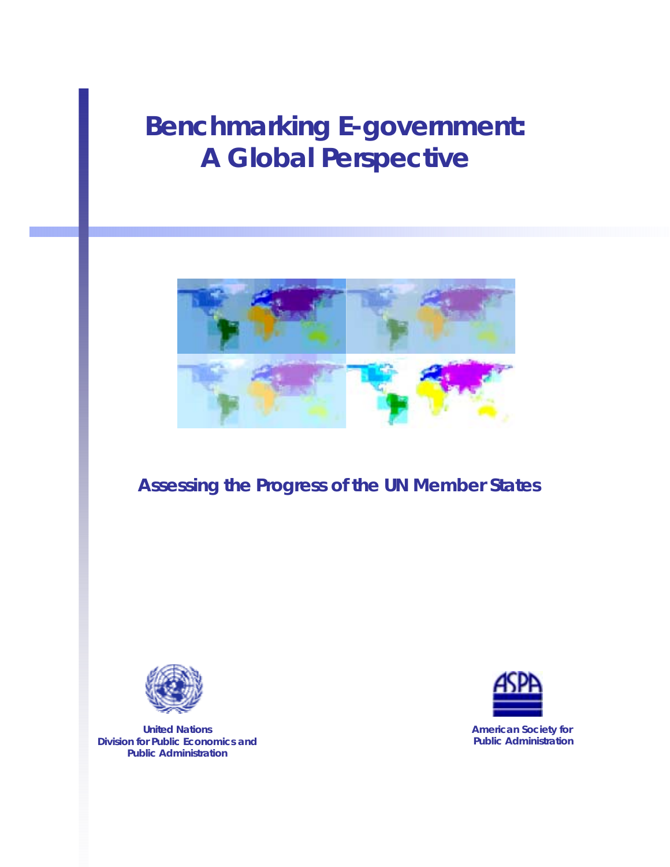# **Benchmarking E-government: A Global Perspective**



# **Assessing the Progress of the UN Member States**



**United Nations Division for Public Economics and Public Administration** 



**American Society for Public Administration**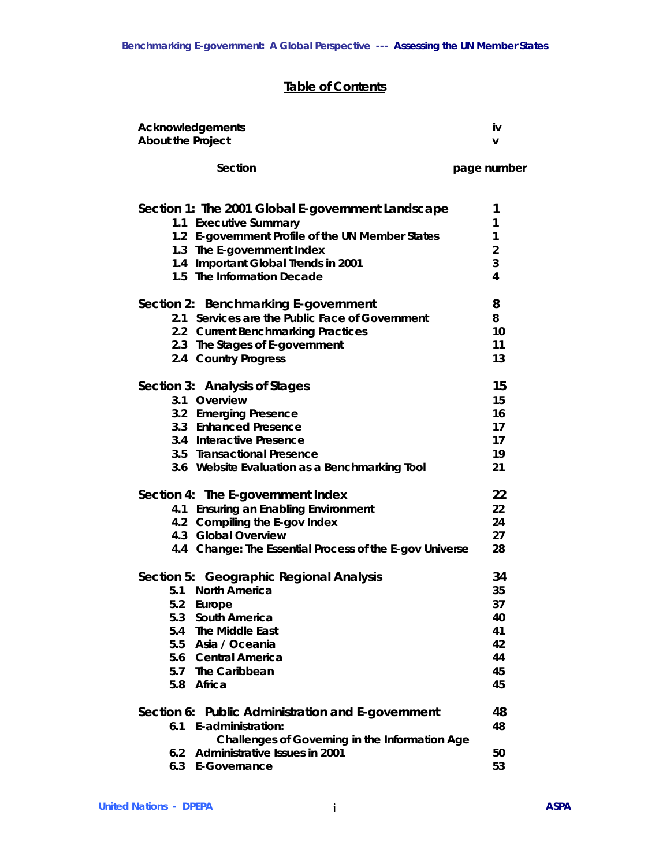# **Table of Contents**

**Acknowledgements** iv **iv** *iv* 

| About the Project |                                                         | v              |
|-------------------|---------------------------------------------------------|----------------|
|                   | Section                                                 | page number    |
|                   | Section 1: The 2001 Global E-government Landscape       | 1              |
|                   | 1.1 Executive Summary                                   | 1              |
|                   | 1.2 E-government Profile of the UN Member States        | $\mathbf{1}$   |
|                   | 1.3 The E-government Index                              | $\overline{2}$ |
|                   | 1.4 Important Global Trends in 2001                     | 3              |
|                   | 1.5 The Information Decade                              | 4              |
|                   | Section 2: Benchmarking E-government                    | 8              |
|                   | 2.1 Services are the Public Face of Government          | 8              |
|                   | 2.2 Current Benchmarking Practices                      | 10             |
|                   | 2.3 The Stages of E-government                          | 11             |
|                   | 2.4 Country Progress                                    | 13             |
|                   | Section 3: Analysis of Stages                           | 15             |
|                   | 3.1 Overview                                            | 15             |
|                   | 3.2 Emerging Presence                                   | 16             |
|                   | 3.3 Enhanced Presence                                   | 17             |
|                   | 3.4 Interactive Presence                                | 17             |
|                   | 3.5 Transactional Presence                              | 19             |
|                   | 3.6 Website Evaluation as a Benchmarking Tool           | 21             |
|                   | Section 4: The E-government Index                       | 22             |
|                   | 4.1 Ensuring an Enabling Environment                    | 22             |
|                   | 4.2 Compiling the E-gov Index                           | 24             |
|                   | 4.3 Global Overview                                     | 27             |
|                   | 4.4 Change: The Essential Process of the E-gov Universe | 28             |
|                   | Section 5: Geographic Regional Analysis                 | 34             |
|                   | 5.1 North America                                       | 35             |
| 5.2               | Europe                                                  | 37             |
| 5.3               | South America                                           | 40             |
| 5.4               | The Middle East                                         | 41             |
| 5.5               | Asia / Oceania                                          | 42             |
| 5.6               | <b>Central America</b>                                  | 44             |
| 5.7               | The Caribbean                                           | 45             |
| 5.8               | Africa                                                  | 45             |
|                   | Section 6: Public Administration and E-government       | 48             |
|                   | 6.1 E-administration:                                   | 48             |
|                   | Challenges of Governing in the Information Age          |                |
| 6.2               | Administrative Issues in 2001                           | 50             |

**6.3 E-Governance 53**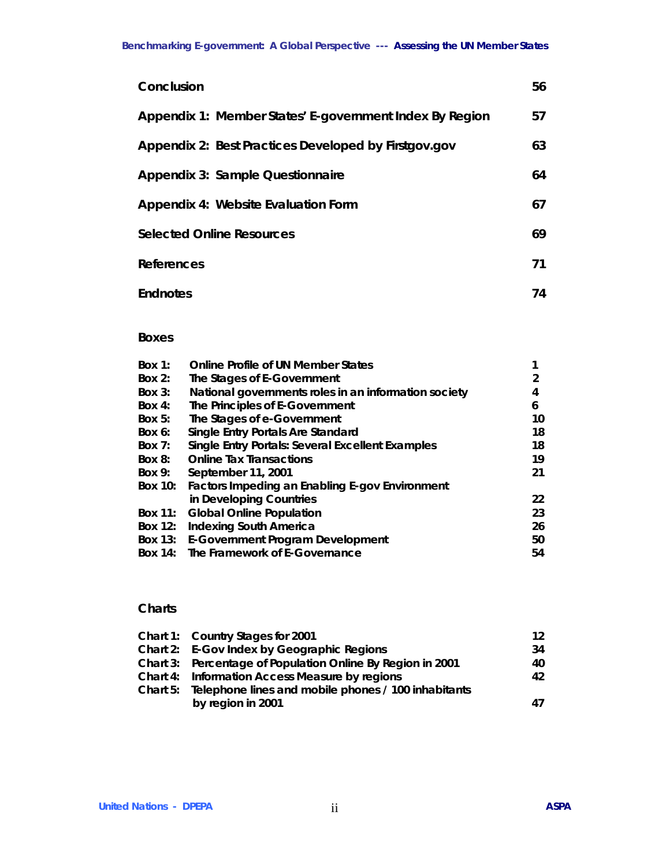| Conclusion                                              | 56 |
|---------------------------------------------------------|----|
| Appendix 1: Member States' E-government Index By Region | 57 |
| Appendix 2: Best Practices Developed by Firstgov.gov    | 63 |
| Appendix 3: Sample Questionnaire                        | 64 |
| Appendix 4: Website Evaluation Form                     | 67 |
| <b>Selected Online Resources</b>                        | 69 |
| References                                              | 71 |
| <b>Endnotes</b>                                         | 74 |

# **Boxes**

| Box $1$ :      | <b>Online Profile of UN Member States</b>            |    |
|----------------|------------------------------------------------------|----|
| Box $2:$       | The Stages of E-Government                           | 2  |
| Box $3:$       | National governments roles in an information society | 4  |
| Box $4$ :      | The Principles of E-Government                       | 6  |
| Box $5:$       | The Stages of e-Government                           | 10 |
| Box $6$ :      | Single Entry Portals Are Standard                    | 18 |
| Box $7:$       | Single Entry Portals: Several Excellent Examples     | 18 |
| $Box 8$ :      | <b>Online Tax Transactions</b>                       | 19 |
| Box 9:         | September 11, 2001                                   | 21 |
| <b>Box 10:</b> | Factors Impeding an Enabling E-gov Environment       |    |
|                | in Developing Countries                              | 22 |
| <b>Box 11:</b> | <b>Global Online Population</b>                      | 23 |
| <b>Box 12:</b> | <b>Indexing South America</b>                        | 26 |
|                | Box 13: E-Government Program Development             | 50 |
| Box $14$ :     | The Framework of E-Governance                        | 54 |
|                |                                                      |    |

# **Charts**

| Chart 1: Country Stages for 2001                             | 12 <sup>12</sup> |
|--------------------------------------------------------------|------------------|
| Chart 2: E-Gov Index by Geographic Regions                   | 34               |
| Chart 3: Percentage of Population Online By Region in 2001   | 40.              |
| Chart 4: Information Access Measure by regions               | 42               |
| Chart 5: Telephone lines and mobile phones / 100 inhabitants |                  |
| by region in 2001                                            | 47               |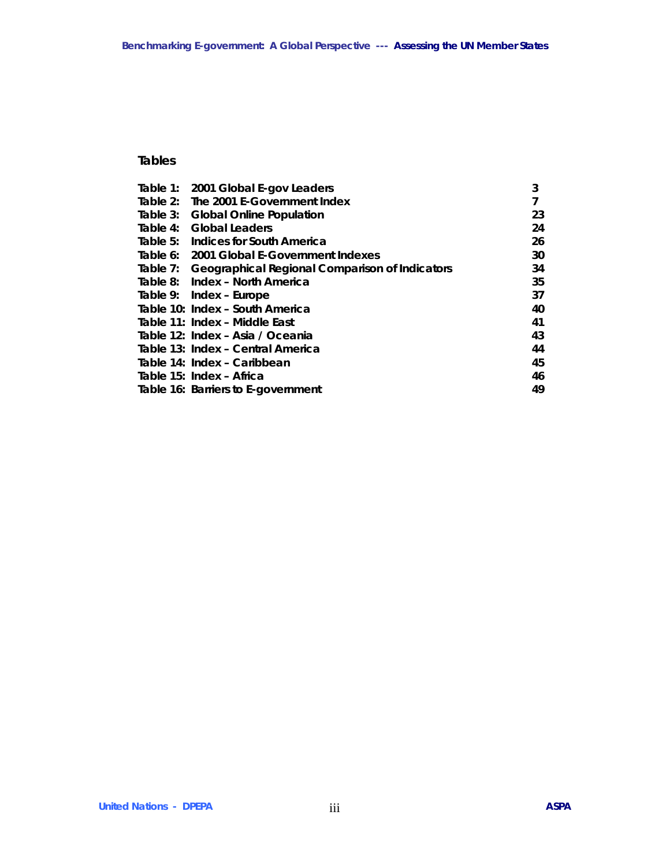# **Tables**

|  | Table 1: 2001 Global E-gov Leaders                      | 3  |
|--|---------------------------------------------------------|----|
|  | Table 2: The 2001 E-Government Index                    |    |
|  | Table 3: Global Online Population                       | 23 |
|  | Table 4: Global Leaders                                 | 24 |
|  | Table 5: Indices for South America                      | 26 |
|  | Table 6: 2001 Global E-Government Indexes               | 30 |
|  | Table 7: Geographical Regional Comparison of Indicators | 34 |
|  | Table 8: Index - North America                          | 35 |
|  | Table 9: Index - Europe                                 | 37 |
|  | Table 10: Index - South America                         | 40 |
|  | Table 11: Index - Middle East                           | 41 |
|  | Table 12: Index - Asia / Oceania                        | 43 |
|  | Table 13: Index - Central America                       | 44 |
|  | Table 14: Index - Caribbean                             | 45 |
|  | Table 15: Index - Africa                                | 46 |
|  | Table 16: Barriers to E-government                      | 49 |
|  |                                                         |    |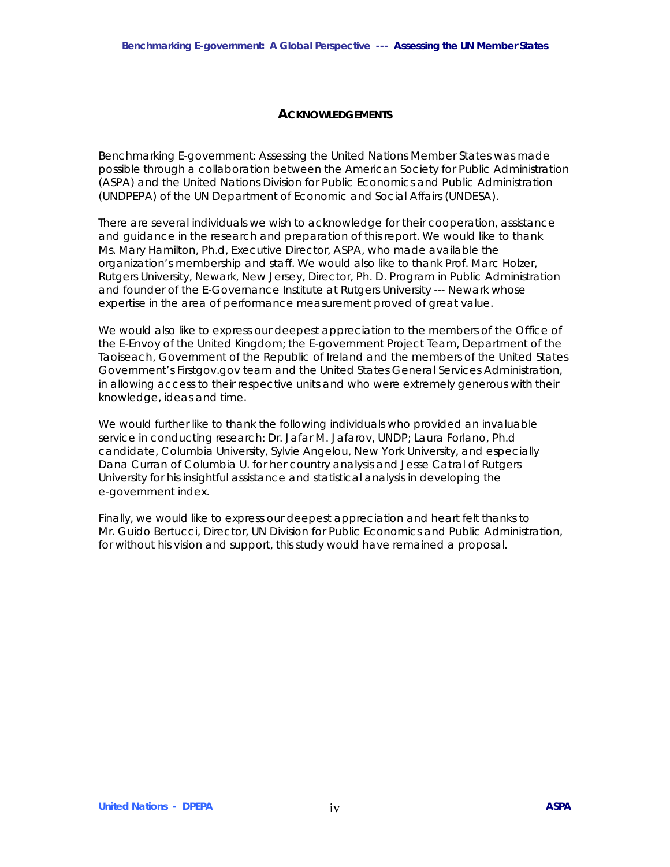#### **ACKNOWLEDGEMENTS**

Benchmarking E-government: Assessing the United Nations Member States was made possible through a collaboration between the American Society for Public Administration (ASPA) and the United Nations Division for Public Economics and Public Administration (UNDPEPA) of the UN Department of Economic and Social Affairs (UNDESA).

There are several individuals we wish to acknowledge for their cooperation, assistance and guidance in the research and preparation of this report. We would like to thank Ms. Mary Hamilton, Ph.d, Executive Director, ASPA, who made available the organization's membership and staff. We would also like to thank Prof. Marc Holzer, Rutgers University, Newark, New Jersey, Director, Ph. D. Program in Public Administration and founder of the E-Governance Institute at Rutgers University --- Newark whose expertise in the area of performance measurement proved of great value.

We would also like to express our deepest appreciation to the members of the Office of the E-Envoy of the United Kingdom; the E-government Project Team, Department of the Taoiseach, Government of the Republic of Ireland and the members of the United States Government's Firstgov.gov team and the United States General Services Administration, in allowing access to their respective units and who were extremely generous with their knowledge, ideas and time.

We would further like to thank the following individuals who provided an invaluable service in conducting research: Dr. Jafar M. Jafarov, UNDP; Laura Forlano, Ph.d candidate, Columbia University, Sylvie Angelou, New York University, and especially Dana Curran of Columbia U. for her country analysis and Jesse Catral of Rutgers University for his insightful assistance and statistical analysis in developing the e-government index.

Finally, we would like to express our deepest appreciation and heart felt thanks to Mr. Guido Bertucci, Director, UN Division for Public Economics and Public Administration, for without his vision and support, this study would have remained a proposal.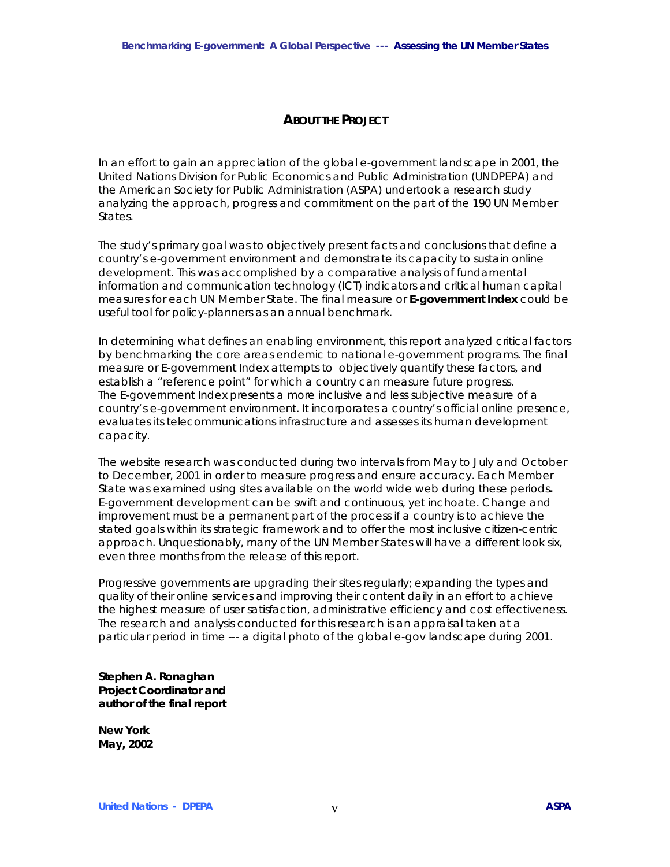# **ABOUT THE PROJECT**

In an effort to gain an appreciation of the global e-government landscape in 2001, the United Nations Division for Public Economics and Public Administration (UNDPEPA) and the American Society for Public Administration (ASPA) undertook a research study analyzing the approach, progress and commitment on the part of the 190 UN Member States.

The study's primary goal was to objectively present facts and conclusions that define a country's e-government environment and demonstrate its capacity to sustain online development. This was accomplished by a comparative analysis of fundamental information and communication technology (ICT) indicators and critical human capital measures for each UN Member State. The final measure or **E-government Index** could be useful tool for policy-planners as an annual benchmark.

In determining what defines an enabling environment, this report analyzed critical factors by benchmarking the core areas endemic to national e-government programs. The final measure or E-government Index attempts to objectively quantify these factors, and establish a "reference point" for which a country can measure future progress. The E-government Index presents a more inclusive and less subjective measure of a country's e-government environment. It incorporates a country's official online presence, evaluates its telecommunications infrastructure and assesses its human development capacity.

The website research was conducted during two intervals from May to July and October to December, 2001 in order to measure progress and ensure accuracy. Each Member State was examined using sites available on the world wide web *during these periods***.** E-government development can be swift and continuous, yet inchoate. Change and improvement must be a permanent part of the process if a country is to achieve the stated goals within its strategic framework and to offer the most inclusive citizen-centric approach. Unquestionably, many of the UN Member States will have a different look six, even three months from the release of this report.

Progressive governments are upgrading their sites regularly; expanding the types and quality of their online services and improving their content daily in an effort to achieve the highest measure of user satisfaction, administrative efficiency and cost effectiveness. The research and analysis conducted for this research is an appraisal taken at a particular period in time --- a digital photo of the global e-gov landscape during 2001.

**Stephen A. Ronaghan Project Coordinator and author of the final report** 

**New York May, 2002**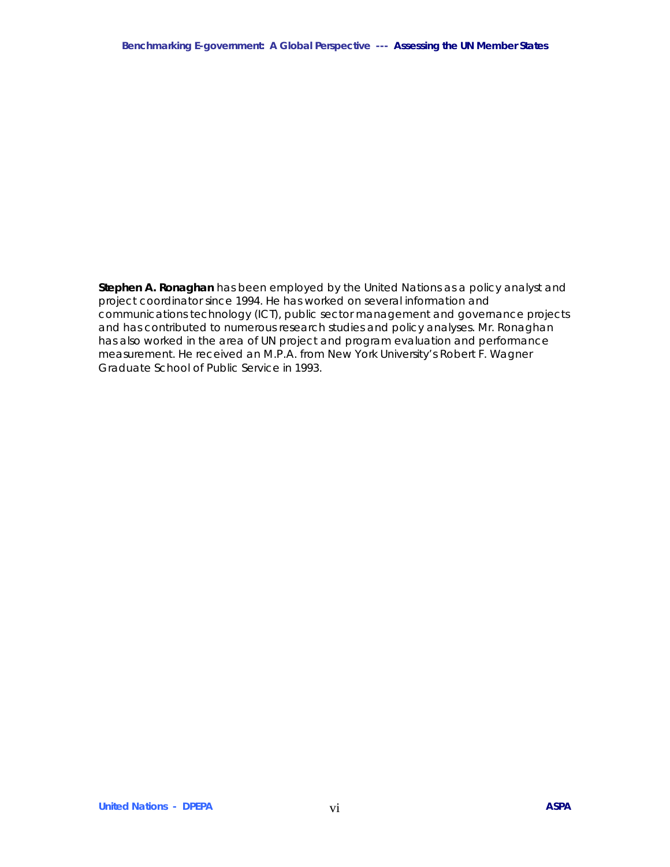**Stephen A. Ronaghan** has been employed by the United Nations as a policy analyst and project coordinator since 1994. He has worked on several information and communications technology (ICT), public sector management and governance projects and has contributed to numerous research studies and policy analyses. Mr. Ronaghan has also worked in the area of UN project and program evaluation and performance measurement. He received an M.P.A. from New York University's Robert F. Wagner Graduate School of Public Service in 1993.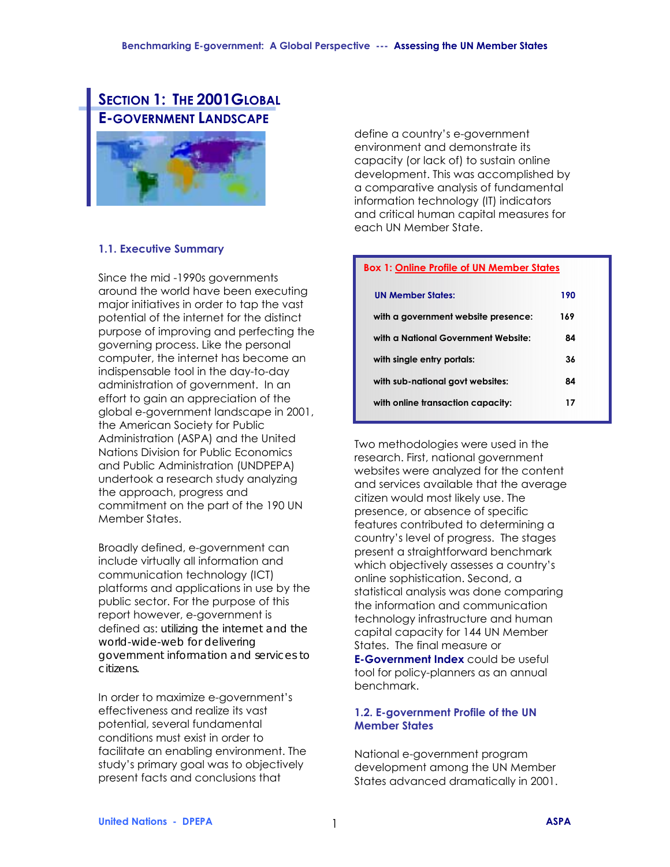# **SECTION 1: THE 2001 GLOBAL E-GOVERNMENT LANDSCAPE**



# **1.1. Executive Summary**

Since the mid -1990s governments around the world have been executing major initiatives in order to tap the vast potential of the internet for the distinct purpose of improving and perfecting the governing process. Like the personal computer, the internet has become an indispensable tool in the day-to-day administration of government. In an effort to gain an appreciation of the global e-government landscape in 2001, the American Society for Public Administration (ASPA) and the United Nations Division for Public Economics and Public Administration (UNDPEPA) undertook a research study analyzing the approach, progress and commitment on the part of the 190 UN Member States.

Broadly defined, e-government can include virtually all information and communication technology (ICT) platforms and applications in use by the public sector. For the purpose of this report however, e-government is defined as: *utilizing the internet and the world-wide-web for delivering government information and services to citizens.* 

In order to maximize e-government's effectiveness and realize its vast potential, several fundamental conditions must exist in order to facilitate an enabling environment. The study's primary goal was to objectively present facts and conclusions that

define a country's e-government environment and demonstrate its capacity (or lack of) to sustain online development. This was accomplished by a comparative analysis of fundamental information technology (IT) indicators and critical human capital measures for each UN Member State.

# **Box 1: Online Profile of UN Member States**

| <b>UN Member States:</b>            | 190 |
|-------------------------------------|-----|
| with a government website presence: | 169 |
| with a National Government Website: | 84  |
| with single entry portals:          | 36  |
| with sub-national govt websites:    | 84  |
| with online transaction capacity:   | 17  |

Two methodologies were used in the research. First, national government websites were analyzed for the content and services available that the average citizen would most likely use. The presence, or absence of specific features contributed to determining a countryís level of progress. The stages present a straightforward benchmark which objectively assesses a country's online sophistication. Second, a statistical analysis was done comparing the information and communication technology infrastructure and human capital capacity for 144 UN Member States. The final measure or

**E-Government Index** could be useful tool for policy-planners as an annual benchmark.

# **1.2. E-government Profile of the UN Member States**

National e-government program development among the UN Member States advanced dramatically in 2001.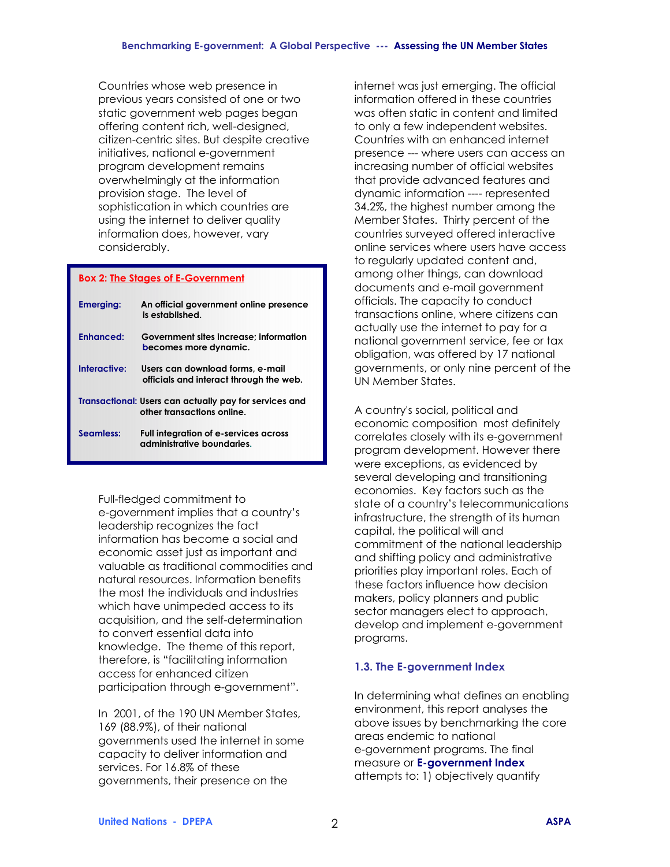Countries whose web presence in previous years consisted of one or two static government web pages began offering content rich, well-designed, citizen-centric sites. But despite creative initiatives, national e-government program development remains overwhelmingly at the information provision stage. The level of sophistication in which countries are using the internet to deliver quality information does, however, vary considerably.

#### **Box 2: The Stages of E-Government**

| <b>Emerging:</b>      | An official government online presence<br>is established                             |
|-----------------------|--------------------------------------------------------------------------------------|
| Fnhanced <sup>.</sup> | Government sites increase: information<br>becomes more dynamic.                      |
| Interactive:          | Users can download forms, e-mail<br>officials and interact through the web.          |
|                       | Transactional: Users can actually pay for services and<br>other transactions online. |
| Seamless:             | Full integration of e-services across<br>administrative boundaries.                  |

Full-fledged commitment to e-government implies that a countryís leadership recognizes the fact information has become a social and economic asset just as important and valuable as traditional commodities and natural resources. Information benefits the most the individuals and industries which have unimpeded access to its acquisition, and the self-determination to convert essential data into knowledge. The theme of this report, therefore, is "facilitating information access for enhanced citizen participation through e-government".

In 2001, of the 190 UN Member States, 169 (88.9%), of their national governments used the internet in some capacity to deliver information and services. For 16.8% of these governments, their presence on the

internet was just emerging. The official information offered in these countries was often static in content and limited to only a few independent websites. Countries with an enhanced internet presence --- where users can access an increasing number of official websites that provide advanced features and dynamic information ---- represented 34.2%, the highest number among the Member States. Thirty percent of the countries surveyed offered interactive online services where users have access to regularly updated content and, among other things, can download documents and e-mail government officials. The capacity to conduct transactions online, where citizens can actually use the internet to pay for a national government service, fee or tax obligation, was offered by 17 national governments, or only nine percent of the UN Member States.

A country's social, political and economic composition most definitely correlates closely with its e-government program development. However there were exceptions, as evidenced by several developing and transitioning economies. Key factors such as the state of a country's telecommunications infrastructure, the strength of its human capital, the political will and commitment of the national leadership and shifting policy and administrative priorities play important roles. Each of these factors influence how decision makers, policy planners and public sector managers elect to approach, develop and implement e-government programs.

# **1.3. The E-government Index**

In determining what defines an enabling environment, this report analyses the above issues by benchmarking the core areas endemic to national e-government programs. The final measure or **E-government Index** attempts to: 1) objectively quantify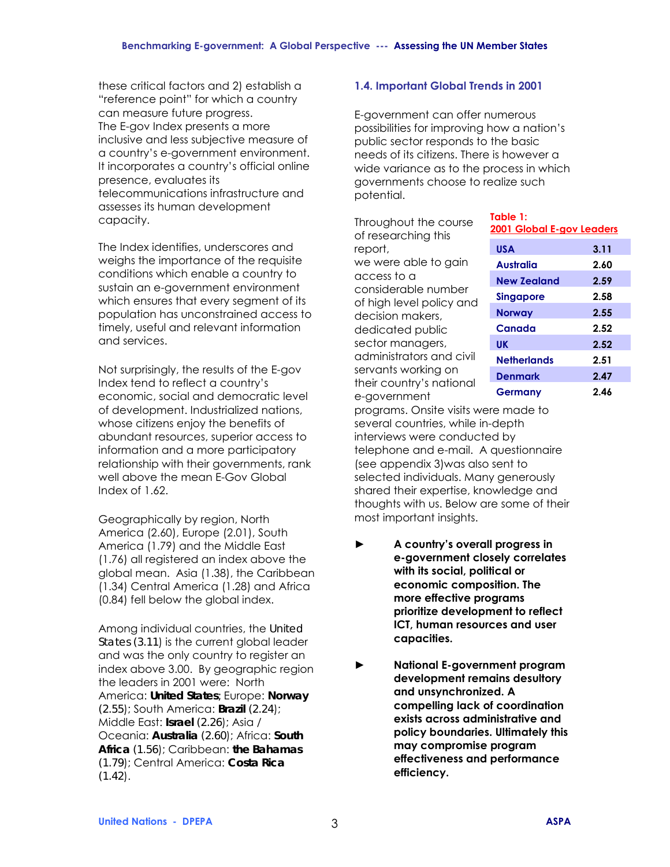these critical factors and 2) establish a "reference point" for which a country can measure future progress. The E-gov Index presents a more inclusive and less subjective measure of a countryís e-government environment. It incorporates a country's official online presence, evaluates its telecommunications infrastructure and assesses its human development capacity.

The Index identifies, underscores and weighs the importance of the requisite conditions which enable a country to sustain an e-government environment which ensures that every segment of its population has unconstrained access to timely, useful and relevant information and services.

Not surprisingly, the results of the E-gov Index tend to reflect a countryís economic, social and democratic level of development. Industrialized nations, whose citizens enjoy the benefits of abundant resources, superior access to information and a more participatory relationship with their governments, rank well above the mean E-Gov Global Index of 1.62.

Geographically by region, North America (2.60), Europe (2.01), South America (1.79) and the Middle East (1.76) all registered an index above the global mean. Asia (1.38), the Caribbean (1.34) Central America (1.28) and Africa (0.84) fell below the global index.

Among individual countries, the *United States (3.11*) is the current global leader and was the only country to register an index above 3.00. By geographic region the leaders in 2001 were: North America: *United States;* Europe: *Norway (2.55*); South America: *Brazil (2.24*); Middle East: *Israel (2.26*); Asia / Oceania: *Australia (2.60*); Africa: *South Africa (1.56*); Caribbean: *the Bahamas (1.79*); Central America: *Costa Rica (1.42*).

# **1.4. Important Global Trends in 2001**

E-government can offer numerous possibilities for improving how a nation's public sector responds to the basic needs of its citizens. There is however a wide variance as to the process in which governments choose to realize such potential.

Throughout the course of researching this report, we were able to gain access to a considerable number of high level policy and decision makers, dedicated public sector managers, administrators and civil servants working on their country's national e-government

| Table 1:<br>2001 Global E-gov Leaders |      |  |  |  |
|---------------------------------------|------|--|--|--|
| <b>USA</b>                            | 3.11 |  |  |  |
| Australia                             | 2.60 |  |  |  |
| <b>New Zealand</b>                    | 2.59 |  |  |  |
| <b>Singapore</b>                      | 2.58 |  |  |  |
| Norway                                | 2.55 |  |  |  |
| Canada                                | 2.52 |  |  |  |
| UK                                    | 2.52 |  |  |  |
| Netherlands                           | 2.51 |  |  |  |
| <b>Denmark</b>                        | 2.47 |  |  |  |
| Germany                               | 2.46 |  |  |  |

programs. Onsite visits were made to several countries, while in-depth interviews were conducted by telephone and e-mail. A questionnaire (see appendix 3)was also sent to selected individuals. Many generously shared their expertise, knowledge and thoughts with us. Below are some of their most important insights.

- **► A countryís overall progress in e-government closely correlates with its social, political or economic composition. The more effective programs prioritize development to reflect ICT, human resources and user capacities.**
- **► National E-government program development remains desultory and unsynchronized. A compelling lack of coordination exists across administrative and policy boundaries. Ultimately this may compromise program effectiveness and performance efficiency.**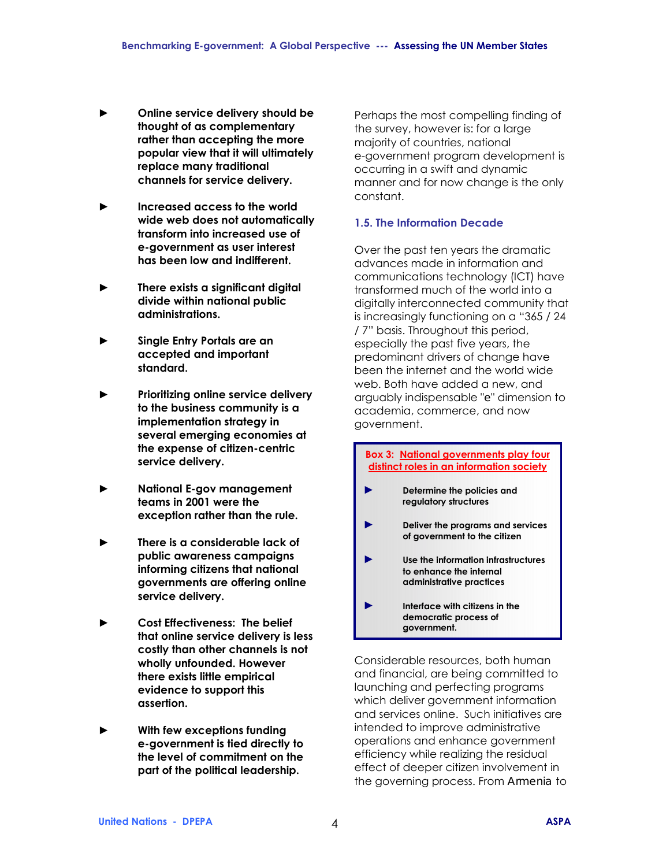- **► Online service delivery should be thought of as complementary rather than accepting the more popular view that it will ultimately replace many traditional channels for service delivery.**
- **► Increased access to the world wide web does not automatically transform into increased use of e-government as user interest has been low and indifferent.**
- **► There exists a significant digital divide within national public administrations.**
- **► Single Entry Portals are an accepted and important standard.**
- **► Prioritizing online service delivery to the business community is a implementation strategy in several emerging economies at the expense of citizen-centric service delivery.**
- **► National E-gov management teams in 2001 were the exception rather than the rule.**
- **► There is a considerable lack of public awareness campaigns informing citizens that national governments are offering online service delivery.**
- **► Cost Effectiveness: The belief that online service delivery is less costly than other channels is not wholly unfounded. However there exists little empirical evidence to support this assertion.**
- **► With few exceptions funding e-government is tied directly to the level of commitment on the part of the political leadership.**

Perhaps the most compelling finding of the survey, however is: for a large majority of countries, national e-government program development is occurring in a swift and dynamic manner and for now change is the only constant.

# **1.5. The Information Decade**

Over the past ten years the dramatic advances made in information and communications technology (ICT) have transformed much of the world into a digitally interconnected community that is increasingly functioning on a "365 / 24 / 7" basis. Throughout this period, especially the past five years, the predominant drivers of change have been the internet and the world wide web. Both have added a new, and arguably indispensable "*e*" dimension to academia, commerce, and now government.

#### **Box 3: National governments play four distinct roles in an information society**

- **► Determine the policies and regulatory structures**
- **► Deliver the programs and services of government to the citizen**
- **► Use the information infrastructures to enhance the internal administrative practices**
- **► Interface with citizens in the democratic process of government.**

Considerable resources, both human and financial, are being committed to launching and perfecting programs which deliver government information and services online. Such initiatives are intended to improve administrative operations and enhance government efficiency while realizing the residual effect of deeper citizen involvement in the governing process. From *Armenia* to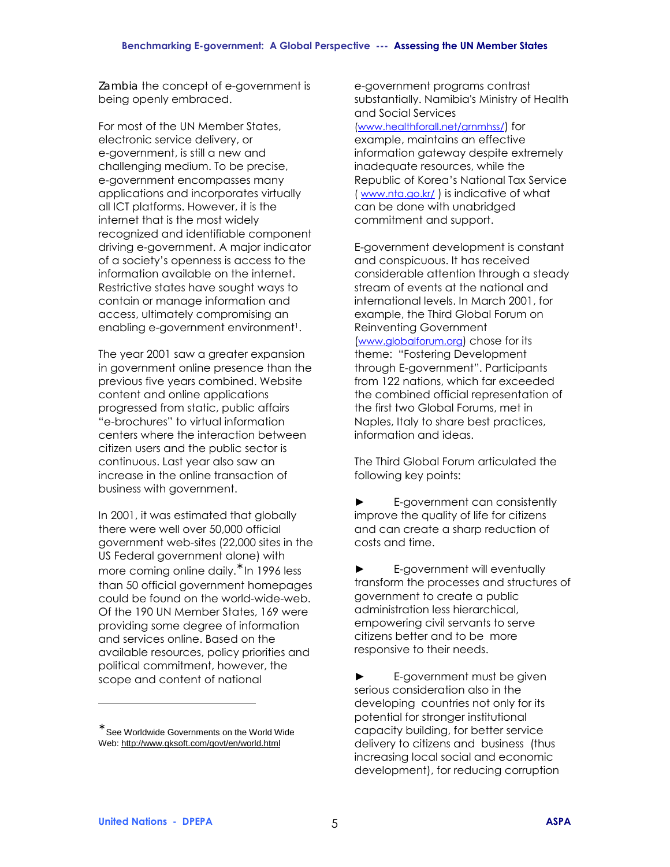*Zambia* the concept of e-government is being openly embraced.

For most of the UN Member States, electronic service delivery, or e-government, is still a new and challenging medium. To be precise, e-government encompasses many applications and incorporates virtually all ICT platforms. However, it is the internet that is the most widely recognized and identifiable component driving e-government. A major indicator of a societyís openness is access to the information available on the internet. Restrictive states have sought ways to contain or manage information and access, ultimately compromising an enabling e-government environment<sup>1</sup>.

The year 2001 saw a greater expansion in government online presence than the previous five years combined. Website content and online applications progressed from static, public affairs "e-brochures" to virtual information centers where the interaction between citizen users and the public sector is continuous. Last year also saw an increase in the online transaction of business with government.

In 2001, it was estimated that globally there were well over 50,000 official government web-sites (22,000 sites in the US Federal government alone) with more coming online daily.<sup>\*</sup> In 1996 less than 50 official government homepages could be found on the world-wide-web. Of the 190 UN Member States, 169 were providing some degree of information and services online. Based on the available resources, policy priorities and political commitment, however, the scope and content of national

e-government programs contrast substantially. Namibia's Ministry of Health and Social Services

(www.healthforall.net/grnmhss/) for example, maintains an effective information gateway despite extremely inadequate resources, while the Republic of Korea's National Tax Service ( www.nta.go.kr/ ) is indicative of what can be done with unabridged commitment and support.

E-government development is constant and conspicuous. It has received considerable attention through a steady stream of events at the national and international levels. In March 2001, for example, the Third Global Forum on Reinventing Government (www.globalforum.org) chose for its theme: "Fostering Development through E-government". Participants from 122 nations, which far exceeded the combined official representation of the first two Global Forums, met in Naples, Italy to share best practices, information and ideas.

The Third Global Forum articulated the following key points:

**►** E-government can consistently improve the quality of life for citizens and can create a sharp reduction of costs and time.

**►** E-government will eventually transform the processes and structures of government to create a public administration less hierarchical, empowering civil servants to serve citizens better and to be more responsive to their needs.

**►** E-government must be given serious consideration also in the developing countries not only for its potential for stronger institutional capacity building, for better service delivery to citizens and business (thus increasing local social and economic development), for reducing corruption

 $\overline{a}$ 

 $\degree$  See Worldwide Governments on the World Wide Web: http://www.gksoft.com/govt/en/world.html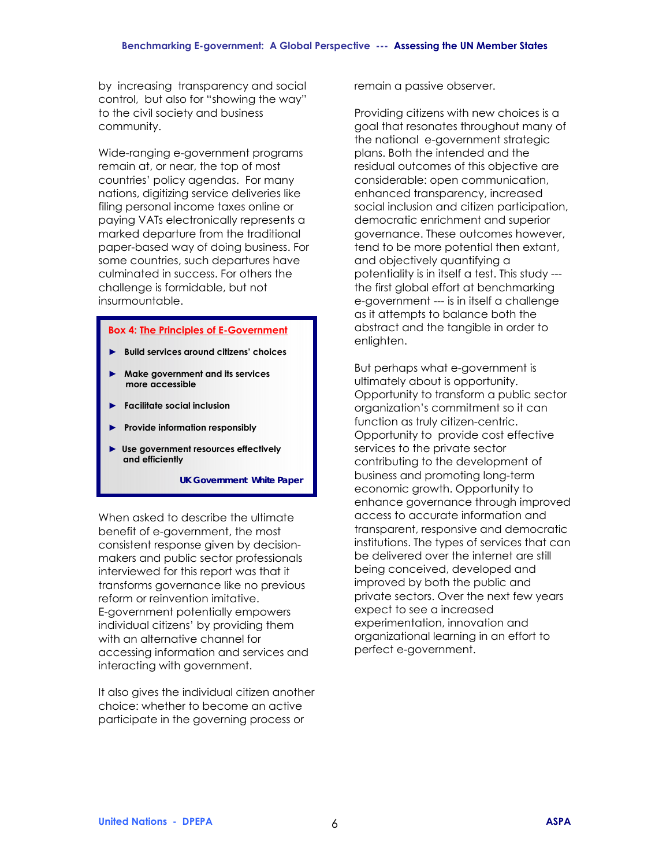by increasing transparency and social control, but also for "showing the way" to the civil society and business community.

Wide-ranging e-government programs remain at, or near, the top of most countries' policy agendas. For many nations, digitizing service deliveries like filing personal income taxes online or paying VATs electronically represents a marked departure from the traditional paper-based way of doing business. For some countries, such departures have culminated in success. For others the challenge is formidable, but not insurmountable.

#### **Box 4: The Principles of E-Government**

- ► Build services around citizens' choices
- **► Make government and its services more accessible**
- **► Facilitate social inclusion**
- **► Provide information responsibly**
- **► Use government resources effectively and efficiently**

 *UK Government White Paper* 

When asked to describe the ultimate benefit of e-government, the most consistent response given by decisionmakers and public sector professionals interviewed for this report was that it transforms governance like no previous reform or reinvention imitative. E-government potentially empowers individual citizens' by providing them with an alternative channel for accessing information and services and interacting with government.

It also gives the individual citizen another choice: whether to become an active participate in the governing process or

remain a passive observer.

Providing citizens with new choices is a goal that resonates throughout many of the national e-government strategic plans. Both the intended and the residual outcomes of this objective are considerable: open communication, enhanced transparency, increased social inclusion and citizen participation, democratic enrichment and superior governance. These outcomes however, tend to be more potential then extant, and objectively quantifying a potentiality is in itself a test. This study -- the first global effort at benchmarking e-government --- is in itself a challenge as it attempts to balance both the abstract and the tangible in order to enlighten.

But perhaps what e-government is ultimately about is opportunity. Opportunity to transform a public sector organization's commitment so it can function as truly citizen-centric. Opportunity to provide cost effective services to the private sector contributing to the development of business and promoting long-term economic growth. Opportunity to enhance governance through improved access to accurate information and transparent, responsive and democratic institutions. The types of services that can be delivered over the internet are still being conceived, developed and improved by both the public and private sectors. Over the next few years expect to see a increased experimentation, innovation and organizational learning in an effort to perfect e-government.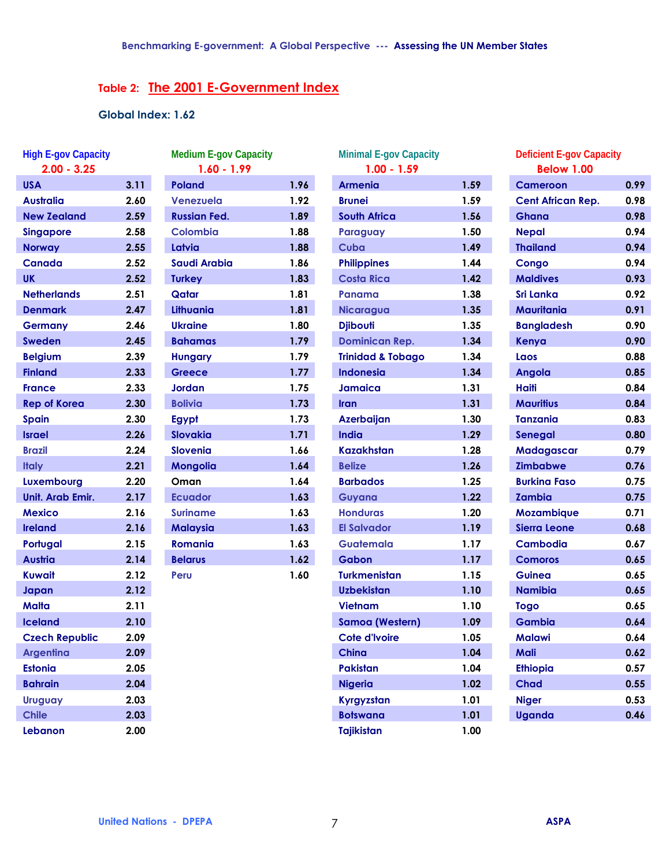# **Table 2: The 2001 E-Government Index**

# **Global Index: 1.62**

| <b>High E-gov Capacity</b><br>$2.00 - 3.25$ |      |
|---------------------------------------------|------|
| <b>USA</b>                                  | 3.11 |
| Australia                                   | 2.60 |
| <b>New Zealand</b>                          | 2.59 |
| <b>Singapore</b>                            | 2.58 |
| <b>Norway</b>                               | 2.55 |
| <b>Canada</b>                               | 2.52 |
| UK.                                         | 2.52 |
| <b>Netherlands</b>                          | 2.51 |
| <b>Denmark</b>                              | 2.47 |
| <b>Germany</b>                              | 2.46 |
| <b>Sweden</b>                               | 2.45 |
| <b>Belgium</b>                              | 2.39 |
| <b>Finland</b>                              | 2.33 |
| <b>France</b>                               | 2.33 |
| <b>Rep of Korea</b>                         | 2.30 |
| <b>Spain</b>                                | 2.30 |
| <b>Israel</b>                               | 2.26 |
| <b>Brazil</b>                               | 2.24 |
| <b>Italy</b>                                | 2.21 |
| Luxembourg                                  | 2.20 |
| Unit. Arab Emir.                            | 2.17 |
| <b>Mexico</b>                               | 2.16 |
| <b>Ireland</b>                              | 2.16 |
| Portugal                                    | 2.15 |
| <b>Austria</b>                              | 2.14 |
| Kuwait                                      | 2.12 |
| Japan                                       | 2.12 |
| Malta                                       | 2.11 |
| <b>Iceland</b>                              | 2.10 |
| <b>Czech Republic</b>                       | 2.09 |
| <b>Argentina</b>                            | 2.09 |
| <b>Estonia</b>                              | 2.05 |
| <b>Bahrain</b>                              | 2.04 |
| <b>Uruguay</b>                              | 2.03 |
| <b>Chile</b>                                | 2.03 |
| Lebanon                                     | 2.00 |

| Poland<br>Venezuela |      |
|---------------------|------|
|                     | 1.96 |
|                     | 1.92 |
| <b>Russian Fed.</b> | 1.89 |
| <b>Colombia</b>     | 1.88 |
| Latvia              | 1.88 |
| <b>Saudi Arabia</b> | 1.86 |
| <b>Turkey</b>       | 1.83 |
| Qatar               | 1.81 |
| Lithuania           | 1.81 |
| <b>Ukraine</b>      | 1.80 |
| <b>Bahamas</b>      | 1.79 |
| <b>Hungary</b>      | 1.79 |
| Greece              | 1.77 |
| Jordan              | 1.75 |
| <b>Bolivia</b>      | 1.73 |
| <b>Egypt</b>        | 1.73 |
| <b>Slovakia</b>     | 1.71 |
| <b>Slovenia</b>     | 1.66 |
| <b>Mongolia</b>     | 1.64 |
| Oman                | 1.64 |
| <b>Ecuador</b>      | 1.63 |
| <b>Suriname</b>     | 1.63 |
| <b>Malaysia</b>     | 1.63 |
| <b>Romania</b>      | 1.63 |
| <b>Belarus</b>      | 1.62 |
| Peru                | 1.60 |

| <b>High E-gov Capacity</b><br>$2.00 - 3.25$ |      | <b>Medium E-gov Capacity</b><br>$1.60 - 1.99$ |      | <b>Minimal E-gov Capacity</b><br>$1.00 - 1.59$ |      | <b>Deficient E-gov Capacity</b><br><b>Below 1.00</b> |      |
|---------------------------------------------|------|-----------------------------------------------|------|------------------------------------------------|------|------------------------------------------------------|------|
| <b>USA</b>                                  | 3.11 | <b>Poland</b>                                 | 1.96 | <b>Armenia</b>                                 | 1.59 | <b>Cameroon</b>                                      | 0.99 |
| Australia                                   | 2.60 | Venezuela                                     | 1.92 | <b>Brunei</b>                                  | 1.59 | <b>Cent African Rep.</b>                             | 0.98 |
| <b>New Zealand</b>                          | 2.59 | <b>Russian Fed.</b>                           | 1.89 | <b>South Africa</b>                            | 1.56 | <b>Ghana</b>                                         | 0.98 |
| <b>Singapore</b>                            | 2.58 | <b>Colombia</b>                               | 1.88 | Paraguay                                       | 1.50 | <b>Nepal</b>                                         | 0.94 |
| <b>Norway</b>                               | 2.55 | Latvia                                        | 1.88 | Cuba                                           | 1.49 | <b>Thailand</b>                                      | 0.94 |
| Canada                                      | 2.52 | <b>Saudi Arabia</b>                           | 1.86 | <b>Philippines</b>                             | 1.44 | Congo                                                | 0.94 |
| UK                                          | 2.52 | <b>Turkey</b>                                 | 1.83 | <b>Costa Rica</b>                              | 1.42 | <b>Maldives</b>                                      | 0.93 |
| <b>Netherlands</b>                          | 2.51 | Qatar                                         | 1.81 | Panama                                         | 1.38 | <b>Sri Lanka</b>                                     | 0.92 |
| <b>Denmark</b>                              | 2.47 | Lithuania                                     | 1.81 | <b>Nicaragua</b>                               | 1.35 | Mauritania                                           | 0.91 |
| <b>Germany</b>                              | 2.46 | <b>Ukraine</b>                                | 1.80 | <b>Djibouti</b>                                | 1.35 | <b>Bangladesh</b>                                    | 0.90 |
| <b>Sweden</b>                               | 2.45 | <b>Bahamas</b>                                | 1.79 | <b>Dominican Rep.</b>                          | 1.34 | Kenya                                                | 0.90 |
| <b>Belgium</b>                              | 2.39 | <b>Hungary</b>                                | 1.79 | <b>Trinidad &amp; Tobago</b>                   | 1.34 | Laos                                                 | 0.88 |
| <b>Finland</b>                              | 2.33 | <b>Greece</b>                                 | 1.77 | <b>Indonesia</b>                               | 1.34 | Angola                                               | 0.85 |
| <b>France</b>                               | 2.33 | <b>Jordan</b>                                 | 1.75 | <b>Jamaica</b>                                 | 1.31 | <b>Haiti</b>                                         | 0.84 |
| <b>Rep of Korea</b>                         | 2.30 | <b>Bolivia</b>                                | 1.73 | Iran                                           | 1.31 | <b>Mauritius</b>                                     | 0.84 |
| <b>Spain</b>                                | 2.30 | Egypt                                         | 1.73 | <b>Azerbaijan</b>                              | 1.30 | <b>Tanzania</b>                                      | 0.83 |
| <b>Israel</b>                               | 2.26 | Slovakia                                      | 1.71 | India                                          | 1.29 | Senegal                                              | 0.80 |
| <b>Brazil</b>                               | 2.24 | <b>Slovenia</b>                               | 1.66 | <b>Kazakhstan</b>                              | 1.28 | Madagascar                                           | 0.79 |
| <b>Italy</b>                                | 2.21 | <b>Mongolia</b>                               | 1.64 | <b>Belize</b>                                  | 1.26 | <b>Zimbabwe</b>                                      | 0.76 |
| Luxembourg                                  | 2.20 | Oman                                          | 1.64 | <b>Barbados</b>                                | 1.25 | <b>Burkina Faso</b>                                  | 0.75 |
| Unit. Arab Emir.                            | 2.17 | <b>Ecuador</b>                                | 1.63 | Guyana                                         | 1.22 | <b>Zambia</b>                                        | 0.75 |
| <b>Mexico</b>                               | 2.16 | <b>Suriname</b>                               | 1.63 | <b>Honduras</b>                                | 1.20 | Mozambique                                           | 0.71 |
| <b>Ireland</b>                              | 2.16 | <b>Malaysia</b>                               | 1.63 | <b>El Salvador</b>                             | 1.19 | <b>Sierra Leone</b>                                  | 0.68 |
| Portugal                                    | 2.15 | <b>Romania</b>                                | 1.63 | Guatemala                                      | 1.17 | <b>Cambodia</b>                                      | 0.67 |
| Austria                                     | 2.14 | <b>Belarus</b>                                | 1.62 | <b>Gabon</b>                                   | 1.17 | <b>Comoros</b>                                       | 0.65 |
| Kuwait                                      | 2.12 | Peru                                          | 1.60 | <b>Turkmenistan</b>                            | 1.15 | <b>Guinea</b>                                        | 0.65 |
| Japan                                       | 2.12 |                                               |      | <b>Uzbekistan</b>                              | 1.10 | <b>Namibia</b>                                       | 0.65 |
| Malta                                       | 2.11 |                                               |      | <b>Vietnam</b>                                 | 1.10 | <b>Togo</b>                                          | 0.65 |
| <b>Iceland</b>                              | 2.10 |                                               |      | <b>Samoa (Western)</b>                         | 1.09 | <b>Gambia</b>                                        | 0.64 |
| <b>Czech Republic</b>                       | 2.09 |                                               |      | Cote d'Ivoire                                  | 1.05 | <b>Malawi</b>                                        | 0.64 |
| <b>Argentina</b>                            | 2.09 |                                               |      | <b>China</b>                                   | 1.04 | Mali                                                 | 0.62 |
| <b>Estonia</b>                              | 2.05 |                                               |      | <b>Pakistan</b>                                | 1.04 | <b>Ethiopia</b>                                      | 0.57 |
| <b>Bahrain</b>                              | 2.04 |                                               |      | <b>Nigeria</b>                                 | 1.02 | <b>Chad</b>                                          | 0.55 |
| <b>Uruguay</b>                              | 2.03 |                                               |      | Kyrgyzstan                                     | 1.01 | <b>Niger</b>                                         | 0.53 |
| <b>Chile</b>                                | 2.03 |                                               |      | <b>Botswana</b>                                | 1.01 | <b>Uganda</b>                                        | 0.46 |
| Lebanon                                     | 2.00 |                                               |      | <b>Tajikistan</b>                              | 1.00 |                                                      |      |

| Deficient E-gov Capacity<br><b>Below 1.00</b> |      |
|-----------------------------------------------|------|
|                                               |      |
| <b>Cameroon</b>                               | 0.99 |
| <b>Cent African Rep.</b>                      | 0.98 |
| Ghana                                         | 0.98 |
| <b>Nepal</b>                                  | 0.94 |
| <b>Thailand</b>                               | 0.94 |
| Congo                                         | 0.94 |
| <b>Maldives</b>                               | 0.93 |
| Sri Lanka                                     | 0.92 |
| <b>Mauritania</b>                             | 0.91 |
| <b>Bangladesh</b>                             | 0.90 |
| Kenya                                         | 0.90 |
| Laos                                          | 0.88 |
| <b>Angola</b>                                 | 0.85 |
| <b>Haiti</b>                                  | 0.84 |
| <b>Mauritius</b>                              | 0.84 |
| <b>Tanzania</b>                               | 0.83 |
| Senegal                                       | 0.80 |
| Madagascar                                    | 0.79 |
| <b>Zimbabwe</b>                               | 0.76 |
| <b>Burkina Faso</b>                           | 0.75 |
| <b>Zambia</b>                                 | 0.75 |
| Mozambique                                    | 0.71 |
| <b>Sierra Leone</b>                           | 0.68 |
| <b>Cambodia</b>                               | 0.67 |
| <b>Comoros</b>                                | 0.65 |
| <b>Guinea</b>                                 | 0.65 |
| <b>Namibia</b>                                | 0.65 |
| Togo                                          | 0.65 |
| Gambia                                        | 0.64 |
| <b>Malawi</b>                                 | 0.64 |
| Mali                                          | 0.62 |
| <b>Ethiopia</b>                               | 0.57 |
| <b>Chad</b>                                   | 0.55 |
| <b>Niger</b>                                  | 0.53 |
| <b>Uganda</b>                                 | 0.46 |
|                                               |      |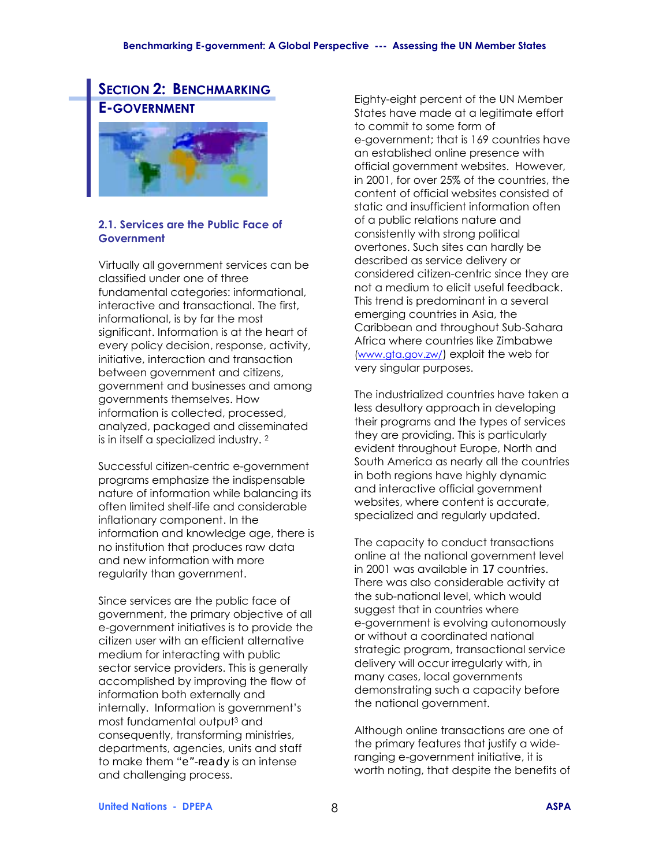# **SECTION 2: BENCHMARKING E-GOVERNMENT**



#### **2.1. Services are the Public Face of Government**

Virtually all government services can be classified under one of three fundamental categories: informational, interactive and transactional. The first, informational, is by far the most significant. Information is at the heart of every policy decision, response, activity, initiative, interaction and transaction between government and citizens, government and businesses and among governments themselves. How information is collected, processed, analyzed, packaged and disseminated is in itself a specialized industry. 2

Successful citizen-centric e-government programs emphasize the indispensable nature of information while balancing its often limited shelf-life and considerable inflationary component. In the information and knowledge age, there is no institution that produces raw data and new information with more regularity than government.

Since services are the public face of government, the primary objective of all e-government initiatives is to provide the citizen user with an efficient alternative medium for interacting with public sector service providers. This is generally accomplished by improving the flow of information both externally and internally. Information is government's most fundamental output3 and consequently, transforming ministries, departments, agencies, units and staff to make them "*e"-ready* is an intense and challenging process.

Eighty-eight percent of the UN Member States have made at a legitimate effort to commit to some form of e-government; that is 169 countries have an established online presence with official government websites. However, in 2001, for over 25% of the countries, the content of official websites consisted of static and insufficient information often of a public relations nature and consistently with strong political overtones. Such sites can hardly be described as service delivery or considered citizen-centric since they are not a medium to elicit useful feedback. This trend is predominant in a several emerging countries in Asia, the Caribbean and throughout Sub-Sahara Africa where countries like Zimbabwe (www.gta.gov.zw/) exploit the web for very singular purposes.

The industrialized countries have taken a less desultory approach in developing their programs and the types of services they are providing. This is particularly evident throughout Europe, North and South America as nearly all the countries in both regions have highly dynamic and interactive official government websites, where content is accurate, specialized and regularly updated.

The capacity to conduct transactions online at the national government level in 2001 was available in *17* countries. There was also considerable activity at the sub-national level, which would suggest that in countries where e-government is evolving autonomously or without a coordinated national strategic program, transactional service delivery will occur irregularly with, in many cases, local governments demonstrating such a capacity before the national government.

Although online transactions are one of the primary features that justify a wideranging e-government initiative, it is worth noting, that despite the benefits of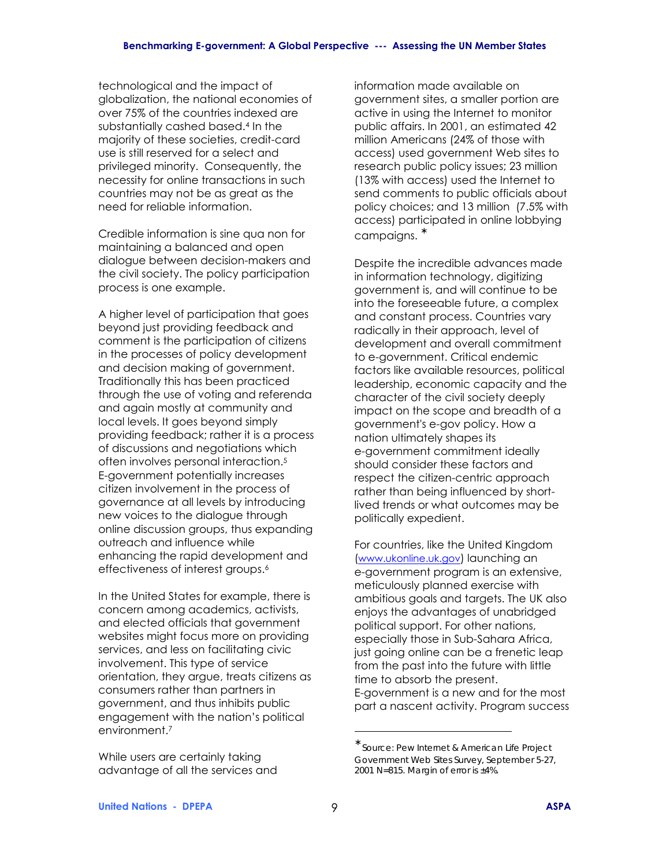technological and the impact of globalization, the national economies of over 75% of the countries indexed are substantially cashed based.4 In the majority of these societies, credit-card use is still reserved for a select and privileged minority. Consequently, the necessity for online transactions in such countries may not be as great as the need for reliable information.

Credible information is sine qua non for maintaining a balanced and open dialogue between decision-makers and the civil society. The policy participation process is one example.

A higher level of participation that goes beyond just providing feedback and comment is the participation of citizens in the processes of policy development and decision making of government. Traditionally this has been practiced through the use of voting and referenda and again mostly at community and local levels. It goes beyond simply providing feedback; rather it is a process of discussions and negotiations which often involves personal interaction.5 E-government potentially increases citizen involvement in the process of governance at all levels by introducing new voices to the dialogue through online discussion groups, thus expanding outreach and influence while enhancing the rapid development and effectiveness of interest groups.<sup>6</sup>

In the United States for example, there is concern among academics, activists, and elected officials that government websites might focus more on providing services, and less on facilitating civic involvement. This type of service orientation, they argue, treats citizens as consumers rather than partners in government, and thus inhibits public engagement with the nation's political environment.7

While users are certainly taking advantage of all the services and information made available on government sites, a smaller portion are active in using the Internet to monitor public affairs. In 2001, an estimated 42 million Americans (24% of those with access) used government Web sites to research public policy issues; 23 million (13% with access) used the Internet to send comments to public officials about policy choices; and 13 million (7.5% with access) participated in online lobbying campaigns. <sup>∗</sup>

Despite the incredible advances made in information technology, digitizing government is, and will continue to be into the foreseeable future, a complex and constant process. Countries vary radically in their approach, level of development and overall commitment to e-government. Critical endemic factors like available resources, political leadership, economic capacity and the character of the civil society deeply impact on the scope and breadth of a government's e-gov policy. How a nation ultimately shapes its e-government commitment ideally should consider these factors and respect the citizen-centric approach rather than being influenced by shortlived trends or what outcomes may be politically expedient.

For countries, like the United Kingdom (www.ukonline.uk.gov) launching an e-government program is an extensive, meticulously planned exercise with ambitious goals and targets. The UK also enjoys the advantages of unabridged political support. For other nations, especially those in Sub-Sahara Africa, just going online can be a frenetic leap from the past into the future with little time to absorb the present. E-government is a new and for the most part a nascent activity. Program success

 $\overline{a}$ 

<sup>∗</sup> *Source: Pew Internet & American Life Project Government Web Sites Survey, September 5-27, 2001 N=815. Margin of error is ±4%.*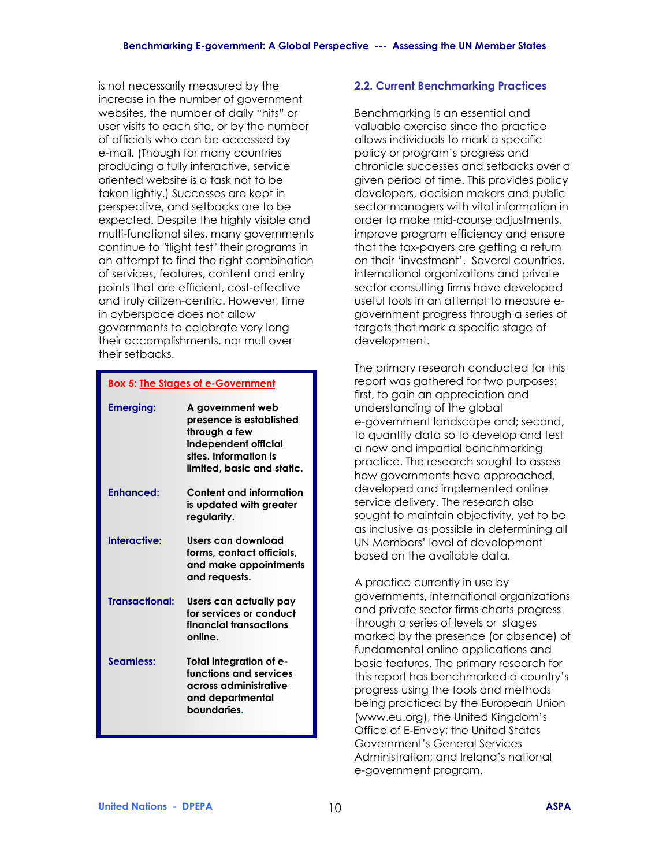is not necessarily measured by the increase in the number of government websites, the number of daily "hits" or user visits to each site, or by the number of officials who can be accessed by e-mail. (Though for many countries producing a fully interactive, service oriented website is a task not to be taken lightly.) Successes are kept in perspective, and setbacks are to be expected. Despite the highly visible and multi-functional sites, many governments continue to "flight test" their programs in an attempt to find the right combination of services, features, content and entry points that are efficient, cost-effective and truly citizen-centric. However, time in cyberspace does not allow governments to celebrate very long their accomplishments, nor mull over their setbacks.

#### **Box 5: The Stages of e-Government**

| <b>Emerging:</b>      | A government web<br>presence is established<br>through a few<br>independent official<br>sites. Information is<br>limited, basic and static. |
|-----------------------|---------------------------------------------------------------------------------------------------------------------------------------------|
| <b>Enhanced:</b>      | Content and information<br>is updated with greater<br>regularity.                                                                           |
| Interactive:          | Users can download<br>forms, contact officials,<br>and make appointments<br>and requests.                                                   |
| <b>Transactional:</b> | Users can actually pay<br>for services or conduct<br>financial transactions<br>online.                                                      |
| Seamless:             | Total integration of e-<br>functions and services<br>across administrative<br>and departmental<br>boundaries.                               |

# **2.2. Current Benchmarking Practices**

Benchmarking is an essential and valuable exercise since the practice allows individuals to mark a specific policy or program's progress and chronicle successes and setbacks over a given period of time. This provides policy developers, decision makers and public sector managers with vital information in order to make mid-course adjustments, improve program efficiency and ensure that the tax-payers are getting a return on their 'investment'. Several countries, international organizations and private sector consulting firms have developed useful tools in an attempt to measure egovernment progress through a series of targets that mark a specific stage of development.

The primary research conducted for this report was gathered for two purposes: first, to gain an appreciation and understanding of the global e-government landscape and; second, to quantify data so to develop and test a new and impartial benchmarking practice. The research sought to assess how governments have approached, developed and implemented online service delivery. The research also sought to maintain objectivity, yet to be as inclusive as possible in determining all UN Members' level of development based on the available data.

A practice currently in use by governments, international organizations and private sector firms charts progress through a series of levels or stages marked by the presence (or absence) of fundamental online applications and basic features. The primary research for this report has benchmarked a country's progress using the tools and methods being practiced by the European Union (www.eu.org), the United Kingdom's Office of E-Envoy; the United States Government's General Services Administration; and Ireland's national e-government program.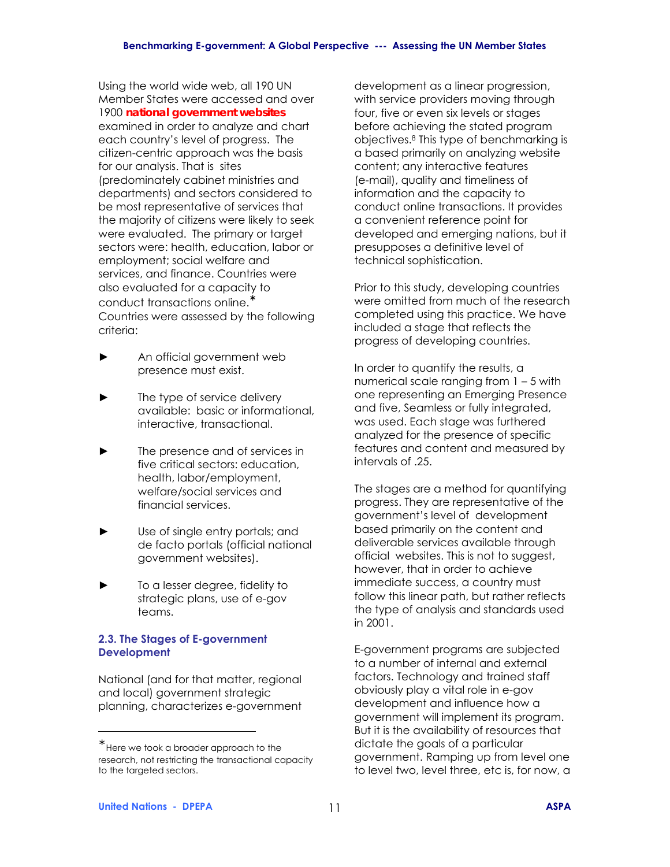Using the world wide web, all 190 UN Member States were accessed and over 1900 *national government websites* examined in order to analyze and chart each country's level of progress. The citizen-centric approach was the basis for our analysis. That is sites (predominately cabinet ministries and departments) and sectors considered to be most representative of services that the majority of citizens were likely to seek were evaluated. The primary or target sectors were: health, education, labor or employment; social welfare and services, and finance. Countries were also evaluated for a capacity to conduct transactions online.<sup>\*</sup> Countries were assessed by the following criteria:

- **►** An official government web presence must exist.
- The type of service delivery available: basic or informational, interactive, transactional.
- The presence and of services in five critical sectors: education, health, labor/employment, welfare/social services and financial services.
- Use of single entry portals; and de facto portals (official national government websites).
- **►** To a lesser degree, fidelity to strategic plans, use of e-gov teams.

# **2.3. The Stages of E-government Development**

National (and for that matter, regional and local) government strategic planning, characterizes e-government development as a linear progression, with service providers moving through four, five or even six levels or stages before achieving the stated program objectives.8 This type of benchmarking is a based primarily on analyzing website content; any interactive features (e-mail), quality and timeliness of information and the capacity to conduct online transactions. It provides a convenient reference point for developed and emerging nations, but it presupposes a definitive level of technical sophistication.

Prior to this study, developing countries were omitted from much of the research completed using this practice. We have included a stage that reflects the progress of developing countries.

In order to quantify the results, a numerical scale ranging from  $1 - 5$  with one representing an Emerging Presence and five, Seamless or fully integrated, was used. Each stage was furthered analyzed for the presence of specific features and content and measured by intervals of .25.

The stages are a method for quantifying progress. They are representative of the government's level of development based primarily on the content and deliverable services available through official websites. This is not to suggest, however, that in order to achieve immediate success, a country must follow this linear path, but rather reflects the type of analysis and standards used in 2001.

E-government programs are subjected to a number of internal and external factors. Technology and trained staff obviously play a vital role in e-gov development and influence how a government will implement its program. But it is the availability of resources that dictate the goals of a particular government. Ramping up from level one to level two, level three, etc is, for now, a

 $\overline{a}$ 

 $*$  Here we took a broader approach to the research, not restricting the transactional capacity to the targeted sectors.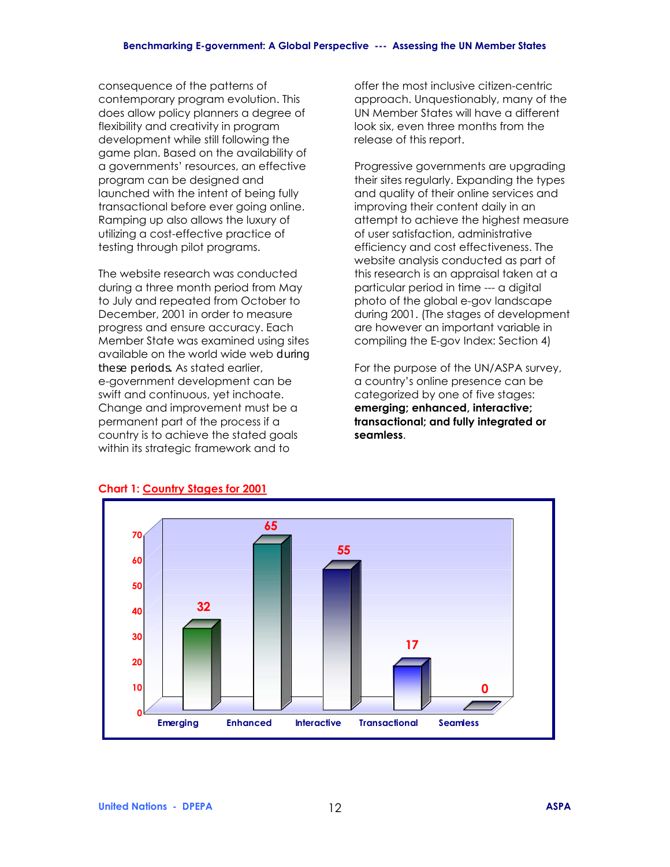consequence of the patterns of contemporary program evolution. This does allow policy planners a degree of flexibility and creativity in program development while still following the game plan. Based on the availability of a governmentsí resources, an effective program can be designed and launched with the intent of being fully transactional before ever going online. Ramping up also allows the luxury of utilizing a cost-effective practice of testing through pilot programs.

The website research was conducted during a three month period from May to July and repeated from October to December, 2001 in order to measure progress and ensure accuracy. Each Member State was examined using sites available on the world wide web *during these periods***.** As stated earlier, e-government development can be swift and continuous, yet inchoate. Change and improvement must be a permanent part of the process if a country is to achieve the stated goals within its strategic framework and to

offer the most inclusive citizen-centric approach. Unquestionably, many of the UN Member States will have a different look six, even three months from the release of this report.

Progressive governments are upgrading their sites regularly. Expanding the types and quality of their online services and improving their content daily in an attempt to achieve the highest measure of user satisfaction, administrative efficiency and cost effectiveness. The website analysis conducted as part of this research is an appraisal taken at a particular period in time --- a digital photo of the global e-gov landscape during 2001. (The stages of development are however an important variable in compiling the E-gov Index: Section 4)

For the purpose of the UN/ASPA survey, a countryís online presence can be categorized by one of five stages: **emerging; enhanced, interactive; transactional; and fully integrated or seamless**.



# **Chart 1: Country Stages for 2001**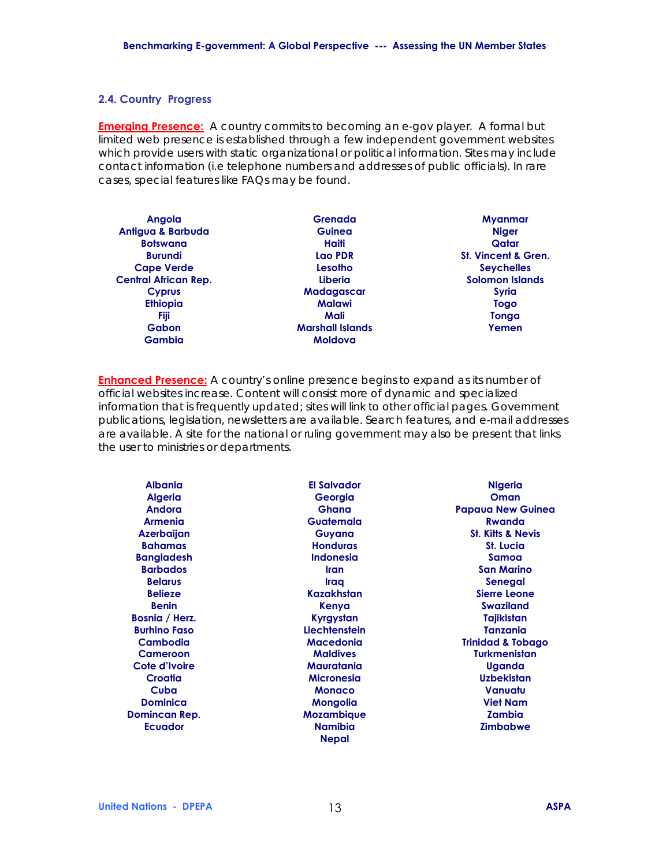#### **2.4. Country Progress**

**Emerging Presence:** *A country commits to becoming an e-gov player. A formal but limited web presence is established through a few independent government websites which provide users with static organizational or political information. Sites may include contact information (i.e telephone numbers and addresses of public officials). In rare cases, special features like FAQs may be found.* 

| <b>Angola</b>               | Grenada                 | <b>Myanmar</b>                 |
|-----------------------------|-------------------------|--------------------------------|
| Antigua & Barbuda           | Guinea                  | <b>Niger</b>                   |
| <b>Botswana</b>             | Haiti                   | Qatar                          |
| <b>Burundi</b>              | Lao PDR                 | <b>St. Vincent &amp; Gren.</b> |
| <b>Cape Verde</b>           | Lesotho                 | <b>Seychelles</b>              |
| <b>Central African Rep.</b> | Liberia                 | <b>Solomon Islands</b>         |
| <b>Cyprus</b>               | <b>Madagascar</b>       | <b>Syria</b>                   |
| <b>Ethiopia</b>             | <b>Malawi</b>           | Togo                           |
| <b>Fiji</b>                 | Mali                    | Tonga                          |
| <b>Gabon</b>                | <b>Marshall Islands</b> | Yemen                          |
| Gambia                      | Moldova                 |                                |

**Enhanced Presence:** *A country's online presence begins to expand as its number of official websites increase. Content will consist more of dynamic and specialized information that is frequently updated; sites will link to other official pages. Government publications, legislation, newsletters are available. Search features, and e-mail addresses are available. A site for the national or ruling government may also be present that links the user to ministries or departments.* 

| <b>Albania</b>      | <b>El Salvador</b> | <b>Nigeria</b>               |
|---------------------|--------------------|------------------------------|
| <b>Algeria</b>      | Georgia            | Oman                         |
| <b>Andora</b>       | <b>Ghana</b>       | <b>Papaua New Guinea</b>     |
| Armenia             | Guatemala          | <b>Rwanda</b>                |
| <b>Azerbaijan</b>   | Guyana             | <b>St. Kitts &amp; Nevis</b> |
| <b>Bahamas</b>      | <b>Honduras</b>    | <b>St. Lucia</b>             |
| <b>Bangladesh</b>   | <b>Indonesia</b>   | Samoa                        |
| <b>Barbados</b>     | <b>Iran</b>        | <b>San Marino</b>            |
| <b>Belarus</b>      | <b>Iraq</b>        | Senegal                      |
| <b>Belieze</b>      | Kazakhstan         | <b>Sierre Leone</b>          |
| <b>Benin</b>        | Kenya              | <b>Swaziland</b>             |
| Bosnia / Herz.      | Kyrgystan          | Tajikistan                   |
| <b>Burhino Faso</b> | Liechtenstein      | <b>Tanzania</b>              |
| Cambodia            | <b>Macedonia</b>   | <b>Trinidad &amp; Tobago</b> |
| Cameroon            | <b>Maldives</b>    | <b>Turkmenistan</b>          |
| Cote d'Ivoire       | Mauratania         | Uganda                       |
| Croatia             | <b>Micronesia</b>  | <b>Uzbekistan</b>            |
| Cuba                | <b>Monaco</b>      | Vanuatu                      |
| <b>Dominica</b>     | Mongolia           | <b>Viet Nam</b>              |
| Domincan Rep.       | <b>Mozambique</b>  | <b>Zambia</b>                |
| <b>Ecuador</b>      | <b>Namibia</b>     | <b>Zimbabwe</b>              |
|                     | <b>Nepal</b>       |                              |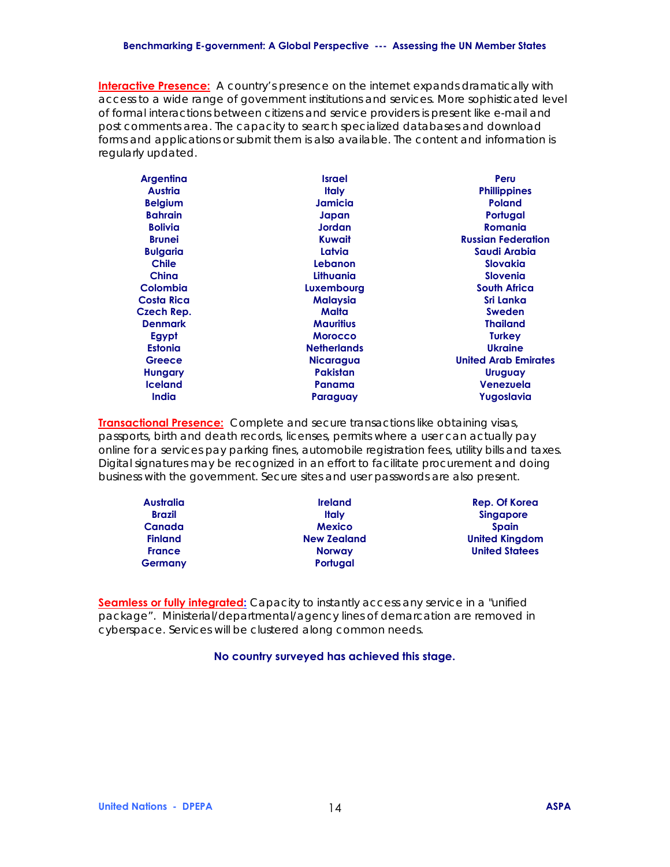#### **Benchmarking E-government: A Global Perspective --- Assessing the UN Member States**

**Interactive Presence:** *A country's presence on the internet expands dramatically with access to a wide range of government institutions and services. More sophisticated level of formal interactions between citizens and service providers is present like e-mail and post comments area. The capacity to search specialized databases and download forms and applications or submit them is also available. The content and information is regularly updated.* 

| <b>Argentina</b>  | <b>Israel</b>      | Peru                        |
|-------------------|--------------------|-----------------------------|
| Austria           | <b>Italy</b>       | <b>Phillippines</b>         |
| <b>Belgium</b>    | Jamicia            | <b>Poland</b>               |
| <b>Bahrain</b>    | Japan              | Portugal                    |
| <b>Bolivia</b>    | Jordan             | <b>Romania</b>              |
| <b>Brunei</b>     | Kuwait             | <b>Russian Federation</b>   |
| <b>Bulgaria</b>   | Latvia             | Saudi Arabia                |
| <b>Chile</b>      | Lebanon            | <b>Slovakia</b>             |
| China             | Lithuania          | <b>Slovenia</b>             |
| <b>Colombia</b>   | Luxembourg         | <b>South Africa</b>         |
| <b>Costa Rica</b> | <b>Malaysia</b>    | Sri Lanka                   |
| Czech Rep.        | Malta              | <b>Sweden</b>               |
| <b>Denmark</b>    | <b>Mauritius</b>   | <b>Thailand</b>             |
| Egypt             | <b>Morocco</b>     | <b>Turkey</b>               |
| <b>Estonia</b>    | <b>Netherlands</b> | <b>Ukraine</b>              |
| Greece            | <b>Nicaragua</b>   | <b>United Arab Emirates</b> |
| <b>Hungary</b>    | <b>Pakistan</b>    | <b>Uruguay</b>              |
| <b>Iceland</b>    | Panama             | Venezuela                   |
| <b>India</b>      | Paraguay           | Yugoslavia                  |

**Transactional Presence:** *Complete and secure transactions like obtaining visas, passports, birth and death records, licenses, permits where a user can actually pay online for a services pay parking fines, automobile registration fees, utility bills and taxes. Digital signatures may be recognized in an effort to facilitate procurement and doing business with the government. Secure sites and user passwords are also present.* 

| <b>Australia</b> | <b>Ireland</b>     | Rep. Of Korea         |
|------------------|--------------------|-----------------------|
| <b>Brazil</b>    | Italv              | <b>Singapore</b>      |
| <b>Canada</b>    | <b>Mexico</b>      | <b>Spain</b>          |
| <b>Finland</b>   | <b>New Zealand</b> | <b>United Kingdom</b> |
| <b>France</b>    | <b>Norway</b>      | <b>United Statees</b> |
| <b>Germany</b>   | Portugal           |                       |

**Seamless or fully integrated:** *Capacity to instantly access any service in a "unified package". Ministerial/departmental/agency lines of demarcation are removed in cyberspace. Services will be clustered along common needs.* 

#### **No country surveyed has achieved this stage.**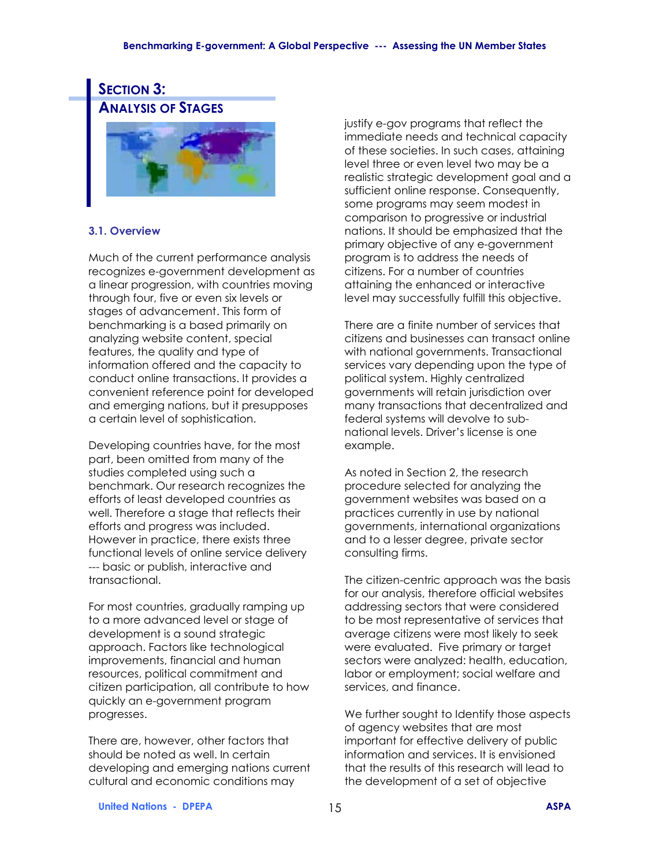#### **Benchmarking E-government: A Global Perspective --- Assessing the UN Member States**

# **SECTION 3: ANALYSIS OF STAGES**



#### **3.1. Overview**

Much of the current performance analysis recognizes e-government development as a linear progression, with countries moving through four, five or even six levels or stages of advancement. This form of benchmarking is a based primarily on analyzing website content, special features, the quality and type of information offered and the capacity to conduct online transactions. It provides a convenient reference point for developed and emerging nations, but it presupposes a certain level of sophistication.

Developing countries have, for the most part, been omitted from many of the studies completed using such a benchmark. Our research recognizes the efforts of least developed countries as well. Therefore a stage that reflects their efforts and progress was included. However in practice, there exists three functional levels of online service delivery --- basic or publish, interactive and transactional.

For most countries, gradually ramping up to a more advanced level or stage of development is a sound strategic approach. Factors like technological improvements, financial and human resources, political commitment and citizen participation, all contribute to how quickly an e-government program progresses.

There are, however, other factors that should be noted as well. In certain developing and emerging nations current cultural and economic conditions may

justify e-gov programs that reflect the immediate needs and technical capacity of these societies. In such cases, attaining level three or even level two may be a realistic strategic development goal and a sufficient online response. Consequently, some programs may seem modest in comparison to progressive or industrial nations. It should be emphasized that the primary objective of any e-government program is to address the needs of citizens. For a number of countries attaining the enhanced or interactive level may successfully fulfill this objective.

There are a finite number of services that citizens and businesses can transact online with national governments. Transactional services vary depending upon the type of political system. Highly centralized governments will retain jurisdiction over many transactions that decentralized and federal systems will devolve to subnational levels. Driver's license is one example.

As noted in Section 2, the research procedure selected for analyzing the government websites was based on a practices currently in use by national governments, international organizations and to a lesser degree, private sector consulting firms.

The citizen-centric approach was the basis for our analysis, therefore official websites addressing sectors that were considered to be most representative of services that average citizens were most likely to seek were evaluated. Five primary or target sectors were analyzed: health, education, labor or employment; social welfare and services, and finance.

We further sought to Identify those aspects of agency websites that are most important for effective delivery of public information and services. It is envisioned that the results of this research will lead to the development of a set of objective

**United Nations - DPEPA** 15 **ASPA**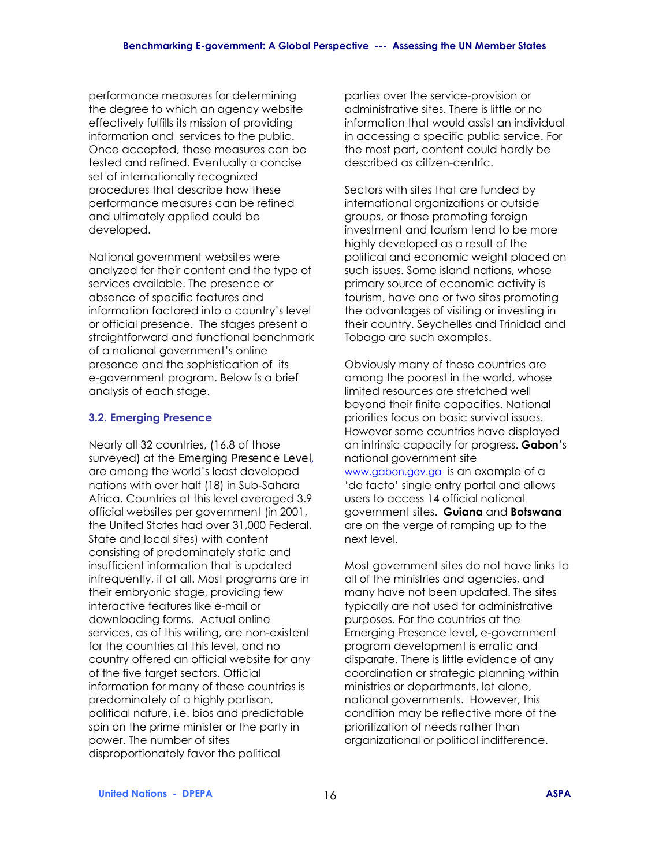performance measures for determining the degree to which an agency website effectively fulfills its mission of providing information and services to the public. Once accepted, these measures can be tested and refined. Eventually a concise set of internationally recognized procedures that describe how these performance measures can be refined and ultimately applied could be developed.

National government websites were analyzed for their content and the type of services available. The presence or absence of specific features and information factored into a country's level or official presence. The stages present a straightforward and functional benchmark of a national government's online presence and the sophistication of its e-government program. Below is a brief analysis of each stage.

#### **3.2. Emerging Presence**

Nearly all 32 countries, (16.8 of those surveyed) at the *Emerging Presence Level,* are among the world's least developed nations with over half (18) in Sub-Sahara Africa. Countries at this level averaged 3.9 official websites per government (in 2001, the United States had over 31,000 Federal, State and local sites) with content consisting of predominately static and insufficient information that is updated infrequently, if at all. Most programs are in their embryonic stage, providing few interactive features like e-mail or downloading forms. Actual online services, as of this writing, are non-existent for the countries at this level, and no country offered an official website for any of the five target sectors. Official information for many of these countries is predominately of a highly partisan, political nature, i.e. bios and predictable spin on the prime minister or the party in power. The number of sites disproportionately favor the political

parties over the service-provision or administrative sites. There is little or no information that would assist an individual in accessing a specific public service. For the most part, content could hardly be described as citizen-centric.

Sectors with sites that are funded by international organizations or outside groups, or those promoting foreign investment and tourism tend to be more highly developed as a result of the political and economic weight placed on such issues. Some island nations, whose primary source of economic activity is tourism, have one or two sites promoting the advantages of visiting or investing in their country. Seychelles and Trinidad and Tobago are such examples.

Obviously many of these countries are among the poorest in the world, whose limited resources are stretched well beyond their finite capacities. National priorities focus on basic survival issues. However some countries have displayed an intrinsic capacity for progress. **Gabon**ís national government site www.gabon.gov.ga is an example of a 'de facto' single entry portal and allows users to access 14 official national government sites. **Guiana** and **Botswana** are on the verge of ramping up to the next level.

Most government sites do not have links to all of the ministries and agencies, and many have not been updated. The sites typically are not used for administrative purposes. For the countries at the Emerging Presence level, e-government program development is erratic and disparate. There is little evidence of any coordination or strategic planning within ministries or departments, let alone, national governments. However, this condition may be reflective more of the prioritization of needs rather than organizational or political indifference.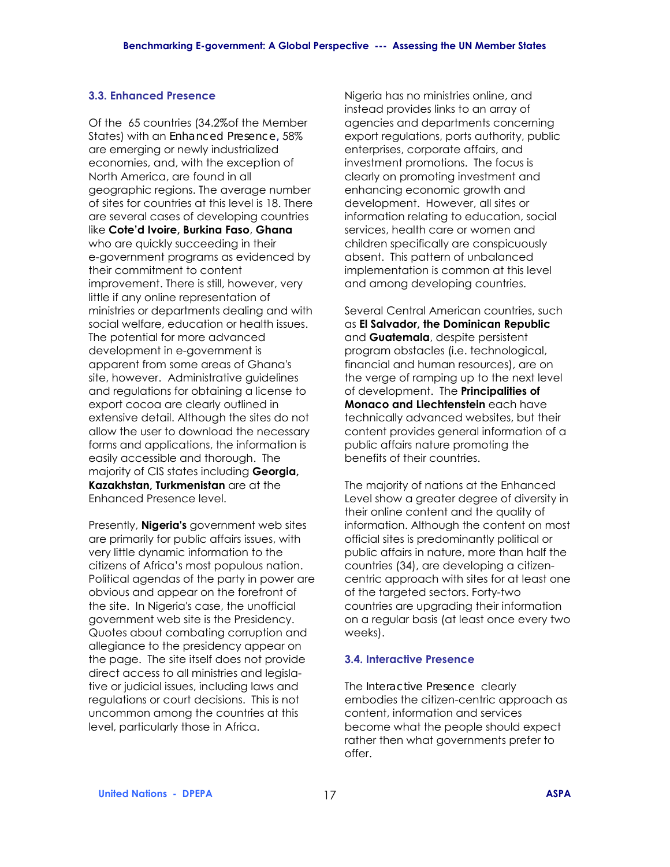# **3.3. Enhanced Presence**

Of the 65 countries (34.2%of the Member States) with an *Enhanced Presence,* 58% are emerging or newly industrialized economies, and, with the exception of North America, are found in all geographic regions. The average number of sites for countries at this level is 18. There are several cases of developing countries like **Coteíd Ivoire, Burkina Faso**, **Ghana** who are quickly succeeding in their e-government programs as evidenced by their commitment to content improvement. There is still, however, very little if any online representation of ministries or departments dealing and with social welfare, education or health issues. The potential for more advanced development in e-government is apparent from some areas of Ghana's site, however. Administrative guidelines and regulations for obtaining a license to export cocoa are clearly outlined in extensive detail. Although the sites do not allow the user to download the necessary forms and applications, the information is easily accessible and thorough. The majority of CIS states including **Georgia, Kazakhstan, Turkmenistan** are at the Enhanced Presence level.

Presently, **Nigeria's** government web sites are primarily for public affairs issues, with very little dynamic information to the citizens of Africa's most populous nation. Political agendas of the party in power are obvious and appear on the forefront of the site. In Nigeria's case, the unofficial government web site is the Presidency. Quotes about combating corruption and allegiance to the presidency appear on the page. The site itself does not provide direct access to all ministries and legislative or judicial issues, including laws and regulations or court decisions. This is not uncommon among the countries at this level, particularly those in Africa.

Nigeria has no ministries online, and instead provides links to an array of agencies and departments concerning export regulations, ports authority, public enterprises, corporate affairs, and investment promotions. The focus is clearly on promoting investment and enhancing economic growth and development. However, all sites or information relating to education, social services, health care or women and children specifically are conspicuously absent. This pattern of unbalanced implementation is common at this level and among developing countries.

Several Central American countries, such as **El Salvador, the Dominican Republic** and **Guatemala**, despite persistent program obstacles (i.e. technological, financial and human resources), are on the verge of ramping up to the next level of development. The **Principalities of Monaco and Liechtenstein** each have technically advanced websites, but their content provides general information of a public affairs nature promoting the benefits of their countries.

The majority of nations at the Enhanced Level show a greater degree of diversity in their online content and the quality of information. Although the content on most official sites is predominantly political or public affairs in nature, more than half the countries (34), are developing a citizencentric approach with sites for at least one of the targeted sectors. Forty-two countries are upgrading their information on a regular basis (at least once every two weeks).

#### **3.4. Interactive Presence**

The *Interactive Presence* clearly embodies the citizen-centric approach as content, information and services become what the people should expect rather then what governments prefer to offer.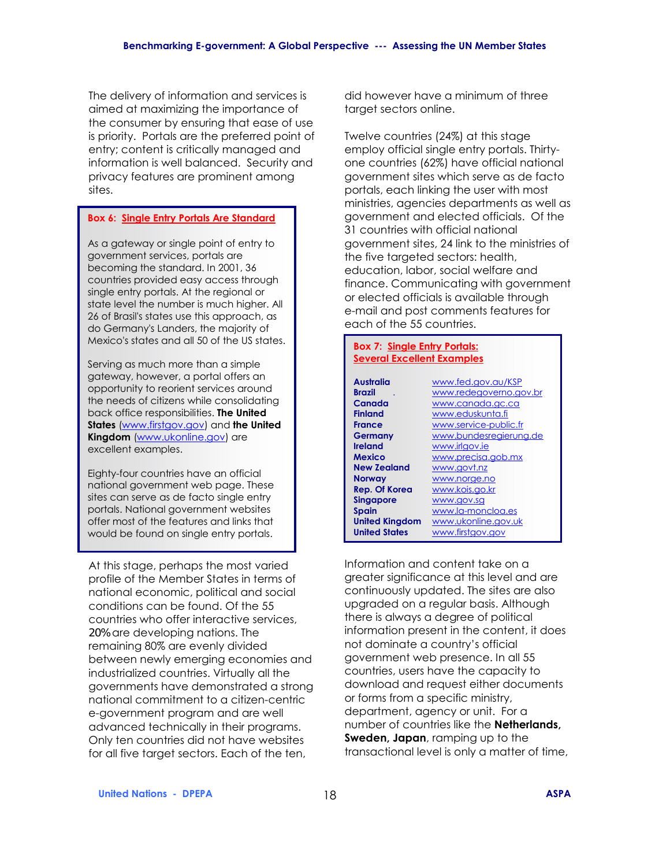The delivery of information and services is aimed at maximizing the importance of the consumer by ensuring that ease of use is priority. Portals are the preferred point of entry; content is critically managed and information is well balanced. Security and privacy features are prominent among sites.

#### **Box 6: Single Entry Portals Are Standard**

As a gateway or single point of entry to government services, portals are becoming the standard. In 2001, 36 countries provided easy access through single entry portals. At the regional or state level the number is much higher. All 26 of Brasil's states use this approach, as do Germany's Landers, the majority of Mexico's states and all 50 of the US states.

Serving as much more than a simple gateway, however, a portal offers an opportunity to reorient services around the needs of citizens while consolidating back office responsibilities. **The United States** (www.firstgov.gov) and **the United Kingdom** (www.ukonline.gov) are excellent examples.

Eighty-four countries have an official national government web page. These sites can serve as de facto single entry portals. National government websites offer most of the features and links that would be found on single entry portals.

At this stage, perhaps the most varied profile of the Member States in terms of national economic, political and social conditions can be found. Of the 55 countries who offer interactive services, *20%* are developing nations. The remaining 80% are evenly divided between newly emerging economies and industrialized countries. Virtually all the governments have demonstrated a strong national commitment to a citizen-centric e-government program and are well advanced technically in their programs. Only ten countries did not have websites for all five target sectors. Each of the ten,

did however have a minimum of three target sectors online.

Twelve countries (24%) at this stage employ official single entry portals. Thirtyone countries (62%) have official national government sites which serve as de facto portals, each linking the user with most ministries, agencies departments as well as government and elected officials. Of the 31 countries with official national government sites, 24 link to the ministries of the five targeted sectors: health, education, labor, social welfare and finance. Communicating with government or elected officials is available through e-mail and post comments features for each of the 55 countries.

#### **Box 7: Single Entry Portals: Several Excellent Examples**

| Australia             | www.fed.gov.gu/KSP     |
|-----------------------|------------------------|
| Brazil                | www.redegoverno.gov.br |
| Canada                | www.canada.gc.ca       |
| <b>Finland</b>        | www.eduskunta.fi       |
| France                | www.service-public.fr  |
| Germany               | www.bundesregierung.de |
| Ireland               | www.irlgov.ie          |
| Mexico                | www.precisa.gob.mx     |
| <b>New Zealand</b>    | www.govt.nz            |
| Norway                | www.norge.no           |
| <b>Rep. Of Korea</b>  | www.kois.go.kr         |
| Singapore             | www.gov.sg             |
| Spain                 | www.la-moncloa.es      |
| <b>United Kingdom</b> | www.ukonline.gov.uk    |
| <b>United States</b>  | www.firstgov.gov       |

Information and content take on a greater significance at this level and are continuously updated. The sites are also upgraded on a regular basis. Although there is always a degree of political information present in the content, it does not dominate a country's official government web presence. In all 55 countries, users have the capacity to download and request either documents or forms from a specific ministry, department, agency or unit. For a number of countries like the **Netherlands, Sweden, Japan**, ramping up to the transactional level is only a matter of time,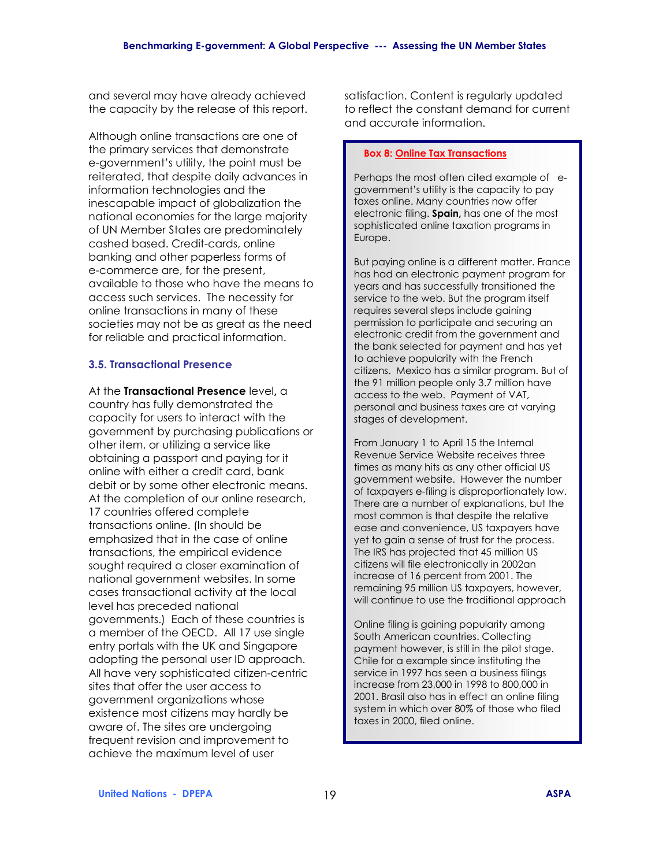and several may have already achieved the capacity by the release of this report.

Although online transactions are one of the primary services that demonstrate e-government's utility, the point must be reiterated, that despite daily advances in information technologies and the inescapable impact of globalization the national economies for the large majority of UN Member States are predominately cashed based. Credit-cards, online banking and other paperless forms of e-commerce are, for the present, available to those who have the means to access such services. The necessity for online transactions in many of these societies may not be as great as the need for reliable and practical information.

#### **3.5. Transactional Presence**

At the **Transactional Presence** level**,** a country has fully demonstrated the capacity for users to interact with the government by purchasing publications or other item, or utilizing a service like obtaining a passport and paying for it online with either a credit card, bank debit or by some other electronic means. At the completion of our online research, 17 countries offered complete transactions online. (In should be emphasized that in the case of online transactions, the empirical evidence sought required a closer examination of national government websites. In some cases transactional activity at the local level has preceded national governments.) Each of these countries is a member of the OECD. All 17 use single entry portals with the UK and Singapore adopting the personal user ID approach. All have very sophisticated citizen-centric sites that offer the user access to government organizations whose existence most citizens may hardly be aware of. The sites are undergoing frequent revision and improvement to achieve the maximum level of user

satisfaction. Content is regularly updated to reflect the constant demand for current and accurate information.

#### **Box 8: Online Tax Transactions**

Perhaps the most often cited example of egovernment's utility is the capacity to pay taxes online. Many countries now offer electronic filing. **Spain,** has one of the most sophisticated online taxation programs in Europe.

But paying online is a different matter. France has had an electronic payment program for years and has successfully transitioned the service to the web. But the program itself requires several steps include gaining permission to participate and securing an electronic credit from the government and the bank selected for payment and has yet to achieve popularity with the French citizens. Mexico has a similar program. But of the 91 million people only 3.7 million have access to the web. Payment of VAT, personal and business taxes are at varying stages of development.

From January 1 to April 15 the Internal Revenue Service Website receives three times as many hits as any other official US government website. However the number of taxpayers e-filing is disproportionately low. There are a number of explanations, but the most common is that despite the relative ease and convenience, US taxpayers have yet to gain a sense of trust for the process. The IRS has projected that 45 million US citizens will file electronically in 2002an increase of 16 percent from 2001. The remaining 95 million US taxpayers, however, will continue to use the traditional approach

Online filing is gaining popularity among South American countries. Collecting payment however, is still in the pilot stage. Chile for a example since instituting the service in 1997 has seen a business filings increase from 23,000 in 1998 to 800,000 in 2001. Brasil also has in effect an online filing system in which over 80% of those who filed taxes in 2000, filed online.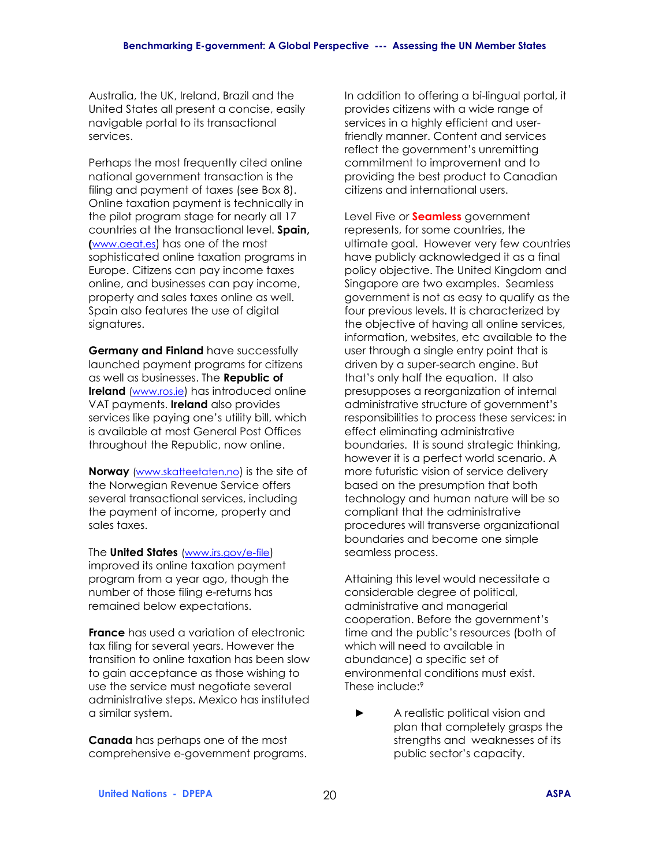Australia, the UK, Ireland, Brazil and the United States all present a concise, easily navigable portal to its transactional services.

Perhaps the most frequently cited online national government transaction is the filing and payment of taxes (see Box 8). Online taxation payment is technically in the pilot program stage for nearly all 17 countries at the transactional level. **Spain, (**www.aeat.es) has one of the most sophisticated online taxation programs in Europe. Citizens can pay income taxes online, and businesses can pay income, property and sales taxes online as well. Spain also features the use of digital signatures.

**Germany and Finland** have successfully launched payment programs for citizens as well as businesses. The **Republic of Ireland** (www.ros.ie) has introduced online VAT payments. **Ireland** also provides services like paying one's utility bill, which is available at most General Post Offices throughout the Republic, now online.

**Norway** (www.skatteetaten.no) is the site of the Norwegian Revenue Service offers several transactional services, including the payment of income, property and sales taxes.

The **United States** (www.irs.gov/e-file) improved its online taxation payment program from a year ago, though the number of those filing e-returns has remained below expectations.

**France** has used a variation of electronic tax filing for several years. However the transition to online taxation has been slow to gain acceptance as those wishing to use the service must negotiate several administrative steps. Mexico has instituted a similar system.

**Canada** has perhaps one of the most comprehensive e-government programs. In addition to offering a bi-lingual portal, it provides citizens with a wide range of services in a highly efficient and userfriendly manner. Content and services reflect the government's unremitting commitment to improvement and to providing the best product to Canadian citizens and international users.

Level Five or **Seamless** government represents, for some countries, the ultimate goal. However very few countries have publicly acknowledged it as a final policy objective. The United Kingdom and Singapore are two examples. Seamless government is not as easy to qualify as the four previous levels. It is characterized by the objective of having all online services, information, websites, etc available to the user through a single entry point that is driven by a super-search engine. But that's only half the equation. It also presupposes a reorganization of internal administrative structure of government's responsibilities to process these services: in effect eliminating administrative boundaries. It is sound strategic thinking, however it is a perfect world scenario. A more futuristic vision of service delivery based on the presumption that both technology and human nature will be so compliant that the administrative procedures will transverse organizational boundaries and become one simple seamless process.

Attaining this level would necessitate a considerable degree of political, administrative and managerial cooperation. Before the government's time and the public's resources (both of which will need to available in abundance) a specific set of environmental conditions must exist. These include:9

► A realistic political vision and plan that completely grasps the strengths and weaknesses of its public sector's capacity.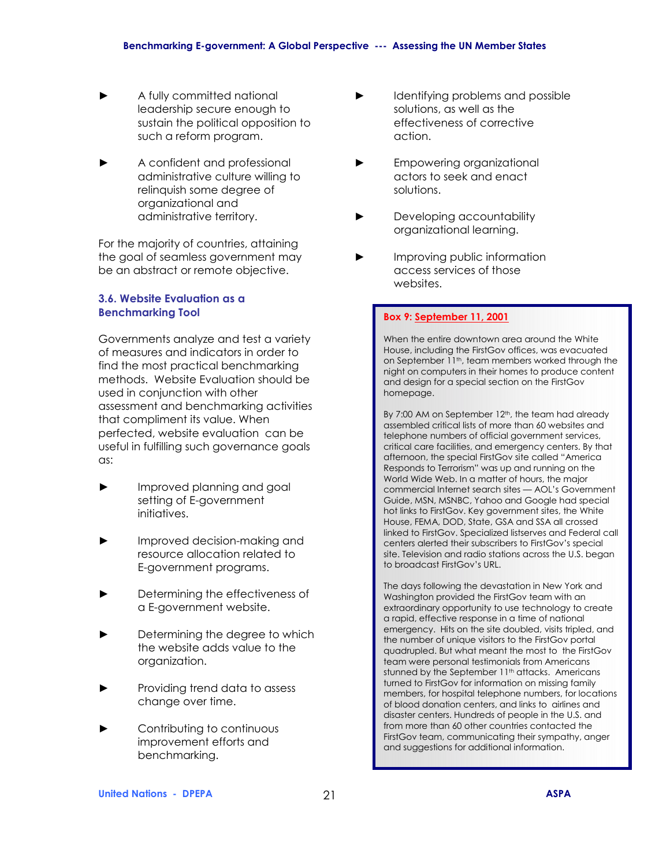- ► A fully committed national leadership secure enough to sustain the political opposition to such a reform program.
- ► A confident and professional administrative culture willing to relinquish some degree of organizational and administrative territory.

For the majority of countries, attaining the goal of seamless government may be an abstract or remote objective.

# **3.6. Website Evaluation as a Benchmarking Tool**

Governments analyze and test a variety of measures and indicators in order to find the most practical benchmarking methods. Website Evaluation should be used in conjunction with other assessment and benchmarking activities that compliment its value. When perfected, website evaluation can be useful in fulfilling such governance goals as:

- Improved planning and goal setting of E-government initiatives.
- Improved decision-making and resource allocation related to E-government programs.
- Determining the effectiveness of a E-government website.
- Determining the degree to which the website adds value to the organization.
- ► Providing trend data to assess change over time.
- Contributing to continuous improvement efforts and benchmarking.
- Identifying problems and possible solutions, as well as the effectiveness of corrective action.
- ► Empowering organizational actors to seek and enact solutions.
- Developing accountability organizational learning.
- Improving public information access services of those websites.

#### **Box 9: September 11, 2001**

When the entire downtown area around the White House, including the FirstGov offices, was evacuated on September 11<sup>th</sup>, team members worked through the night on computers in their homes to produce content and design for a special section on the FirstGov homepage.

By 7:00 AM on September 12<sup>th</sup>, the team had already assembled critical lists of more than 60 websites and telephone numbers of official government services, critical care facilities, and emergency centers. By that afternoon, the special FirstGov site called "America Responds to Terrorism" was up and running on the World Wide Web. In a matter of hours, the major commercial Internet search sites - AOL's Government Guide, MSN, MSNBC, Yahoo and Google had special hot links to FirstGov. Key government sites, the White House, FEMA, DOD, State, GSA and SSA all crossed linked to FirstGov. Specialized listserves and Federal call centers alerted their subscribers to FirstGov's special site. Television and radio stations across the U.S. began to broadcast FirstGov's URL.

The days following the devastation in New York and Washington provided the FirstGov team with an extraordinary opportunity to use technology to create a rapid, effective response in a time of national emergency. Hits on the site doubled, visits tripled, and the number of unique visitors to the FirstGov portal quadrupled. But what meant the most to the FirstGov team were personal testimonials from Americans stunned by the September 11<sup>th</sup> attacks. Americans turned to FirstGov for information on missing family members, for hospital telephone numbers, for locations of blood donation centers, and links to airlines and disaster centers. Hundreds of people in the U.S. and from more than 60 other countries contacted the FirstGov team, communicating their sympathy, anger and suggestions for additional information.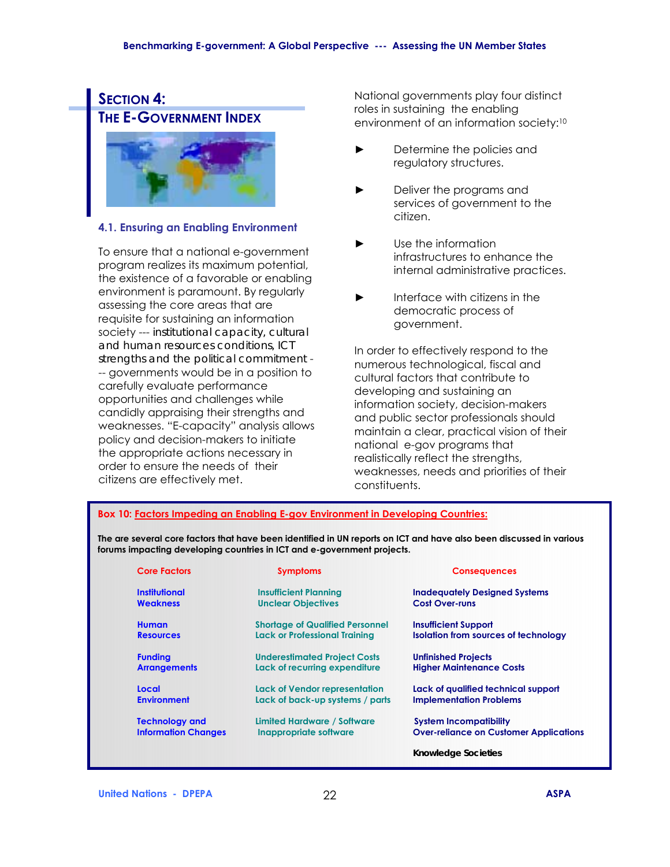

# **4.1. Ensuring an Enabling Environment**

To ensure that a national e-government program realizes its maximum potential, the existence of a favorable or enabling environment is paramount. By regularly assessing the core areas that are requisite for sustaining an information society --- *institutional capacity, cultural and human resources conditions, ICT strengths and the political commitment* - -- governments would be in a position to carefully evaluate performance opportunities and challenges while candidly appraising their strengths and weaknesses. "E-capacity" analysis allows policy and decision-makers to initiate the appropriate actions necessary in order to ensure the needs of their citizens are effectively met.

National governments play four distinct roles in sustaining the enabling environment of an information society:10

- ► Determine the policies and regulatory structures.
- ► Deliver the programs and services of government to the citizen.
- ► Use the information infrastructures to enhance the internal administrative practices.
- Interface with citizens in the democratic process of government.

In order to effectively respond to the numerous technological, fiscal and cultural factors that contribute to developing and sustaining an information society, decision-makers and public sector professionals should maintain a clear, practical vision of their national e-gov programs that realistically reflect the strengths, weaknesses, needs and priorities of their constituents.

#### **Box 10: Factors Impeding an Enabling E-gov Environment in Developing Countries:**

**The are several core factors that have been identified in UN reports on ICT and have also been discussed in various forums impacting developing countries in ICT and e-government projects.** 

| <b>Core Factors</b>        | <b>Symptoms</b>                        | <b>Consequences</b>                           |
|----------------------------|----------------------------------------|-----------------------------------------------|
| Institutional              | <b>Insufficient Planning</b>           | <b>Inadequately Designed Systems</b>          |
| <b>Weakness</b>            | <b>Unclear Objectives</b>              | <b>Cost Over-runs</b>                         |
| <b>Human</b>               | <b>Shortage of Qualified Personnel</b> | <b>Insufficient Support</b>                   |
| <b>Resources</b>           | <b>Lack or Professional Training</b>   | <b>Isolation from sources of technology</b>   |
| <b>Funding</b>             | <b>Underestimated Project Costs</b>    | <b>Unfinished Projects</b>                    |
| <b>Arrangements</b>        | Lack of recurring expenditure          | <b>Higher Maintenance Costs</b>               |
| Local                      | <b>Lack of Vendor representation</b>   | Lack of qualified technical support           |
| <b>Environment</b>         | Lack of back-up systems / parts        | <b>Implementation Problems</b>                |
| <b>Technology and</b>      | Limited Hardware / Software            | <b>System Incompatibility</b>                 |
| <b>Information Changes</b> | Inappropriate software                 | <b>Over-reliance on Customer Applications</b> |
|                            |                                        | <b>Knowledge Societies</b>                    |
|                            |                                        |                                               |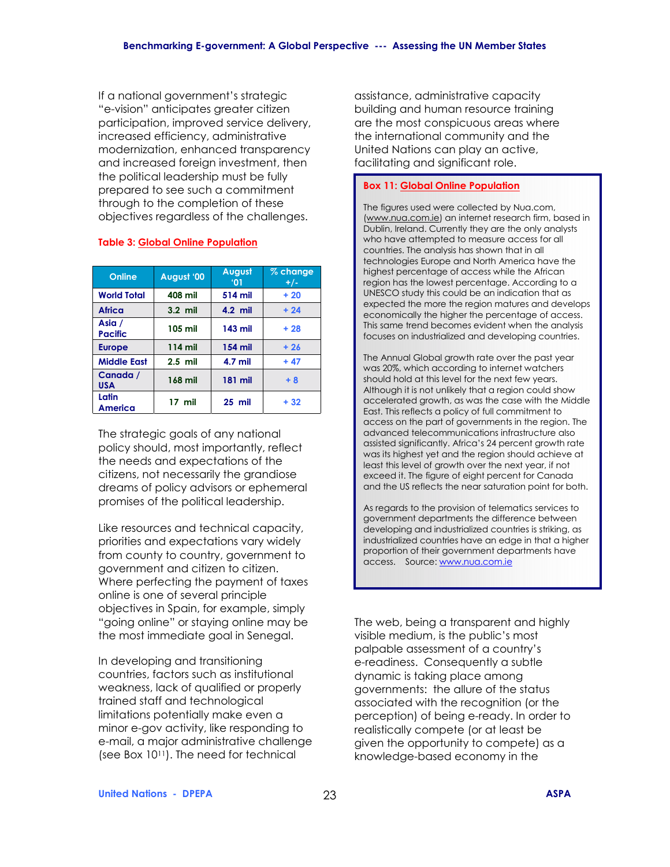If a national government's strategic "e-vision" anticipates greater citizen participation, improved service delivery, increased efficiency, administrative modernization, enhanced transparency and increased foreign investment, then the political leadership must be fully prepared to see such a commitment through to the completion of these objectives regardless of the challenges.

| Online                   | August '00 | August<br>$^{\circ}$ 01 | % change<br>$+/-$ |
|--------------------------|------------|-------------------------|-------------------|
| <b>World Total</b>       | 408 mil    | 514 mil                 | $+20$             |
| <b>Africa</b>            | $3.2$ mil  | $4.2$ mil               | $+24$             |
| Asia /<br><b>Pacific</b> | 105 mil    | 143 mil                 | $+28$             |
| <b>Europe</b>            | 114 mil    | 154 mil                 | $+26$             |
| <b>Middle East</b>       | $2.5$ mil  | 4.7 mil                 | $+47$             |
| Canada /<br><b>USA</b>   | 168 mil    | 181 mil                 | $+8$              |
| Latin<br>America         | $17$ mil   | $25$ mil                | $+32$             |

#### **Table 3: Global Online Population**

The strategic goals of any national policy should, most importantly, reflect the needs and expectations of the citizens, not necessarily the grandiose dreams of policy advisors or ephemeral promises of the political leadership.

Like resources and technical capacity, priorities and expectations vary widely from county to country, government to government and citizen to citizen. Where perfecting the payment of taxes online is one of several principle objectives in Spain, for example, simply "going online" or staying online may be the most immediate goal in Senegal.

In developing and transitioning countries, factors such as institutional weakness, lack of qualified or properly trained staff and technological limitations potentially make even a minor e-gov activity, like responding to e-mail, a major administrative challenge (see Box 1011). The need for technical

assistance, administrative capacity building and human resource training are the most conspicuous areas where the international community and the United Nations can play an active, facilitating and significant role.

#### **Box 11: Global Online Population**

The figures used were collected by Nua.com, (www.nua.com.ie) an internet research firm, based in Dublin, Ireland. Currently they are the only analysts who have attempted to measure access for all countries. The analysis has shown that in all technologies Europe and North America have the highest percentage of access while the African region has the lowest percentage. According to a UNESCO study this could be an indication that as expected the more the region matures and develops economically the higher the percentage of access. This same trend becomes evident when the analysis focuses on industrialized and developing countries.

The Annual Global growth rate over the past year was 20%, which according to internet watchers should hold at this level for the next few years. Although it is not unlikely that a region could show accelerated growth, as was the case with the Middle East. This reflects a policy of full commitment to access on the part of governments in the region. The advanced telecommunications infrastructure also assisted significantly. Africa's 24 percent growth rate was its highest yet and the region should achieve at least this level of growth over the next year, if not exceed it. The figure of eight percent for Canada and the US reflects the near saturation point for both.

As regards to the provision of telematics services to government departments the difference between developing and industrialized countries is striking, as industrialized countries have an edge in that a higher proportion of their government departments have access. Source: www.nua.com.ie

The web, being a transparent and highly visible medium, is the public's most palpable assessment of a countryís e-readiness. Consequently a subtle dynamic is taking place among governments: the allure of the status associated with the recognition (or the perception) of being e-ready. In order to realistically compete (or at least be given the opportunity to compete) as a knowledge-based economy in the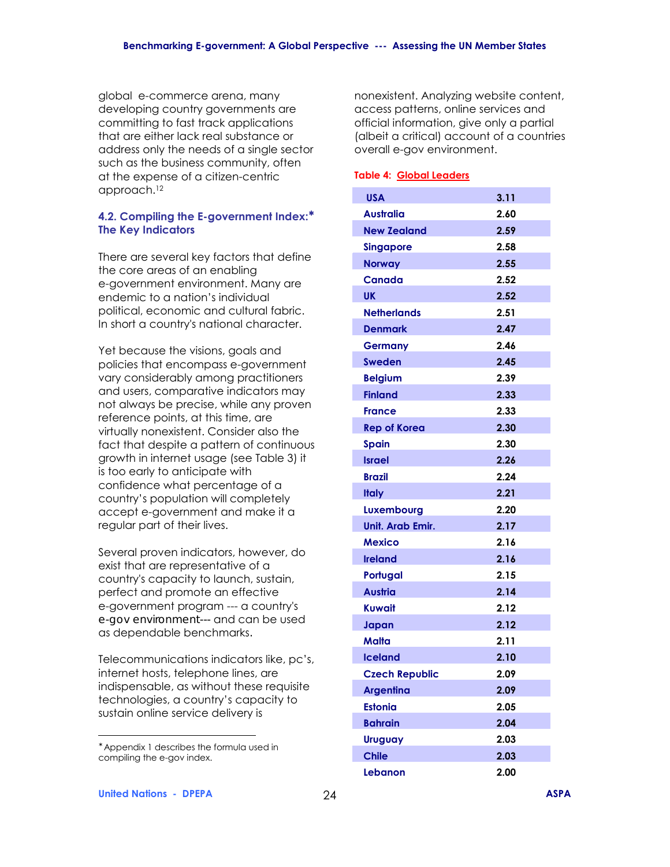global e-commerce arena, many developing country governments are committing to fast track applications that are either lack real substance or address only the needs of a single sector such as the business community, often at the expense of a citizen-centric approach.12

#### **4.2. Compiling the E-government Index:**<sup>∗</sup> **The Key Indicators**

There are several key factors that define the core areas of an enabling e-government environment. Many are endemic to a nation's individual political, economic and cultural fabric. In short a country's national character.

Yet because the visions, goals and policies that encompass e-government vary considerably among practitioners and users, comparative indicators may not always be precise, while any proven reference points, at this time, are virtually nonexistent. Consider also the fact that despite a pattern of continuous growth in internet usage (see Table 3) it is too early to anticipate with confidence what percentage of a country's population will completely accept e-government and make it a regular part of their lives.

Several proven indicators, however, do exist that are representative of a country's capacity to launch, sustain, perfect and promote an effective e-government program --- a country's *e-gov environment---* and can be used as dependable benchmarks*.*

Telecommunications indicators like, pc's, internet hosts, telephone lines, are indispensable, as without these requisite technologies, a country's capacity to sustain online service delivery is

nonexistent. Analyzing website content, access patterns, online services and official information, give only a partial (albeit a critical) account of a countries overall e-gov environment.

#### **Table 4: Global Leaders**

| <b>USA</b>            | 3.11 |
|-----------------------|------|
| <b>Australia</b>      | 2.60 |
| <b>New Zealand</b>    | 2.59 |
| <b>Singapore</b>      | 2.58 |
| <b>Norway</b>         | 2.55 |
| <b>Canada</b>         | 2.52 |
| UK.                   | 2.52 |
| <b>Netherlands</b>    | 2.51 |
| <b>Denmark</b>        | 2.47 |
| <b>Germany</b>        | 2.46 |
| Sweden                | 2.45 |
| <b>Belgium</b>        | 2.39 |
| <b>Finland</b>        | 2.33 |
| <b>France</b>         | 2.33 |
| <b>Rep of Korea</b>   | 2.30 |
| <b>Spain</b>          | 2.30 |
| <b>Israel</b>         | 2.26 |
| <b>Brazil</b>         | 2.24 |
| <b>Italy</b>          | 2.21 |
| Luxembourg            | 2.20 |
| Unit. Arab Emir.      | 2.17 |
| <b>Mexico</b>         | 2.16 |
| <b>Ireland</b>        | 2.16 |
| Portugal              | 2.15 |
| Austria               | 2.14 |
| Kuwait                | 2.12 |
| Japan                 | 2.12 |
| Malta                 | 2.11 |
| <b>Iceland</b>        | 2.10 |
| <b>Czech Republic</b> | 2.09 |
| <b>Argentina</b>      | 2.09 |
| <b>Estonia</b>        | 2.05 |
| <b>Bahrain</b>        | 2.04 |
| <b>Uruguay</b>        | 2.03 |
| <b>Chile</b>          | 2.03 |
| Lebanon               | 2.00 |

 $\overline{a}$ 

<sup>∗</sup> Appendix 1 describes the formula used in compiling the e-gov index.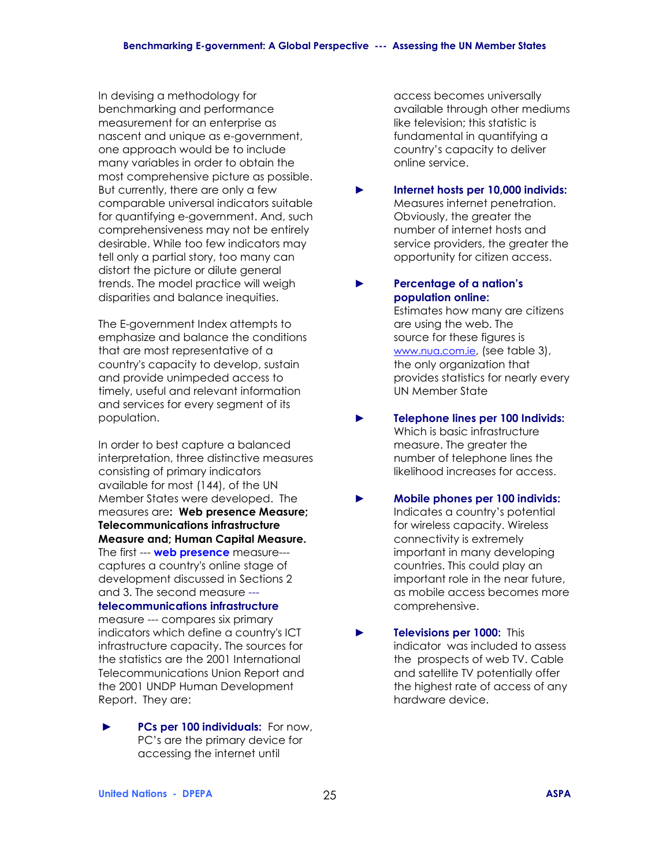In devising a methodology for benchmarking and performance measurement for an enterprise as nascent and unique as e-government, one approach would be to include many variables in order to obtain the most comprehensive picture as possible. But currently, there are only a few comparable universal indicators suitable for quantifying e-government. And, such comprehensiveness may not be entirely desirable. While too few indicators may tell only a partial story, too many can distort the picture or dilute general trends. The model practice will weigh disparities and balance inequities.

The E-government Index attempts to emphasize and balance the conditions that are most representative of a country's capacity to develop, sustain and provide unimpeded access to timely, useful and relevant information and services for every segment of its population.

In order to best capture a balanced interpretation, three distinctive measures consisting of primary indicators available for most (144), of the UN Member States were developed. The measures are**: Web presence Measure; Telecommunications infrastructure Measure and; Human Capital Measure.**  The first --- **web presence** measure-- captures a country's online stage of development discussed in Sections 2 and 3. The second measure -- **telecommunications infrastructure**  measure --- compares six primary

indicators which define a country's ICT infrastructure capacity*.* The sources for the statistics are the 2001 International Telecommunications Union Report and the 2001 UNDP Human Development Report. They are:

► **PCs per 100 individuals:** For now, PC's are the primary device for accessing the internet until

 access becomes universally available through other mediums like television; this statistic is fundamental in quantifying a countryís capacity to deliver online service.

# ► **Internet hosts per 10,000 individs:** Measures internet penetration. Obviously, the greater the number of internet hosts and service providers, the greater the opportunity for citizen access.

# ► **Percentage of a nationís population online:**

Estimates how many are citizens are using the web. The source for these figures is www.nua.com.ie, (see table 3), the only organization that provides statistics for nearly every UN Member State

- ► **Telephone lines per 100 Individs:**  Which is basic infrastructure measure. The greater the number of telephone lines the likelihood increases for access.
- ► **Mobile phones per 100 individs:**  Indicates a country's potential for wireless capacity. Wireless connectivity is extremely important in many developing countries. This could play an important role in the near future, as mobile access becomes more comprehensive.
- ► **Televisions per 1000:** This indicator was included to assess the prospects of web TV. Cable and satellite TV potentially offer the highest rate of access of any hardware device.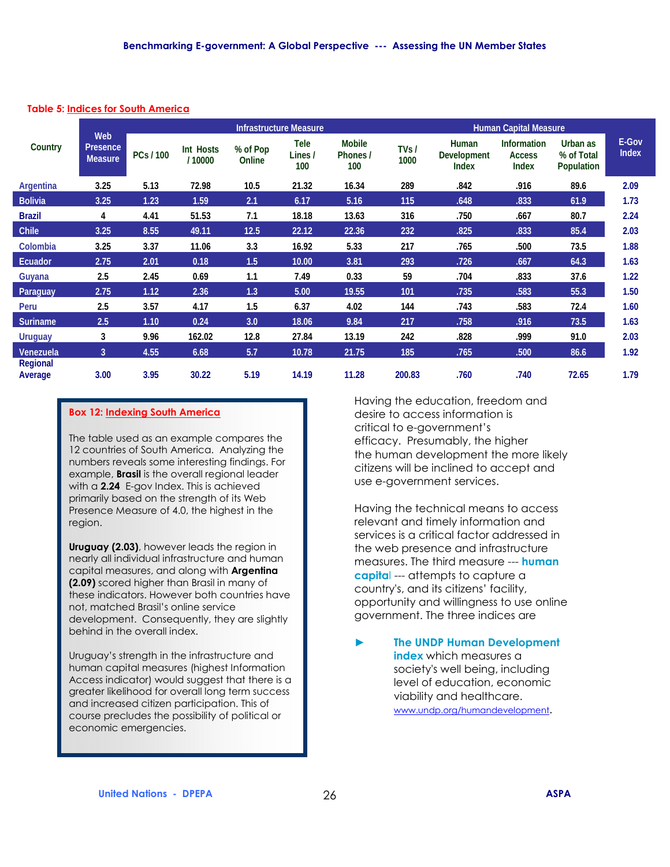#### **Table 5: Indices for South America**

|                            |                                   |           |                      |                    | <b>Infrastructure Measure</b> |                                  |              |                                                    | <b>Human Capital Measure</b>                        |                                             |                       |
|----------------------------|-----------------------------------|-----------|----------------------|--------------------|-------------------------------|----------------------------------|--------------|----------------------------------------------------|-----------------------------------------------------|---------------------------------------------|-----------------------|
| Country                    | Web<br>Presence<br><b>Measure</b> | PCs / 100 | Int Hosts<br>/ 10000 | % of Pop<br>Online | <b>Tele</b><br>Lines /<br>100 | <b>Mobile</b><br>Phones /<br>100 | TVs/<br>1000 | <b>Human</b><br><b>Development</b><br><b>Index</b> | <b>Information</b><br><b>Access</b><br><b>Index</b> | Urban as<br>% of Total<br><b>Population</b> | E-Gov<br><b>Index</b> |
| Argentina                  | 3.25                              | 5.13      | 72.98                | 10.5               | 21.32                         | 16.34                            | 289          | .842                                               | .916                                                | 89.6                                        | 2.09                  |
| <b>Bolivia</b>             | 3.25                              | 1.23      | 1.59                 | 2.1                | 6.17                          | 5.16                             | 115          | .648                                               | .833                                                | 61.9                                        | 1.73                  |
| <b>Brazil</b>              | 4                                 | 4.41      | 51.53                | 7.1                | 18.18                         | 13.63                            | 316          | .750                                               | .667                                                | 80.7                                        | 2.24                  |
| Chile                      | 3.25                              | 8.55      | 49.11                | 12.5               | 22.12                         | 22.36                            | 232          | .825                                               | .833                                                | 85.4                                        | 2.03                  |
| Colombia                   | 3.25                              | 3.37      | 11.06                | 3.3                | 16.92                         | 5.33                             | 217          | .765                                               | .500                                                | 73.5                                        | 1.88                  |
| Ecuador                    | 2.75                              | 2.01      | 0.18                 | 1.5                | 10.00                         | 3.81                             | 293          | .726                                               | .667                                                | 64.3                                        | 1.63                  |
| Guyana                     | 2.5                               | 2.45      | 0.69                 | 1.1                | 7.49                          | 0.33                             | 59           | .704                                               | .833                                                | 37.6                                        | 1.22                  |
| Paraguay                   | 2.75                              | 1.12      | 2.36                 | 1.3                | 5.00                          | 19.55                            | 101          | .735                                               | .583                                                | 55.3                                        | 1.50                  |
| Peru                       | 2.5                               | 3.57      | 4.17                 | 1.5                | 6.37                          | 4.02                             | 144          | .743                                               | .583                                                | 72.4                                        | 1.60                  |
| <b>Suriname</b>            | 2.5                               | 1.10      | 0.24                 | 3.0                | 18.06                         | 9.84                             | 217          | .758                                               | .916                                                | 73.5                                        | 1.63                  |
| <b>Uruguay</b>             | 3                                 | 9.96      | 162.02               | 12.8               | 27.84                         | 13.19                            | 242          | .828                                               | .999                                                | 91.0                                        | 2.03                  |
| Venezuela                  | 3                                 | 4.55      | 6.68                 | 5.7                | 10.78                         | 21.75                            | 185          | .765                                               | .500                                                | 86.6                                        | 1.92                  |
| <b>Regional</b><br>Average | 3.00                              | 3.95      | 30.22                | 5.19               | 14.19                         | 11.28                            | 200.83       | .760                                               | .740                                                | 72.65                                       | 1.79                  |

#### **Box 12: Indexing South America**

The table used as an example compares the 12 countries of South America. Analyzing the numbers reveals some interesting findings. For example, **Brasil** is the overall regional leader with a **2.24** E-gov Index. This is achieved primarily based on the strength of its Web Presence Measure of 4.0, the highest in the region.

**Uruguay (2.03)**, however leads the region in nearly all individual infrastructure and human capital measures, and along with **Argentina (2.09)** scored higher than Brasil in many of these indicators. However both countries have not, matched Brasil's online service development. Consequently, they are slightly behind in the overall index.

Uruguay's strength in the infrastructure and human capital measures (highest Information Access indicator) would suggest that there is a greater likelihood for overall long term success and increased citizen participation. This of course precludes the possibility of political or economic emergencies.

Having the education, freedom and desire to access information is critical to e-government's efficacy. Presumably, the higher the human development the more likely citizens will be inclined to accept and use e-government services.

Having the technical means to access relevant and timely information and services is a critical factor addressed in the web presence and infrastructure measures. The third measure --- **human capita**l --- attempts to capture a country's, and its citizens' facility, opportunity and willingness to use online government. The three indices are

► **The UNDP Human Development index** which measures a society's well being, including level of education, economic viability and healthcare. www.undp.org/humandevelopment.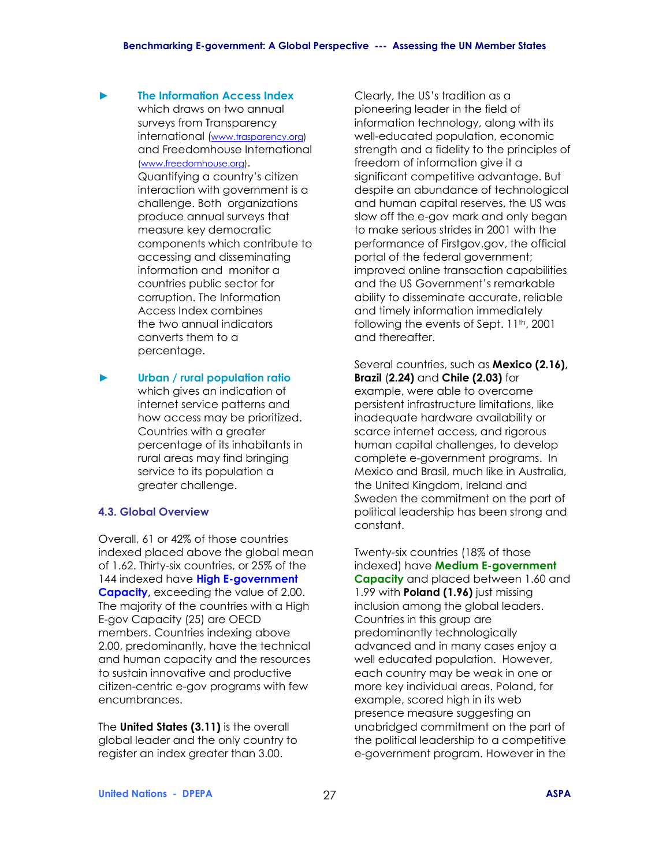- ► **The Information Access Index**  which draws on two annual surveys from Transparency international (www.trasparency.org) and Freedomhouse International (www.freedomhouse.org). Quantifying a country's citizen interaction with government is a challenge. Both organizations produce annual surveys that measure key democratic components which contribute to accessing and disseminating information and monitor a countries public sector for corruption. The Information Access Index combines the two annual indicators converts them to a percentage.
- ► **Urban / rural population ratio** which gives an indication of internet service patterns and how access may be prioritized. Countries with a greater percentage of its inhabitants in rural areas may find bringing service to its population a greater challenge.

#### **4.3. Global Overview**

Overall, 61 or 42% of those countries indexed placed above the global mean of 1.62. Thirty-six countries, or 25% of the 144 indexed have **High E-government Capacity,** exceeding the value of 2.00. The majority of the countries with a High E-gov Capacity (25) are OECD members. Countries indexing above 2.00, predominantly, have the technical and human capacity and the resources to sustain innovative and productive citizen-centric e-gov programs with few encumbrances.

The **United States (3.11)** is the overall global leader and the only country to register an index greater than 3.00.

Clearly, the US's tradition as a pioneering leader in the field of information technology, along with its well-educated population, economic strength and a fidelity to the principles of freedom of information give it a significant competitive advantage. But despite an abundance of technological and human capital reserves, the US was slow off the e-gov mark and only began to make serious strides in 2001 with the performance of Firstgov.gov, the official portal of the federal government; improved online transaction capabilities and the US Government's remarkable ability to disseminate accurate, reliable and timely information immediately following the events of Sept. 11<sup>th</sup>, 2001 and thereafter.

Several countries, such as **Mexico (2.16), Brazil** (**2.24)** and **Chile (2.03)** for example, were able to overcome persistent infrastructure limitations, like inadequate hardware availability or scarce internet access, and rigorous human capital challenges, to develop complete e-government programs. In Mexico and Brasil, much like in Australia, the United Kingdom, Ireland and Sweden the commitment on the part of political leadership has been strong and constant.

Twenty-six countries (18% of those indexed) have **Medium E-government Capacity** and placed between 1.60 and 1.99 with **Poland (1.96)** just missing inclusion among the global leaders. Countries in this group are predominantly technologically advanced and in many cases enjoy a well educated population. However, each country may be weak in one or more key individual areas. Poland, for example, scored high in its web presence measure suggesting an unabridged commitment on the part of the political leadership to a competitive e-government program. However in the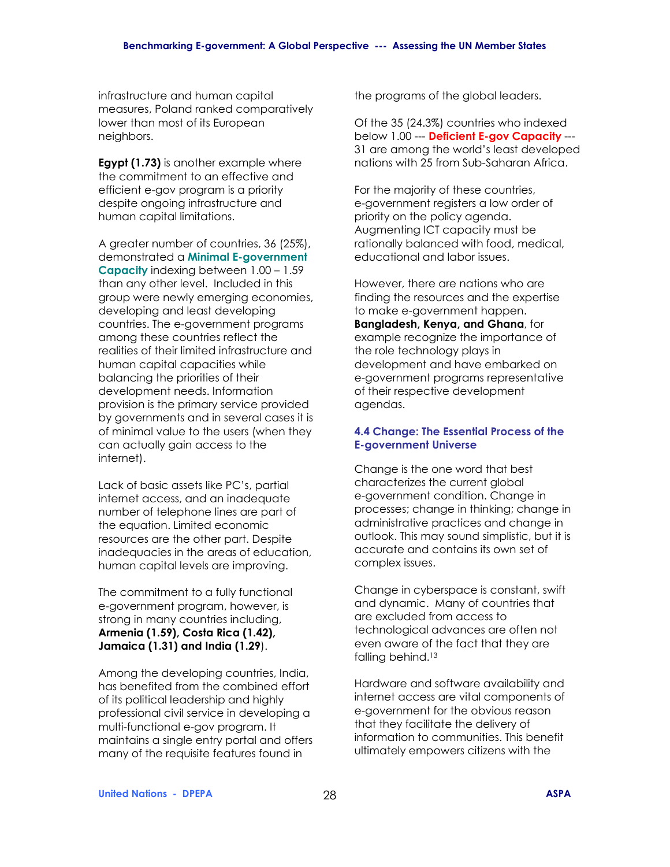infrastructure and human capital measures, Poland ranked comparatively lower than most of its European neighbors.

**Egypt (1.73)** is another example where the commitment to an effective and efficient e-gov program is a priority despite ongoing infrastructure and human capital limitations.

A greater number of countries, 36 (25%), demonstrated a **Minimal E-government Capacity** indexing between 1.00 - 1.59 than any other level. Included in this group were newly emerging economies, developing and least developing countries. The e-government programs among these countries reflect the realities of their limited infrastructure and human capital capacities while balancing the priorities of their development needs. Information provision is the primary service provided by governments and in several cases it is of minimal value to the users (when they can actually gain access to the internet).

Lack of basic assets like PC's, partial internet access, and an inadequate number of telephone lines are part of the equation. Limited economic resources are the other part. Despite inadequacies in the areas of education, human capital levels are improving.

The commitment to a fully functional e-government program, however, is strong in many countries including, **Armenia (1.59), Costa Rica (1.42), Jamaica (1.31) and India (1.29**).

Among the developing countries, India, has benefited from the combined effort of its political leadership and highly professional civil service in developing a multi-functional e-gov program. It maintains a single entry portal and offers many of the requisite features found in

the programs of the global leaders.

Of the 35 (24.3%) countries who indexed below 1.00 --- **Deficient E-gov Capacity** --- 31 are among the world's least developed nations with 25 from Sub-Saharan Africa.

For the majority of these countries, e-government registers a low order of priority on the policy agenda. Augmenting ICT capacity must be rationally balanced with food, medical, educational and labor issues.

However, there are nations who are finding the resources and the expertise to make e-government happen. **Bangladesh, Kenya, and Ghana**, for example recognize the importance of the role technology plays in development and have embarked on e-government programs representative of their respective development agendas.

# **4.4 Change: The Essential Process of the E-government Universe**

Change is the one word that best characterizes the current global e-government condition. Change in processes; change in thinking; change in administrative practices and change in outlook. This may sound simplistic, but it is accurate and contains its own set of complex issues.

Change in cyberspace is constant, swift and dynamic. Many of countries that are excluded from access to technological advances are often not even aware of the fact that they are falling behind.<sup>13</sup>

Hardware and software availability and internet access are vital components of e-government for the obvious reason that they facilitate the delivery of information to communities. This benefit ultimately empowers citizens with the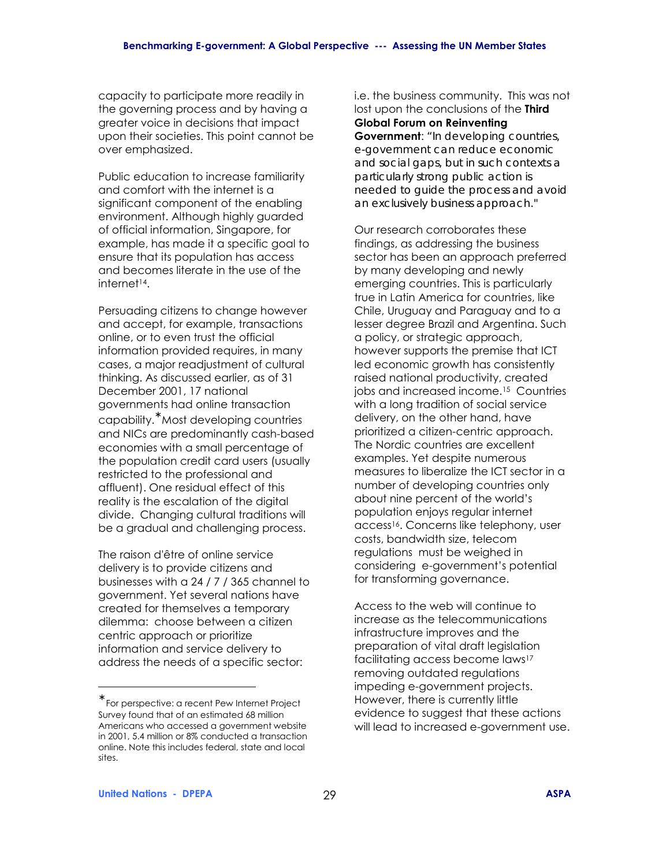capacity to participate more readily in the governing process and by having a greater voice in decisions that impact upon their societies. This point cannot be over emphasized.

Public education to increase familiarity and comfort with the internet is a significant component of the enabling environment. Although highly guarded of official information, Singapore, for example, has made it a specific goal to ensure that its population has access and becomes literate in the use of the internet14.

Persuading citizens to change however and accept, for example, transactions online, or to even trust the official information provided requires, in many cases, a major readjustment of cultural thinking. As discussed earlier, as of 31 December 2001, 17 national governments had online transaction capability.<sup>∗</sup> Most developing countries and NICs are predominantly cash-based economies with a small percentage of the population credit card users (usually restricted to the professional and affluent). One residual effect of this reality is the escalation of the digital divide. Changing cultural traditions will be a gradual and challenging process.

The raison d'être of online service delivery is to provide citizens and businesses with a 24 / 7 / 365 channel to government. Yet several nations have created for themselves a temporary dilemma: choose between a citizen centric approach or prioritize information and service delivery to address the needs of a specific sector:

i.e. the business community. This was not lost upon the conclusions of the **Third Global Forum on Reinventing** 

**Government**: *"In developing countries, e-government can reduce economic and social gaps, but in such contexts a particularly strong public action is needed to guide the process and avoid an exclusively business approach."*

Our research corroborates these findings, as addressing the business sector has been an approach preferred by many developing and newly emerging countries. This is particularly true in Latin America for countries, like Chile, Uruguay and Paraguay and to a lesser degree Brazil and Argentina. Such a policy, or strategic approach, however supports the premise that ICT led economic growth has consistently raised national productivity, created jobs and increased income.15 Countries with a long tradition of social service delivery, on the other hand, have prioritized a citizen-centric approach. The Nordic countries are excellent examples. Yet despite numerous measures to liberalize the ICT sector in a number of developing countries only about nine percent of the world's population enjoys regular internet access16. Concerns like telephony, user costs, bandwidth size, telecom regulations must be weighed in considering e-government's potential for transforming governance.

Access to the web will continue to increase as the telecommunications infrastructure improves and the preparation of vital draft legislation facilitating access become laws17 removing outdated regulations impeding e-government projects. However, there is currently little evidence to suggest that these actions will lead to increased e-government use.

 $\overline{a}$ 

<sup>∗</sup> For perspective: a recent Pew Internet Project Survey found that of an estimated 68 million Americans who accessed a government website in 2001, 5.4 million or 8% conducted a transaction online. Note this includes federal, state and local sites.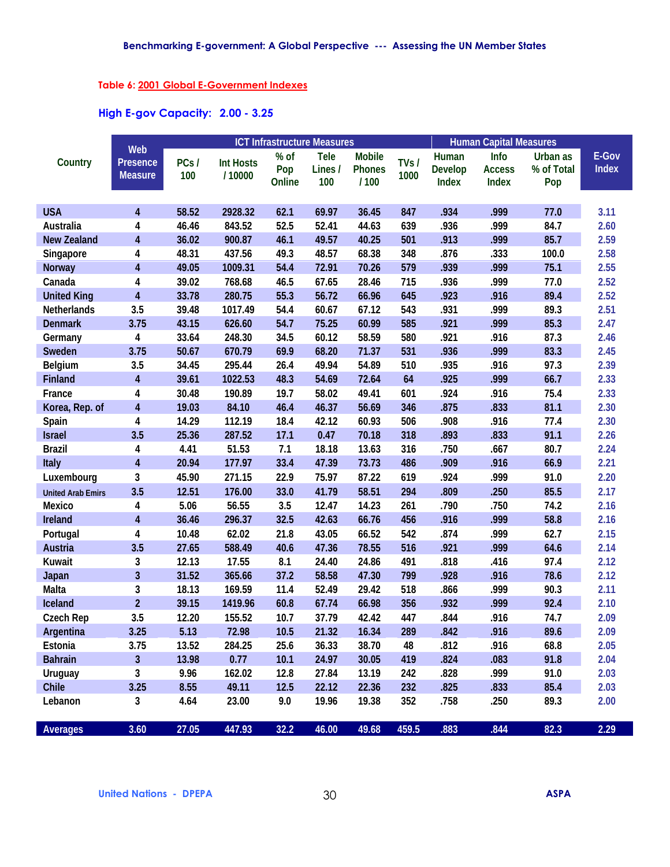### **Table 6: 2001 Global E-Government Indexes**

### **High E-gov Capacity: 2.00 - 3.25**

|                          |                         | <b>ICT Infrastructure Measures</b><br>Web |                  |        |         |               |       | <b>Human Capital Measures</b> |               |            |              |  |
|--------------------------|-------------------------|-------------------------------------------|------------------|--------|---------|---------------|-------|-------------------------------|---------------|------------|--------------|--|
| Country                  | <b>Presence</b>         | PCs/                                      | <b>Int Hosts</b> | % of   | Tele    | <b>Mobile</b> | TVs/  | Human                         | Info          | Urban as   | E-Gov        |  |
|                          | <b>Measure</b>          | 100                                       | /10000           | Pop    | Lines / | <b>Phones</b> | 1000  | <b>Develop</b>                | <b>Access</b> | % of Total | <b>Index</b> |  |
|                          |                         |                                           |                  | Online | 100     | /100          |       | Index                         | <b>Index</b>  | Pop        |              |  |
|                          |                         |                                           |                  |        |         |               |       |                               |               |            |              |  |
| <b>USA</b>               | $\overline{4}$          | 58.52                                     | 2928.32          | 62.1   | 69.97   | 36.45         | 847   | .934                          | .999          | 77.0       | 3.11         |  |
| <b>Australia</b>         | 4                       | 46.46                                     | 843.52           | 52.5   | 52.41   | 44.63         | 639   | .936                          | .999          | 84.7       | 2.60         |  |
| <b>New Zealand</b>       | $\overline{\mathbf{4}}$ | 36.02                                     | 900.87           | 46.1   | 49.57   | 40.25         | 501   | .913                          | .999          | 85.7       | 2.59         |  |
| <b>Singapore</b>         | 4                       | 48.31                                     | 437.56           | 49.3   | 48.57   | 68.38         | 348   | .876                          | .333          | 100.0      | 2.58         |  |
| <b>Norway</b>            | $\overline{\mathbf{4}}$ | 49.05                                     | 1009.31          | 54.4   | 72.91   | 70.26         | 579   | .939                          | .999          | 75.1       | 2.55         |  |
| Canada                   | 4                       | 39.02                                     | 768.68           | 46.5   | 67.65   | 28.46         | 715   | .936                          | .999          | 77.0       | 2.52         |  |
| <b>United King</b>       | 4                       | 33.78                                     | 280.75           | 55.3   | 56.72   | 66.96         | 645   | .923                          | .916          | 89.4       | 2.52         |  |
| <b>Netherlands</b>       | 3.5                     | 39.48                                     | 1017.49          | 54.4   | 60.67   | 67.12         | 543   | .931                          | .999          | 89.3       | 2.51         |  |
| <b>Denmark</b>           | 3.75                    | 43.15                                     | 626.60           | 54.7   | 75.25   | 60.99         | 585   | .921                          | .999          | 85.3       | 2.47         |  |
| Germany                  | 4                       | 33.64                                     | 248.30           | 34.5   | 60.12   | 58.59         | 580   | .921                          | .916          | 87.3       | 2.46         |  |
| <b>Sweden</b>            | 3.75                    | 50.67                                     | 670.79           | 69.9   | 68.20   | 71.37         | 531   | .936                          | .999          | 83.3       | 2.45         |  |
| <b>Belgium</b>           | 3.5                     | 34.45                                     | 295.44           | 26.4   | 49.94   | 54.89         | 510   | .935                          | .916          | 97.3       | 2.39         |  |
| <b>Finland</b>           | $\overline{\mathbf{4}}$ | 39.61                                     | 1022.53          | 48.3   | 54.69   | 72.64         | 64    | .925                          | .999          | 66.7       | 2.33         |  |
| France                   | 4                       | 30.48                                     | 190.89           | 19.7   | 58.02   | 49.41         | 601   | .924                          | .916          | 75.4       | 2.33         |  |
| Korea, Rep. of           | $\overline{\mathbf{4}}$ | 19.03                                     | 84.10            | 46.4   | 46.37   | 56.69         | 346   | .875                          | .833          | 81.1       | 2.30         |  |
| Spain                    | 4                       | 14.29                                     | 112.19           | 18.4   | 42.12   | 60.93         | 506   | .908                          | .916          | 77.4       | 2.30         |  |
| <b>Israel</b>            | 3.5                     | 25.36                                     | 287.52           | 17.1   | 0.47    | 70.18         | 318   | .893                          | .833          | 91.1       | 2.26         |  |
| <b>Brazil</b>            | 4                       | 4.41                                      | 51.53            | 7.1    | 18.18   | 13.63         | 316   | .750                          | .667          | 80.7       | 2.24         |  |
| Italy                    | $\overline{\mathbf{4}}$ | 20.94                                     | 177.97           | 33.4   | 47.39   | 73.73         | 486   | .909                          | .916          | 66.9       | 2.21         |  |
| Luxembourg               | 3                       | 45.90                                     | 271.15           | 22.9   | 75.97   | 87.22         | 619   | .924                          | .999          | 91.0       | 2.20         |  |
| <b>United Arab Emirs</b> | 3.5                     | 12.51                                     | 176.00           | 33.0   | 41.79   | 58.51         | 294   | .809                          | .250          | 85.5       | 2.17         |  |
| <b>Mexico</b>            | 4                       | 5.06                                      | 56.55            | 3.5    | 12.47   | 14.23         | 261   | .790                          | .750          | 74.2       | 2.16         |  |
| Ireland                  | $\overline{\mathbf{4}}$ | 36.46                                     | 296.37           | 32.5   | 42.63   | 66.76         | 456   | .916                          | .999          | 58.8       | 2.16         |  |
| Portugal                 | 4                       | 10.48                                     | 62.02            | 21.8   | 43.05   | 66.52         | 542   | .874                          | .999          | 62.7       | 2.15         |  |
| <b>Austria</b>           | 3.5                     | 27.65                                     | 588.49           | 40.6   | 47.36   | 78.55         | 516   | .921                          | .999          | 64.6       | 2.14         |  |
| Kuwait                   | 3                       | 12.13                                     | 17.55            | 8.1    | 24.40   | 24.86         | 491   | .818                          | .416          | 97.4       | 2.12         |  |
| <b>Japan</b>             | $\overline{\mathbf{3}}$ | 31.52                                     | 365.66           | 37.2   | 58.58   | 47.30         | 799   | .928                          | .916          | 78.6       | 2.12         |  |
| <b>Malta</b>             | 3                       | 18.13                                     | 169.59           | 11.4   | 52.49   | 29.42         | 518   | .866                          | .999          | 90.3       | 2.11         |  |
| Iceland                  | $\overline{2}$          | 39.15                                     | 1419.96          | 60.8   | 67.74   | 66.98         | 356   | .932                          | .999          | 92.4       | 2.10         |  |
| <b>Czech Rep</b>         | 3.5                     | 12.20                                     | 155.52           | 10.7   | 37.79   | 42.42         | 447   | .844                          | .916          | 74.7       | 2.09         |  |
| Argentina                | 3.25                    | 5.13                                      | 72.98            | 10.5   | 21.32   | 16.34         | 289   | .842                          | .916          | 89.6       | 2.09         |  |
| Estonia                  | 3.75                    | 13.52                                     | 284.25           | 25.6   | 36.33   | 38.70         | 48    | .812                          | .916          | 68.8       | 2.05         |  |
| <b>Bahrain</b>           | $\overline{\mathbf{3}}$ | 13.98                                     | 0.77             | 10.1   | 24.97   | 30.05         | 419   | .824                          | .083          | 91.8       | 2.04         |  |
| <b>Uruguay</b>           | 3                       | 9.96                                      | 162.02           | 12.8   | 27.84   | 13.19         | 242   | .828                          | .999          | 91.0       | 2.03         |  |
| <b>Chile</b>             | 3.25                    | 8.55                                      | 49.11            | 12.5   | 22.12   | 22.36         | 232   | .825                          | .833          | 85.4       | 2.03         |  |
| Lebanon                  | 3                       | 4.64                                      | 23.00            | 9.0    | 19.96   | 19.38         | 352   | .758                          | .250          | 89.3       | 2.00         |  |
|                          |                         |                                           |                  |        |         |               |       |                               |               |            |              |  |
| <b>Averages</b>          | 3.60                    | 27.05                                     | 447.93           | 32.2   | 46.00   | 49.68         | 459.5 | .883                          | .844          | 82.3       | 2.29         |  |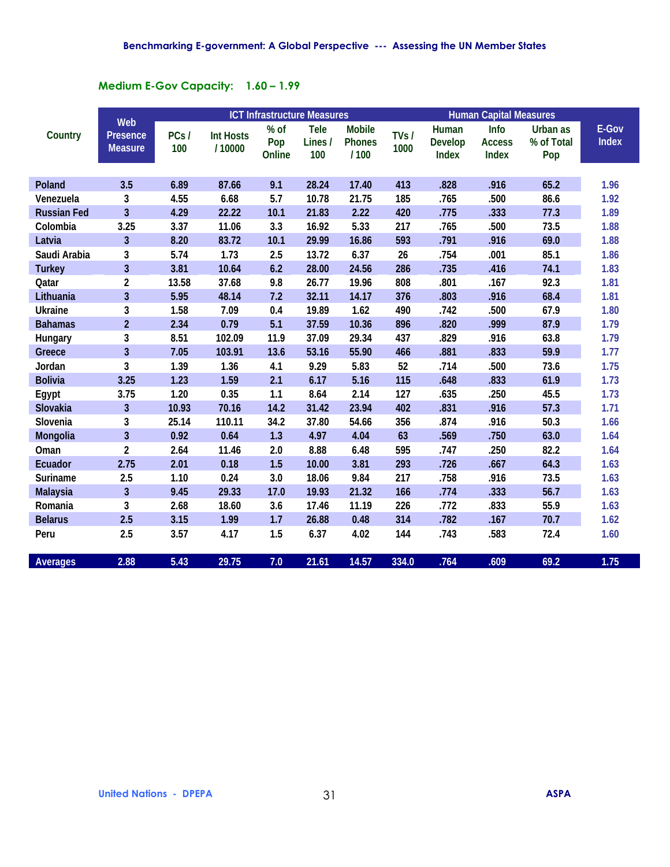## **Medium E-Gov Capacity: 1.60 - 1.99**

|                    | <b>ICT Infrastructure Measures</b><br>Web |             |                            |                         |                               |                                        |               | <b>Human Capital Measures</b>    |                                |                               |                       |
|--------------------|-------------------------------------------|-------------|----------------------------|-------------------------|-------------------------------|----------------------------------------|---------------|----------------------------------|--------------------------------|-------------------------------|-----------------------|
| Country            | <b>Presence</b><br><b>Measure</b>         | PCs/<br>100 | <b>Int Hosts</b><br>/10000 | $%$ of<br>Pop<br>Online | <b>Tele</b><br>Lines /<br>100 | <b>Mobile</b><br><b>Phones</b><br>/100 | TVs /<br>1000 | Human<br><b>Develop</b><br>Index | Info<br><b>Access</b><br>Index | Urban as<br>% of Total<br>Pop | E-Gov<br><b>Index</b> |
| <b>Poland</b>      | 3.5                                       | 6.89        | 87.66                      | 9.1                     | 28.24                         | 17.40                                  | 413           | .828                             | .916                           | 65.2                          | 1.96                  |
| Venezuela          | 3                                         | 4.55        | 6.68                       | 5.7                     | 10.78                         | 21.75                                  | 185           | .765                             | .500                           | 86.6                          | 1.92                  |
| <b>Russian Fed</b> | $\overline{3}$                            | 4.29        | 22.22                      | 10.1                    | 21.83                         | 2.22                                   | 420           | .775                             | .333                           | 77.3                          | 1.89                  |
| Colombia           | 3.25                                      | 3.37        | 11.06                      | 3.3                     | 16.92                         | 5.33                                   | 217           | .765                             | .500                           | 73.5                          | 1.88                  |
| Latvia             | $\overline{3}$                            | 8.20        | 83.72                      | 10.1                    | 29.99                         | 16.86                                  | 593           | .791                             | .916                           | 69.0                          | 1.88                  |
| Saudi Arabia       | 3                                         | 5.74        | 1.73                       | 2.5                     | 13.72                         | 6.37                                   | 26            | .754                             | .001                           | 85.1                          | 1.86                  |
| <b>Turkey</b>      | $\overline{3}$                            | 3.81        | 10.64                      | 6.2                     | 28.00                         | 24.56                                  | 286           | .735                             | .416                           | 74.1                          | 1.83                  |
| Qatar              | $\overline{2}$                            | 13.58       | 37.68                      | 9.8                     | 26.77                         | 19.96                                  | 808           | .801                             | .167                           | 92.3                          | 1.81                  |
| Lithuania          | $\overline{\mathbf{3}}$                   | 5.95        | 48.14                      | 7.2                     | 32.11                         | 14.17                                  | 376           | .803                             | .916                           | 68.4                          | 1.81                  |
| <b>Ukraine</b>     | $\mathbf{3}$                              | 1.58        | 7.09                       | 0.4                     | 19.89                         | 1.62                                   | 490           | .742                             | .500                           | 67.9                          | 1.80                  |
| <b>Bahamas</b>     | $\overline{2}$                            | 2.34        | 0.79                       | 5.1                     | 37.59                         | 10.36                                  | 896           | .820                             | .999                           | 87.9                          | 1.79                  |
| Hungary            | 3                                         | 8.51        | 102.09                     | 11.9                    | 37.09                         | 29.34                                  | 437           | .829                             | .916                           | 63.8                          | 1.79                  |
| Greece             | $\overline{3}$                            | 7.05        | 103.91                     | 13.6                    | 53.16                         | 55.90                                  | 466           | .881                             | .833                           | 59.9                          | 1.77                  |
| Jordan             | 3                                         | 1.39        | 1.36                       | 4.1                     | 9.29                          | 5.83                                   | 52            | .714                             | .500                           | 73.6                          | 1.75                  |
| <b>Bolivia</b>     | 3.25                                      | 1.23        | 1.59                       | 2.1                     | 6.17                          | 5.16                                   | 115           | .648                             | .833                           | 61.9                          | 1.73                  |
| Egypt              | 3.75                                      | 1.20        | 0.35                       | 1.1                     | 8.64                          | 2.14                                   | 127           | .635                             | .250                           | 45.5                          | 1.73                  |
| <b>Slovakia</b>    | $\overline{\mathbf{3}}$                   | 10.93       | 70.16                      | 14.2                    | 31.42                         | 23.94                                  | 402           | .831                             | .916                           | 57.3                          | 1.71                  |
| Slovenia           | 3                                         | 25.14       | 110.11                     | 34.2                    | 37.80                         | 54.66                                  | 356           | .874                             | .916                           | 50.3                          | 1.66                  |
| Mongolia           | $\overline{\mathbf{3}}$                   | 0.92        | 0.64                       | 1.3                     | 4.97                          | 4.04                                   | 63            | .569                             | .750                           | 63.0                          | 1.64                  |
| Oman               | $\overline{2}$                            | 2.64        | 11.46                      | 2.0                     | 8.88                          | 6.48                                   | 595           | .747                             | .250                           | 82.2                          | 1.64                  |
| <b>Ecuador</b>     | 2.75                                      | 2.01        | 0.18                       | 1.5                     | 10.00                         | 3.81                                   | 293           | .726                             | .667                           | 64.3                          | 1.63                  |
| <b>Suriname</b>    | 2.5                                       | 1.10        | 0.24                       | 3.0                     | 18.06                         | 9.84                                   | 217           | .758                             | .916                           | 73.5                          | 1.63                  |
| <b>Malaysia</b>    | $\overline{\mathbf{3}}$                   | 9.45        | 29.33                      | 17.0                    | 19.93                         | 21.32                                  | 166           | .774                             | .333                           | 56.7                          | 1.63                  |
| Romania            | 3                                         | 2.68        | 18.60                      | 3.6                     | 17.46                         | 11.19                                  | 226           | .772                             | .833                           | 55.9                          | 1.63                  |
| <b>Belarus</b>     | 2.5                                       | 3.15        | 1.99                       | 1.7                     | 26.88                         | 0.48                                   | 314           | .782                             | .167                           | 70.7                          | 1.62                  |
| Peru               | 2.5                                       | 3.57        | 4.17                       | 1.5                     | 6.37                          | 4.02                                   | 144           | .743                             | .583                           | 72.4                          | 1.60                  |
| <b>Averages</b>    | 2.88                                      | 5.43        | 29.75                      | 7.0                     | 21.61                         | 14.57                                  | 334.0         | .764                             | .609                           | 69.2                          | 1.75                  |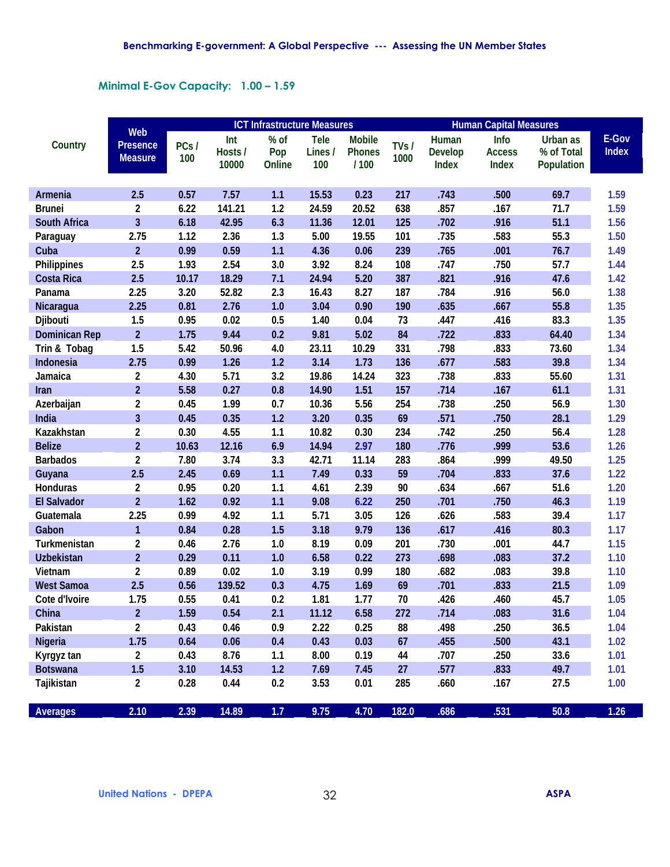### **Minimal E-Gov Capacity: 1.00 - 1.59**

|                      |                                          | <b>ICT Infrastructure Measures</b> |                         |                       |                               |                                        |              | <b>Human Capital Measures</b>           |                                |                                      |                       |  |
|----------------------|------------------------------------------|------------------------------------|-------------------------|-----------------------|-------------------------------|----------------------------------------|--------------|-----------------------------------------|--------------------------------|--------------------------------------|-----------------------|--|
| Country              | Web<br><b>Presence</b><br><b>Measure</b> | PCs/<br>100                        | Int<br>Hosts /<br>10000 | % of<br>Pop<br>Online | <b>Tele</b><br>Lines /<br>100 | <b>Mobile</b><br><b>Phones</b><br>/100 | TVs/<br>1000 | Human<br><b>Develop</b><br><b>Index</b> | Info<br><b>Access</b><br>Index | Urban as<br>% of Total<br>Population | E-Gov<br><b>Index</b> |  |
| <b>Armenia</b>       | 2.5                                      | 0.57                               | 7.57                    | 1.1                   | 15.53                         | 0.23                                   | 217          | .743                                    | .500                           | 69.7                                 | 1.59                  |  |
| <b>Brunei</b>        | $\mathbf{2}$                             | 6.22                               | 141.21                  | 1.2                   | 24.59                         | 20.52                                  | 638          | .857                                    | .167                           | 71.7                                 | 1.59                  |  |
| <b>South Africa</b>  | 3                                        | 6.18                               | 42.95                   | 6.3                   | 11.36                         | 12.01                                  | 125          | .702                                    | .916                           | 51.1                                 | 1.56                  |  |
| Paraguay             | 2.75                                     | 1.12                               | 2.36                    | 1.3                   | 5.00                          | 19.55                                  | 101          | .735                                    | .583                           | 55.3                                 | 1.50                  |  |
| Cuba                 | $\overline{2}$                           | 0.99                               | 0.59                    | 1.1                   | 4.36                          | 0.06                                   | 239          | .765                                    | .001                           | 76.7                                 | 1.49                  |  |
| <b>Philippines</b>   | 2.5                                      | 1.93                               | 2.54                    | 3.0                   | 3.92                          | 8.24                                   | 108          | .747                                    | .750                           | 57.7                                 | 1.44                  |  |
| <b>Costa Rica</b>    | 2.5                                      | 10.17                              | 18.29                   | 7.1                   | 24.94                         | 5.20                                   | 387          | .821                                    | .916                           | 47.6                                 | 1.42                  |  |
| Panama               | 2.25                                     | 3.20                               | 52.82                   | 2.3                   | 16.43                         | 8.27                                   | 187          | .784                                    | .916                           | 56.0                                 | 1.38                  |  |
| Nicaragua            | 2.25                                     | 0.81                               | 2.76                    | 1.0                   | 3.04                          | 0.90                                   | 190          | .635                                    | .667                           | 55.8                                 | 1.35                  |  |
| Djibouti             | 1.5                                      | 0.95                               | 0.02                    | 0.5                   | 1.40                          | 0.04                                   | 73           | .447                                    | .416                           | 83.3                                 | 1.35                  |  |
| <b>Dominican Rep</b> | $\overline{2}$                           | 1.75                               | 9.44                    | 0.2                   | 9.81                          | 5.02                                   | 84           | .722                                    | .833                           | 64.40                                | 1.34                  |  |
| Trin & Tobag         | 1.5                                      | 5.42                               | 50.96                   | 4.0                   | 23.11                         | 10.29                                  | 331          | .798                                    | .833                           | 73.60                                | 1.34                  |  |
| Indonesia            | 2.75                                     | 0.99                               | 1.26                    | 1.2                   | 3.14                          | 1.73                                   | 136          | .677                                    | .583                           | 39.8                                 | 1.34                  |  |
| Jamaica              | $\mathbf{2}$                             | 4.30                               | 5.71                    | 3.2                   | 19.86                         | 14.24                                  | 323          | .738                                    | .833                           | 55.60                                | 1.31                  |  |
| Iran                 | $\overline{2}$                           | 5.58                               | 0.27                    | 0.8                   | 14.90                         | 1.51                                   | 157          | .714                                    | .167                           | 61.1                                 | 1.31                  |  |
| Azerbaijan           | $\mathbf{2}$                             | 0.45                               | 1.99                    | 0.7                   | 10.36                         | 5.56                                   | 254          | .738                                    | .250                           | 56.9                                 | 1.30                  |  |
| India                | $\overline{3}$                           | 0.45                               | 0.35                    | 1.2                   | 3.20                          | 0.35                                   | 69           | .571                                    | .750                           | 28.1                                 | 1.29                  |  |
| Kazakhstan           | $\overline{2}$                           | 0.30                               | 4.55                    | 1.1                   | 10.82                         | 0.30                                   | 234          | .742                                    | .250                           | 56.4                                 | 1.28                  |  |
| <b>Belize</b>        | $\overline{2}$                           | 10.63                              | 12.16                   | 6.9                   | 14.94                         | 2.97                                   | 180          | .776                                    | .999                           | 53.6                                 | 1.26                  |  |
| <b>Barbados</b>      | $\mathbf{2}$                             | 7.80                               | 3.74                    | 3.3                   | 42.71                         | 11.14                                  | 283          | .864                                    | .999                           | 49.50                                | 1.25                  |  |
| Guyana               | 2.5                                      | 2.45                               | 0.69                    | 1.1                   | 7.49                          | 0.33                                   | 59           | .704                                    | .833                           | 37.6                                 | $1.22$                |  |
| <b>Honduras</b>      | $\mathbf{2}$                             | 0.95                               | 0.20                    | 1.1                   | 4.61                          | 2.39                                   | 90           | .634                                    | .667                           | 51.6                                 | 1.20                  |  |
| <b>El Salvador</b>   | $\overline{2}$                           | 1.62                               | 0.92                    | 1.1                   | 9.08                          | 6.22                                   | 250          | .701                                    | .750                           | 46.3                                 | 1.19                  |  |
| Guatemala            | 2.25                                     | 0.99                               | 4.92                    | 1.1                   | 5.71                          | 3.05                                   | 126          | .626                                    | .583                           | 39.4                                 | 1.17                  |  |
| Gabon                | $\mathbf{1}$                             | 0.84                               | 0.28                    | 1.5                   | 3.18                          | 9.79                                   | 136          | .617                                    | .416                           | 80.3                                 | 1.17                  |  |
| Turkmenistan         | 2                                        | 0.46                               | 2.76                    | 1.0                   | 8.19                          | 0.09                                   | 201          | .730                                    | .001                           | 44.7                                 | 1.15                  |  |
| <b>Uzbekistan</b>    | $\overline{2}$                           | 0.29                               | 0.11                    | 1.0                   | 6.58                          | 0.22                                   | 273          | .698                                    | .083                           | 37.2                                 | 1.10                  |  |
| Vietnam              | $\mathbf{2}$                             | 0.89                               | 0.02                    | 1.0                   | 3.19                          | 0.99                                   | 180          | .682                                    | .083                           | 39.8                                 | 1.10                  |  |
| <b>West Samoa</b>    | 2.5                                      | 0.56                               | 139.52                  | 0.3                   | 4.75                          | 1.69                                   | 69           | .701                                    | .833                           | 21.5                                 | 1.09                  |  |
| Cote d'Ivoire        | 1.75                                     | 0.55                               | 0.41                    | 0.2                   | 1.81                          | 1.77                                   | 70           | .426                                    | .460                           | 45.7                                 | 1.05                  |  |
| China                | $\overline{2}$                           | 1.59                               | 0.54                    | 2.1                   | 11.12                         | 6.58                                   | 272          | .714                                    | .083                           | 31.6                                 | 1.04                  |  |
| Pakistan             | $\overline{2}$                           | 0.43                               | 0.46                    | 0.9                   | 2.22                          | 0.25                                   | 88           | .498                                    | .250                           | 36.5                                 | 1.04                  |  |
| <b>Nigeria</b>       | 1.75                                     | 0.64                               | 0.06                    | 0.4                   | 0.43                          | 0.03                                   | 67           | .455                                    | .500                           | 43.1                                 | 1.02                  |  |
| Kyrgyz tan           | $\overline{2}$                           | 0.43                               | 8.76                    | 1.1                   | 8.00                          | 0.19                                   | 44           | .707                                    | .250                           | 33.6                                 | 1.01                  |  |
| <b>Botswana</b>      | 1.5                                      | 3.10                               | 14.53                   | 1.2                   | 7.69                          | 7.45                                   | 27           | .577                                    | .833                           | 49.7                                 | 1.01                  |  |
| Tajikistan           | $\mathbf{2}$                             | 0.28                               | 0.44                    | 0.2                   | 3.53                          | 0.01                                   | 285          | .660                                    | .167                           | 27.5                                 | 1.00                  |  |
| <b>Averages</b>      | 2.10                                     | 2.39                               | 14.89                   | $1.7$                 | 9.75                          | 4.70                                   | 182.0        | .686                                    | .531                           | 50.8                                 | 1.26                  |  |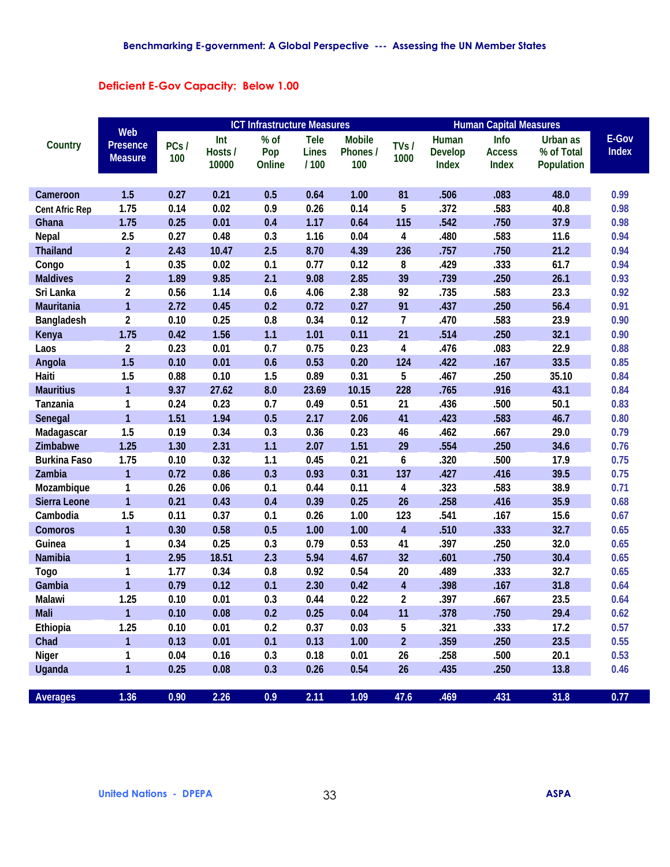### **Deficient E-Gov Capacity: Below 1.00**

|                       | <b>ICT Infrastructure Measures</b>       |             |                         |                       |                                     |                                  |                         |                                         |                                |                                      |                       |
|-----------------------|------------------------------------------|-------------|-------------------------|-----------------------|-------------------------------------|----------------------------------|-------------------------|-----------------------------------------|--------------------------------|--------------------------------------|-----------------------|
| Country               | Web<br><b>Presence</b><br><b>Measure</b> | PCs/<br>100 | Int<br>Hosts /<br>10000 | % of<br>Pop<br>Online | <b>Tele</b><br><b>Lines</b><br>/100 | <b>Mobile</b><br>Phones /<br>100 | TVs/<br>1000            | Human<br><b>Develop</b><br><b>Index</b> | Info<br><b>Access</b><br>Index | Urban as<br>% of Total<br>Population | E-Gov<br><b>Index</b> |
| Cameroon              | 1.5                                      | 0.27        | 0.21                    | 0.5                   | 0.64                                | 1.00                             | 81                      | .506                                    | .083                           | 48.0                                 | 0.99                  |
| <b>Cent Afric Rep</b> | 1.75                                     | 0.14        | 0.02                    | 0.9                   | 0.26                                | 0.14                             | 5                       | .372                                    | .583                           | 40.8                                 | 0.98                  |
| Ghana                 | 1.75                                     | 0.25        | 0.01                    | 0.4                   | 1.17                                | 0.64                             | 115                     | .542                                    | .750                           | 37.9                                 | 0.98                  |
| <b>Nepal</b>          | 2.5                                      | 0.27        | 0.48                    | 0.3                   | 1.16                                | 0.04                             | 4                       | .480                                    | .583                           | 11.6                                 | 0.94                  |
| <b>Thailand</b>       | $\overline{2}$                           | 2.43        | 10.47                   | 2.5                   | 8.70                                | 4.39                             | 236                     | .757                                    | .750                           | 21.2                                 | 0.94                  |
| Congo                 | 1                                        | 0.35        | 0.02                    | 0.1                   | 0.77                                | 0.12                             | 8                       | .429                                    | .333                           | 61.7                                 | 0.94                  |
| <b>Maldives</b>       | $\overline{2}$                           | 1.89        | 9.85                    | 2.1                   | 9.08                                | 2.85                             | 39                      | .739                                    | .250                           | 26.1                                 | 0.93                  |
| Sri Lanka             | $\mathbf 2$                              | 0.56        | 1.14                    | 0.6                   | 4.06                                | 2.38                             | 92                      | .735                                    | .583                           | 23.3                                 | 0.92                  |
| <b>Mauritania</b>     | $\mathbf{1}$                             | 2.72        | 0.45                    | 0.2                   | 0.72                                | 0.27                             | 91                      | .437                                    | .250                           | 56.4                                 | 0.91                  |
| Bangladesh            | $\overline{2}$                           | 0.10        | 0.25                    | 0.8                   | 0.34                                | 0.12                             | 7                       | .470                                    | .583                           | 23.9                                 | 0.90                  |
| Kenya                 | 1.75                                     | 0.42        | 1.56                    | 1.1                   | 1.01                                | 0.11                             | 21                      | .514                                    | .250                           | 32.1                                 | 0.90                  |
| Laos                  | $\overline{2}$                           | 0.23        | 0.01                    | 0.7                   | 0.75                                | 0.23                             | 4                       | .476                                    | .083                           | 22.9                                 | 0.88                  |
| Angola                | 1.5                                      | 0.10        | 0.01                    | 0.6                   | 0.53                                | 0.20                             | 124                     | .422                                    | .167                           | 33.5                                 | 0.85                  |
| Haiti                 | 1.5                                      | 0.88        | 0.10                    | 1.5                   | 0.89                                | 0.31                             | 5                       | .467                                    | .250                           | 35.10                                | 0.84                  |
| <b>Mauritius</b>      | 1                                        | 9.37        | 27.62                   | 8.0                   | 23.69                               | 10.15                            | 228                     | .765                                    | .916                           | 43.1                                 | 0.84                  |
| Tanzania              | 1                                        | 0.24        | 0.23                    | 0.7                   | 0.49                                | 0.51                             | 21                      | .436                                    | .500                           | 50.1                                 | 0.83                  |
| <b>Senegal</b>        | 1                                        | 1.51        | 1.94                    | 0.5                   | 2.17                                | 2.06                             | 41                      | .423                                    | .583                           | 46.7                                 | 0.80                  |
| Madagascar            | 1.5                                      | 0.19        | 0.34                    | 0.3                   | 0.36                                | 0.23                             | 46                      | .462                                    | .667                           | 29.0                                 | 0.79                  |
| Zimbabwe              | 1.25                                     | 1.30        | 2.31                    | 1.1                   | 2.07                                | 1.51                             | 29                      | .554                                    | .250                           | 34.6                                 | 0.76                  |
| <b>Burkina Faso</b>   | 1.75                                     | 0.10        | 0.32                    | 1.1                   | 0.45                                | 0.21                             | 6                       | .320                                    | .500                           | 17.9                                 | 0.75                  |
| Zambia                | $\mathbf{1}$                             | 0.72        | 0.86                    | 0.3                   | 0.93                                | 0.31                             | 137                     | .427                                    | .416                           | 39.5                                 | 0.75                  |
| Mozambique            | 1                                        | 0.26        | 0.06                    | 0.1                   | 0.44                                | 0.11                             | 4                       | .323                                    | .583                           | 38.9                                 | 0.71                  |
| Sierra Leone          | 1                                        | 0.21        | 0.43                    | 0.4                   | 0.39                                | 0.25                             | 26                      | .258                                    | .416                           | 35.9                                 | 0.68                  |
| Cambodia              | 1.5                                      | 0.11        | 0.37                    | 0.1                   | 0.26                                | 1.00                             | 123                     | .541                                    | .167                           | 15.6                                 | 0.67                  |
| <b>Comoros</b>        | 1                                        | 0.30        | 0.58                    | 0.5                   | 1.00                                | 1.00                             | $\overline{\mathbf{4}}$ | .510                                    | .333                           | 32.7                                 | 0.65                  |
| Guinea                | 1                                        | 0.34        | 0.25                    | 0.3                   | 0.79                                | 0.53                             | 41                      | .397                                    | .250                           | 32.0                                 | 0.65                  |
| <b>Namibia</b>        | 1                                        | 2.95        | 18.51                   | 2.3                   | 5.94                                | 4.67                             | 32                      | .601                                    | .750                           | 30.4                                 | 0.65                  |
| <b>Togo</b>           | 1                                        | 1.77        | 0.34                    | 0.8                   | 0.92                                | 0.54                             | 20                      | .489                                    | .333                           | 32.7                                 | 0.65                  |
| Gambia                | 1                                        | 0.79        | 0.12                    | 0.1                   | 2.30                                | 0.42                             | $\overline{\mathbf{4}}$ | .398                                    | .167                           | 31.8                                 | 0.64                  |
| <b>Malawi</b>         | 1.25                                     | 0.10        | 0.01                    | 0.3                   | 0.44                                | 0.22                             | $\overline{2}$          | .397                                    | .667                           | 23.5                                 | 0.64                  |
| <b>Mali</b>           | $\mathbf{1}$                             | 0.10        | 0.08                    | 0.2                   | 0.25                                | 0.04                             | 11                      | .378                                    | .750                           | 29.4                                 | 0.62                  |
| Ethiopia              | 1.25                                     | 0.10        | 0.01                    | 0.2                   | 0.37                                | 0.03                             | 5                       | .321                                    | .333                           | 17.2                                 | 0.57                  |
| Chad                  | 1                                        | 0.13        | 0.01                    | 0.1                   | 0.13                                | 1.00                             | $\overline{2}$          | .359                                    | .250                           | 23.5                                 | 0.55                  |
| <b>Niger</b>          | 1                                        | 0.04        | 0.16                    | 0.3                   | 0.18                                | 0.01                             | 26                      | .258                                    | .500                           | 20.1                                 | 0.53                  |
| <b>Uganda</b>         | $\mathbf{1}$                             | 0.25        | 0.08                    | 0.3                   | 0.26                                | 0.54                             | 26                      | .435                                    | .250                           | 13.8                                 | 0.46                  |
| <b>Averages</b>       | 1.36                                     | 0.90        | 2.26                    | 0.9                   | 2.11                                | 1.09                             | 47.6                    | .469                                    | .431                           | 31.8                                 | 0.77                  |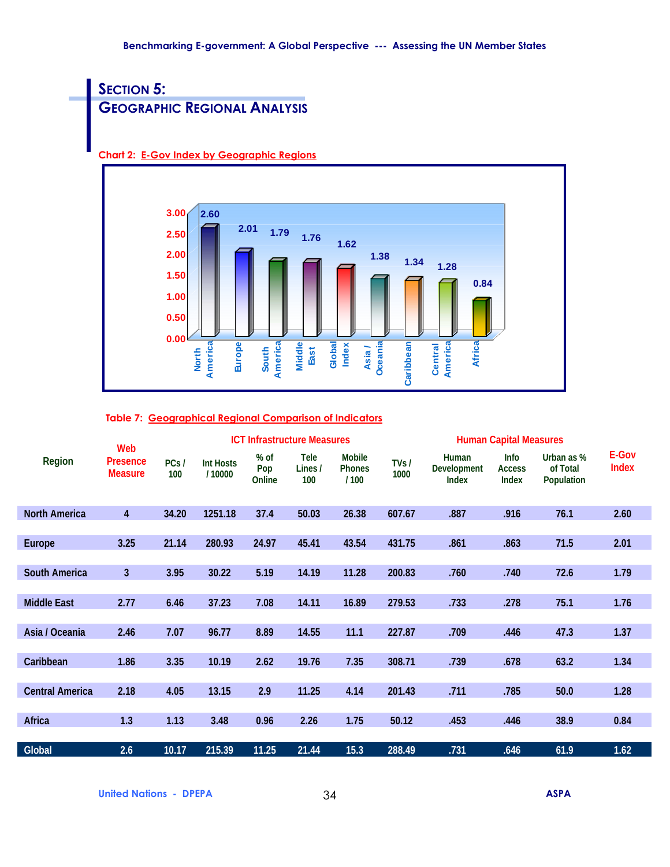# **SECTION 5: GEOGRAPHIC REGIONAL ANALYSIS**

**Chart 2: E-Gov Index by Geographic Regions**



#### **Table 7: Geographical Regional Comparison of Indicators**

|                        | Web                               |             |                            |                         | <b>ICT Infrastructure Measures</b> |                                        |              |                                             | <b>Human Capital Measures</b>                |                                             |                       |
|------------------------|-----------------------------------|-------------|----------------------------|-------------------------|------------------------------------|----------------------------------------|--------------|---------------------------------------------|----------------------------------------------|---------------------------------------------|-----------------------|
| <b>Region</b>          | <b>Presence</b><br><b>Measure</b> | PCs/<br>100 | <b>Int Hosts</b><br>/10000 | $%$ of<br>Pop<br>Online | <b>Tele</b><br>Lines /<br>100      | <b>Mobile</b><br><b>Phones</b><br>/100 | TVs/<br>1000 | Human<br><b>Development</b><br><b>Index</b> | <b>Info</b><br><b>Access</b><br><b>Index</b> | Urban as %<br>of Total<br><b>Population</b> | E-Gov<br><b>Index</b> |
| <b>North America</b>   | $\overline{4}$                    | 34.20       | 1251.18                    | 37.4                    | 50.03                              | 26.38                                  | 607.67       | .887                                        | .916                                         | 76.1                                        | 2.60                  |
|                        |                                   |             |                            |                         |                                    |                                        |              |                                             |                                              |                                             |                       |
| <b>Europe</b>          | 3.25                              | 21.14       | 280.93                     | 24.97                   | 45.41                              | 43.54                                  | 431.75       | .861                                        | .863                                         | 71.5                                        | 2.01                  |
|                        |                                   |             |                            |                         |                                    |                                        |              |                                             |                                              |                                             |                       |
| <b>South America</b>   | 3 <sup>1</sup>                    | 3.95        | 30.22                      | 5.19                    | 14.19                              | 11.28                                  | 200.83       | .760                                        | .740                                         | 72.6                                        | 1.79                  |
|                        |                                   |             |                            |                         |                                    |                                        |              |                                             |                                              |                                             |                       |
| <b>Middle East</b>     | 2.77                              | 6.46        | 37.23                      | 7.08                    | 14.11                              | 16.89                                  | 279.53       | .733                                        | .278                                         | 75.1                                        | 1.76                  |
|                        |                                   |             |                            |                         |                                    |                                        |              |                                             |                                              |                                             |                       |
| Asia / Oceania         | 2.46                              | 7.07        | 96.77                      | 8.89                    | 14.55                              | 11.1                                   | 227.87       | .709                                        | .446                                         | 47.3                                        | 1.37                  |
|                        |                                   |             |                            |                         |                                    |                                        |              |                                             |                                              |                                             |                       |
| Caribbean              | 1.86                              | 3.35        | 10.19                      | 2.62                    | 19.76                              | 7.35                                   | 308.71       | .739                                        | .678                                         | 63.2                                        | 1.34                  |
|                        |                                   |             |                            |                         |                                    |                                        |              |                                             |                                              |                                             |                       |
| <b>Central America</b> | 2.18                              | 4.05        | 13.15                      | 2.9                     | 11.25                              | 4.14                                   | 201.43       | .711                                        | .785                                         | 50.0                                        | 1.28                  |
|                        |                                   |             |                            |                         |                                    |                                        |              |                                             |                                              |                                             |                       |
| <b>Africa</b>          | 1.3                               | 1.13        | 3.48                       | 0.96                    | 2.26                               | 1.75                                   | 50.12        | .453                                        | .446                                         | 38.9                                        | 0.84                  |
|                        |                                   |             |                            |                         |                                    |                                        |              |                                             |                                              |                                             |                       |
| <b>Global</b>          | 2.6                               | 10.17       | 215.39                     | 11.25                   | 21.44                              | 15.3                                   | 288.49       | .731                                        | .646                                         | 61.9                                        | 1.62                  |

**United Nations - DPEPA** 34 **ASPA**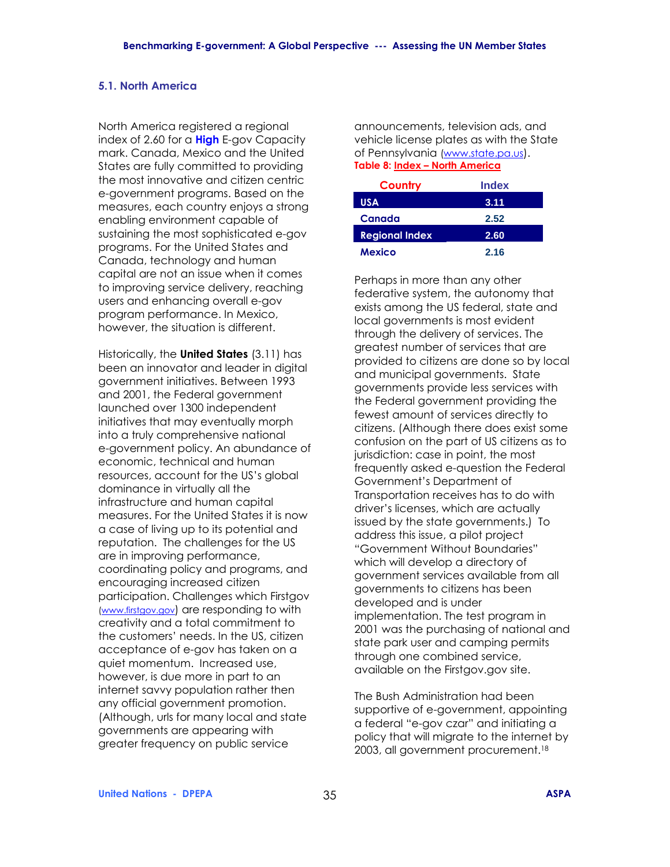#### **5.1. North America**

North America registered a regional index of 2.60 for a **High** E-gov Capacity mark. Canada, Mexico and the United States are fully committed to providing the most innovative and citizen centric e-government programs. Based on the measures, each country enjoys a strong enabling environment capable of sustaining the most sophisticated e-gov programs. For the United States and Canada, technology and human capital are not an issue when it comes to improving service delivery, reaching users and enhancing overall e-gov program performance. In Mexico, however, the situation is different.

Historically, the **United States** (3.11) has been an innovator and leader in digital government initiatives. Between 1993 and 2001, the Federal government launched over 1300 independent initiatives that may eventually morph into a truly comprehensive national e-government policy. An abundance of economic, technical and human resources, account for the US's global dominance in virtually all the infrastructure and human capital measures. For the United States it is now a case of living up to its potential and reputation. The challenges for the US are in improving performance, coordinating policy and programs, and encouraging increased citizen participation. Challenges which Firstgov (www.firstgov.gov) are responding to with creativity and a total commitment to the customers' needs. In the US, citizen acceptance of e-gov has taken on a quiet momentum. Increased use, however, is due more in part to an internet savvy population rather then any official government promotion. (Although, urls for many local and state governments are appearing with greater frequency on public service

announcements, television ads, and vehicle license plates as with the State of Pennsylvania (www.state.pa.us). **Table 8: Index - North America** 

| Country               | <b>Index</b> |
|-----------------------|--------------|
| USA                   | 3.11         |
| Canada                | 2.52         |
| <b>Regional Index</b> | 2.60         |
| Mexico                | 2.16         |

Perhaps in more than any other federative system, the autonomy that exists among the US federal, state and local governments is most evident through the delivery of services. The greatest number of services that are provided to citizens are done so by local and municipal governments. State governments provide less services with the Federal government providing the fewest amount of services directly to citizens. (Although there does exist some confusion on the part of US citizens as to jurisdiction: case in point, the most frequently asked e-question the Federal Government's Department of Transportation receives has to do with driverís licenses, which are actually issued by the state governments.) To address this issue, a pilot project "Government Without Boundaries" which will develop a directory of government services available from all governments to citizens has been developed and is under implementation. The test program in 2001 was the purchasing of national and state park user and camping permits through one combined service, available on the Firstgov.gov site.

The Bush Administration had been supportive of e-government, appointing a federal "e-gov czar" and initiating a policy that will migrate to the internet by 2003, all government procurement.18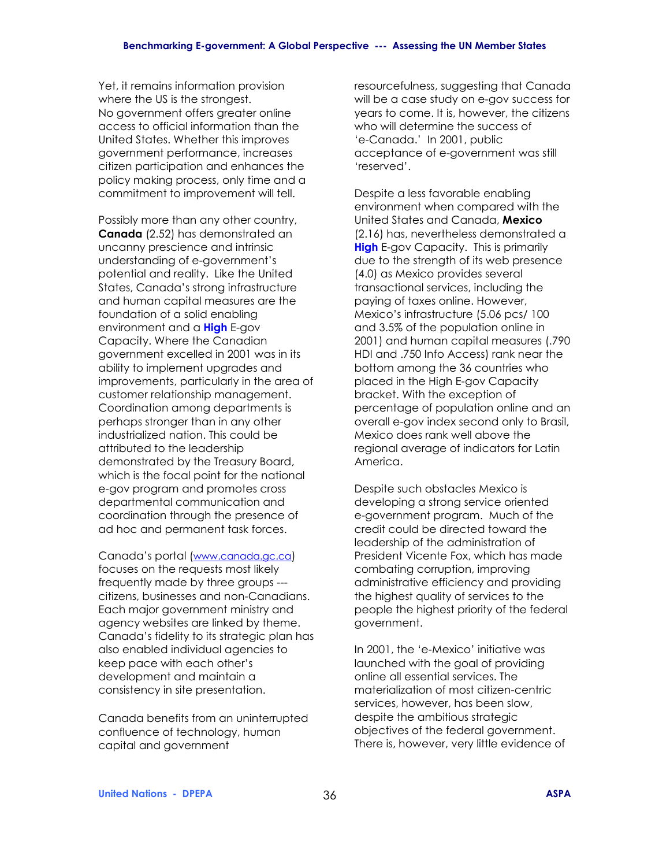Yet, it remains information provision where the US is the strongest. No government offers greater online access to official information than the United States. Whether this improves government performance, increases citizen participation and enhances the policy making process, only time and a commitment to improvement will tell.

Possibly more than any other country, **Canada** (2.52) has demonstrated an uncanny prescience and intrinsic understanding of e-government's potential and reality. Like the United States, Canada's strong infrastructure and human capital measures are the foundation of a solid enabling environment and a **High** E-gov Capacity. Where the Canadian government excelled in 2001 was in its ability to implement upgrades and improvements, particularly in the area of customer relationship management. Coordination among departments is perhaps stronger than in any other industrialized nation. This could be attributed to the leadership demonstrated by the Treasury Board, which is the focal point for the national e-gov program and promotes cross departmental communication and coordination through the presence of ad hoc and permanent task forces.

Canadaís portal (www.canada.gc.ca) focuses on the requests most likely frequently made by three groups -- citizens, businesses and non-Canadians. Each major government ministry and agency websites are linked by theme. Canada's fidelity to its strategic plan has also enabled individual agencies to keep pace with each other's development and maintain a consistency in site presentation.

Canada benefits from an uninterrupted confluence of technology, human capital and government

resourcefulness, suggesting that Canada will be a case study on e-gov success for years to come. It is, however, the citizens who will determine the success of 'e-Canada.' In 2001, public acceptance of e-government was still 'reserved'.

Despite a less favorable enabling environment when compared with the United States and Canada, **Mexico**  (2.16) has, nevertheless demonstrated a **High** E-gov Capacity. This is primarily due to the strength of its web presence (4.0) as Mexico provides several transactional services, including the paying of taxes online. However, Mexico's infrastructure (5.06 pcs/ 100 and 3.5% of the population online in 2001) and human capital measures (.790 HDI and .750 Info Access) rank near the bottom among the 36 countries who placed in the High E-gov Capacity bracket. With the exception of percentage of population online and an overall e-gov index second only to Brasil, Mexico does rank well above the regional average of indicators for Latin America.

Despite such obstacles Mexico is developing a strong service oriented e-government program. Much of the credit could be directed toward the leadership of the administration of President Vicente Fox, which has made combating corruption, improving administrative efficiency and providing the highest quality of services to the people the highest priority of the federal government.

In 2001, the 'e-Mexico' initiative was launched with the goal of providing online all essential services. The materialization of most citizen-centric services, however, has been slow, despite the ambitious strategic objectives of the federal government. There is, however, very little evidence of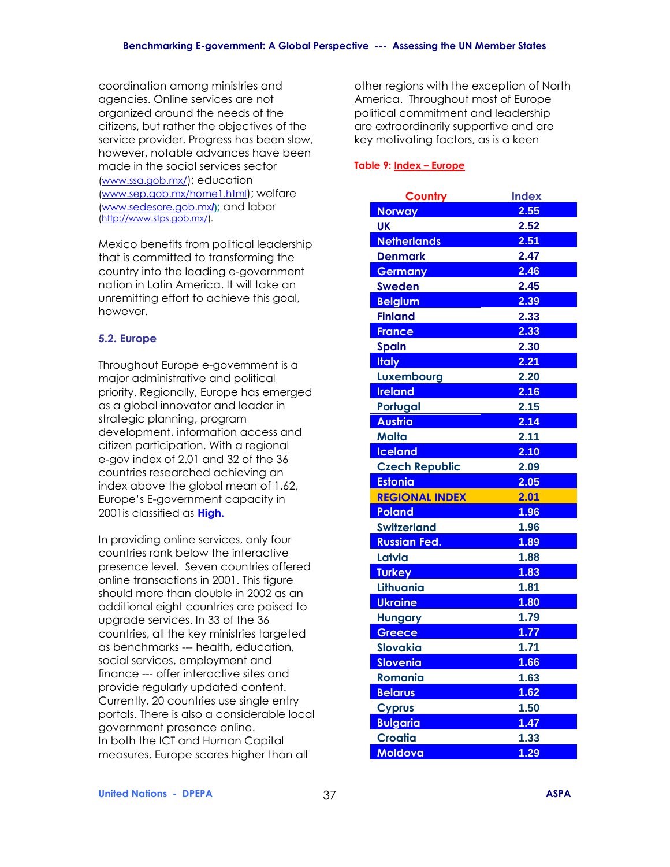coordination among ministries and agencies. Online services are not organized around the needs of the citizens, but rather the objectives of the service provider. Progress has been slow, however, notable advances have been made in the social services sector (www.ssa.gob.mx/); education (www.sep.gob.mx/home1.html); welfare (www.sedesore.gob.mx**/);** and labor (http://www.stps.gob.mx/).

Mexico benefits from political leadership that is committed to transforming the country into the leading e-government nation in Latin America. It will take an unremitting effort to achieve this goal, however.

### **5.2. Europe**

Throughout Europe e-government is a major administrative and political priority. Regionally, Europe has emerged as a global innovator and leader in strategic planning, program development, information access and citizen participation. With a regional e-gov index of 2.01 and 32 of the 36 countries researched achieving an index above the global mean of 1.62, Europe's E-government capacity in 2001is classified as **High.**

In providing online services, only four countries rank below the interactive presence level. Seven countries offered online transactions in 2001. This figure should more than double in 2002 as an additional eight countries are poised to upgrade services. In 33 of the 36 countries, all the key ministries targeted as benchmarks --- health, education, social services, employment and finance --- offer interactive sites and provide regularly updated content. Currently, 20 countries use single entry portals. There is also a considerable local government presence online. In both the ICT and Human Capital measures, Europe scores higher than all

other regions with the exception of North America. Throughout most of Europe political commitment and leadership are extraordinarily supportive and are key motivating factors, as is a keen

### Table 9: Index - Europe

| <b>Country</b>        | <b>Index</b> |
|-----------------------|--------------|
| <b>Norway</b>         | 2.55         |
| <b>UK</b>             | 2.52         |
| <b>Netherlands</b>    | 2.51         |
| <b>Denmark</b>        | 2.47         |
| Germany               | 2.46         |
| <b>Sweden</b>         | 2.45         |
| <b>Belgium</b>        | 2.39         |
| <b>Finland</b>        | 2.33         |
| <b>France</b>         | 2.33         |
| <b>Spain</b>          | 2.30         |
| <b>Italy</b>          | 2.21         |
| Luxembourg            | 2.20         |
| <b>Ireland</b>        | 2.16         |
| Portugal              | 2.15         |
| <b>Austria</b>        | 2.14         |
| <b>Malta</b>          | 2.11         |
| <b>Iceland</b>        | 2.10         |
| <b>Czech Republic</b> | 2.09         |
| <b>Estonia</b>        | 2.05         |
| <b>REGIONAL INDEX</b> | 2.01         |
| <b>Poland</b>         | 1.96         |
| <b>Switzerland</b>    | 1.96         |
| <b>Russian Fed.</b>   | 1.89         |
| Latvia                | 1.88         |
| <b>Turkey</b>         | 1.83         |
| Lithuania             | 1.81         |
| <b>Ukraine</b>        | 1.80         |
| <b>Hungary</b>        | 1.79         |
| Greece                | 1.77         |
| <b>Slovakia</b>       | 1.71         |
| <b>Slovenia</b>       | 1.66         |
| Romania               | 1.63         |
| <b>Belarus</b>        | 1.62         |
| <b>Cyprus</b>         | 1.50         |
| <b>Bulgaria</b>       | 1.47         |
| <b>Croatia</b>        | 1.33         |
| Moldova               | 1.29         |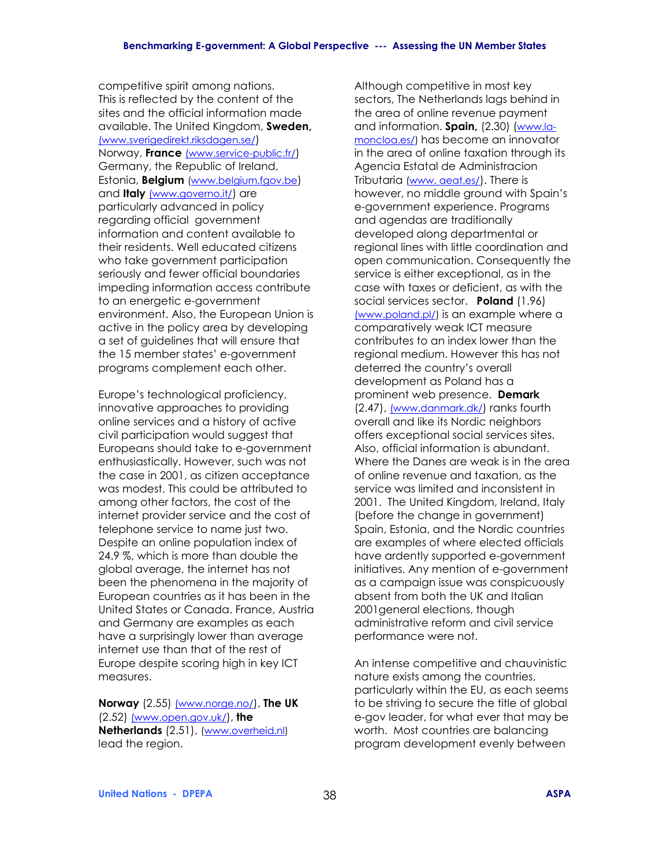competitive spirit among nations. This is reflected by the content of the sites and the official information made available. The United Kingdom, **Sweden,** (www.sverigedirekt.riksdagen.se/) Norway, **France** (www.service-public.fr/) Germany, the Republic of Ireland, Estonia, **Belgium** (www.belgium.fgov.be) and **Italy** (www.governo.it/) are particularly advanced in policy regarding official government information and content available to their residents. Well educated citizens who take government participation seriously and fewer official boundaries impeding information access contribute to an energetic e-government environment. Also, the European Union is active in the policy area by developing a set of guidelines that will ensure that the 15 member states' e-government programs complement each other.

Europe's technological proficiency, innovative approaches to providing online services and a history of active civil participation would suggest that Europeans should take to e-government enthusiastically. However, such was not the case in 2001, as citizen acceptance was modest. This could be attributed to among other factors, the cost of the internet provider service and the cost of telephone service to name just two. Despite an online population index of 24.9 %, which is more than double the global average, the internet has not been the phenomena in the majority of European countries as it has been in the United States or Canada. France, Austria and Germany are examples as each have a surprisingly lower than average internet use than that of the rest of Europe despite scoring high in key ICT measures.

**Norway** (2.55) (www.norge.no/), **The UK** (2.52) (www.open.gov.uk/), **the Netherlands** (2.51), (www.overheid.nl) lead the region.

Although competitive in most key sectors, The Netherlands lags behind in the area of online revenue payment and information. **Spain,** (2.30) (www.lamoncloa.es/) has become an innovator in the area of online taxation through its Agencia Estatal de Administracion Tributaria (www. aeat.es/). There is however, no middle ground with Spain's e-government experience. Programs and agendas are traditionally developed along departmental or regional lines with little coordination and open communication. Consequently the service is either exceptional, as in the case with taxes or deficient, as with the social services sector. **Poland** (1.96) (www.poland.pl/) is an example where a comparatively weak ICT measure contributes to an index lower than the regional medium. However this has not deterred the country's overall development as Poland has a prominent web presence. **Demark**  (2.47), (www.danmark.dk/) ranks fourth overall and like its Nordic neighbors offers exceptional social services sites. Also, official information is abundant. Where the Danes are weak is in the area of online revenue and taxation, as the service was limited and inconsistent in 2001. The United Kingdom, Ireland, Italy (before the change in government) Spain, Estonia, and the Nordic countries are examples of where elected officials have ardently supported e-government initiatives. Any mention of e-government as a campaign issue was conspicuously absent from both the UK and Italian 2001general elections, though administrative reform and civil service performance were not.

An intense competitive and chauvinistic nature exists among the countries, particularly within the EU, as each seems to be striving to secure the title of global e-gov leader, for what ever that may be worth. Most countries are balancing program development evenly between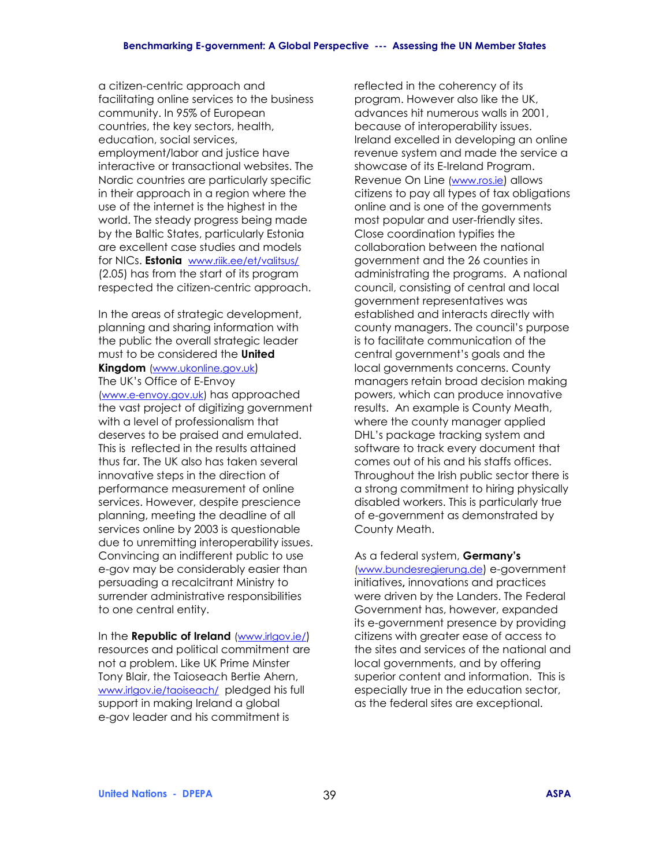a citizen-centric approach and facilitating online services to the business community. In 95% of European countries, the key sectors, health, education, social services, employment/labor and justice have interactive or transactional websites. The Nordic countries are particularly specific in their approach in a region where the use of the internet is the highest in the world. The steady progress being made by the Baltic States, particularly Estonia are excellent case studies and models for NICs. **Estonia** www.riik.ee/et/valitsus/ (2.05) has from the start of its program respected the citizen-centric approach.

In the areas of strategic development, planning and sharing information with the public the overall strategic leader must to be considered the **United Kingdom** (www.ukonline.gov.uk) The UK's Office of E-Envoy (www.e-envoy.gov.uk) has approached the vast project of digitizing government with a level of professionalism that deserves to be praised and emulated. This is reflected in the results attained thus far. The UK also has taken several innovative steps in the direction of performance measurement of online services. However, despite prescience planning, meeting the deadline of all services online by 2003 is questionable due to unremitting interoperability issues. Convincing an indifferent public to use e-gov may be considerably easier than persuading a recalcitrant Ministry to surrender administrative responsibilities to one central entity.

In the **Republic of Ireland** (www.irlgov.ie/) resources and political commitment are not a problem. Like UK Prime Minster Tony Blair, the Taioseach Bertie Ahern, www.irlgov.ie/taoiseach/ pledged his full support in making Ireland a global e-gov leader and his commitment is

reflected in the coherency of its program. However also like the UK, advances hit numerous walls in 2001, because of interoperability issues. Ireland excelled in developing an online revenue system and made the service a showcase of its E-Ireland Program. Revenue On Line (www.ros.ie) allows citizens to pay all types of tax obligations online and is one of the governments most popular and user-friendly sites. Close coordination typifies the collaboration between the national government and the 26 counties in administrating the programs. A national council, consisting of central and local government representatives was established and interacts directly with county managers. The council's purpose is to facilitate communication of the central government's goals and the local governments concerns. County managers retain broad decision making powers, which can produce innovative results. An example is County Meath, where the county manager applied DHL's package tracking system and software to track every document that comes out of his and his staffs offices. Throughout the Irish public sector there is a strong commitment to hiring physically disabled workers. This is particularly true of e-government as demonstrated by County Meath.

As a federal system, **Germanyís**  (www.bundesregierung.de) e-government initiatives**,** innovations and practices were driven by the Landers. The Federal Government has, however, expanded its e-government presence by providing citizens with greater ease of access to the sites and services of the national and local governments, and by offering superior content and information. This is especially true in the education sector, as the federal sites are exceptional.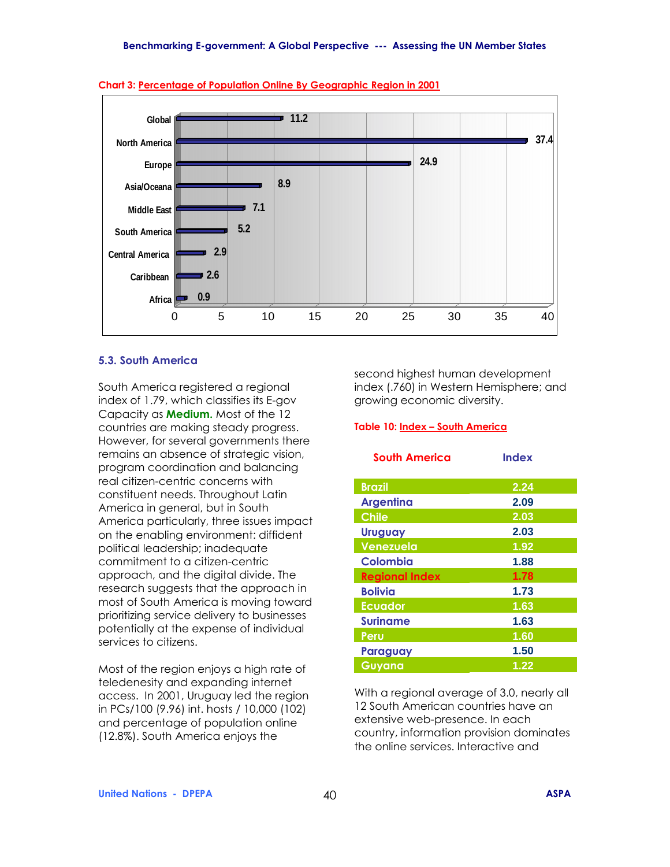



#### **5.3. South America**

South America registered a regional index of 1.79, which classifies its E-gov Capacity as **Medium.** Most of the 12 countries are making steady progress. However, for several governments there remains an absence of strategic vision, program coordination and balancing real citizen-centric concerns with constituent needs. Throughout Latin America in general, but in South America particularly, three issues impact on the enabling environment: diffident political leadership; inadequate commitment to a citizen-centric approach, and the digital divide. The research suggests that the approach in most of South America is moving toward prioritizing service delivery to businesses potentially at the expense of individual services to citizens.

Most of the region enjoys a high rate of teledenesity and expanding internet access. In 2001, Uruguay led the region in PCs/100 (9.96) int. hosts / 10,000 (102) and percentage of population online (12.8%). South America enjoys the

second highest human development index (.760) in Western Hemisphere; and growing economic diversity.

#### **Table 10: Index - South America**

| <b>South America</b>  | <b>Index</b> |
|-----------------------|--------------|
| <b>Brazil</b>         | 2.24         |
| <b>Argentina</b>      | 2.09         |
| <b>Chile</b>          | 2.03         |
| <b>Uruguay</b>        | 2.03         |
| Venezuela             | 1.92         |
| Colombia              | 1.88         |
| <b>Regional Index</b> | 1.78         |
| <b>Bolivia</b>        | 1.73         |
| <b>Ecuador</b>        | 1.63         |
| <b>Suriname</b>       | 1.63         |
| Peru                  | 1.60         |
| Paraguay              | 1.50         |
| Guyana                | 1.22         |

With a regional average of 3.0, nearly all 12 South American countries have an extensive web-presence. In each country, information provision dominates the online services. Interactive and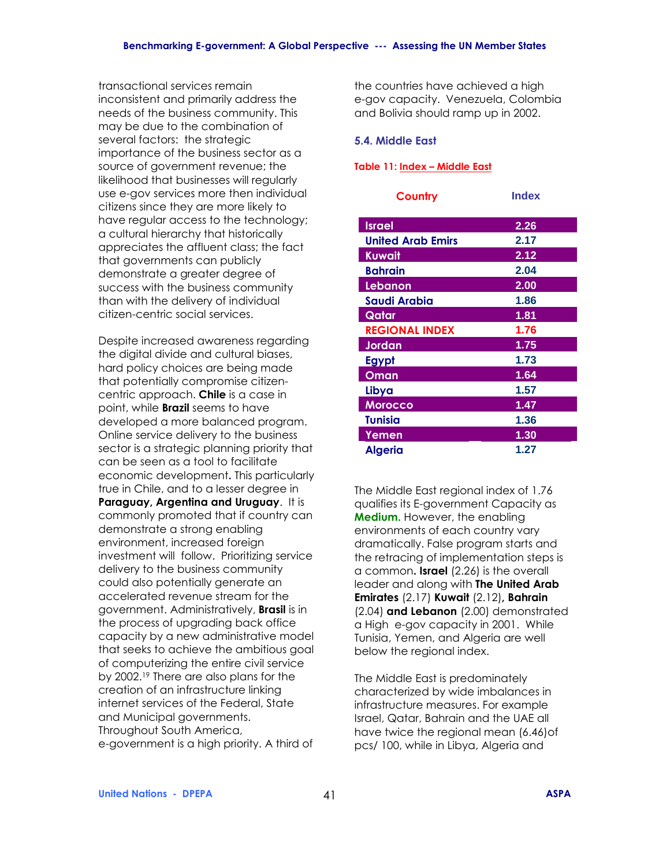transactional services remain inconsistent and primarily address the needs of the business community. This may be due to the combination of several factors: the strategic importance of the business sector as a source of government revenue; the likelihood that businesses will regularly use e-gov services more then individual citizens since they are more likely to have regular access to the technology; a cultural hierarchy that historically appreciates the affluent class; the fact that governments can publicly demonstrate a greater degree of success with the business community than with the delivery of individual citizen-centric social services.

Despite increased awareness regarding the digital divide and cultural biases, hard policy choices are being made that potentially compromise citizencentric approach. **Chile** is a case in point, while **Brazil** seems to have developed a more balanced program. Online service delivery to the business sector is a strategic planning priority that can be seen as a tool to facilitate economic development**.** This particularly true in Chile, and to a lesser degree in **Paraguay, Argentina and Uruguay**. It is commonly promoted that if country can demonstrate a strong enabling environment, increased foreign investment will follow. Prioritizing service delivery to the business community could also potentially generate an accelerated revenue stream for the government. Administratively, **Brasil** is in the process of upgrading back office capacity by a new administrative model that seeks to achieve the ambitious goal of computerizing the entire civil service by 2002.19 There are also plans for the creation of an infrastructure linking internet services of the Federal, State and Municipal governments. Throughout South America, e-government is a high priority. A third of

the countries have achieved a high e-gov capacity. Venezuela, Colombia and Bolivia should ramp up in 2002.

#### **5.4. Middle East**

#### **Table 11: Index - Middle East**

| Country                  | <b>Index</b> |
|--------------------------|--------------|
| <b>Israel</b>            | 2.26         |
| <b>United Arab Emirs</b> | 2.17         |
| Kuwait                   | 2.12         |
| <b>Bahrain</b>           | 2.04         |
| Lebanon                  | 2.00         |
| Saudi Arabia             | 1.86         |
| Qatar                    | 1.81         |
| <b>REGIONAL INDEX</b>    | 1.76         |
| Jordan                   | 1.75         |
| Egypt                    | 1.73         |
| <u>Oman</u>              | 1.64         |
| Libya                    | 1.57         |
| <b>Morocco</b>           | 1.47         |
| <b>Tunisia</b>           | 1.36         |
| Yemen                    | 1.30         |
| <b>Algeria</b>           | 1.27         |

The Middle East regional index of 1.76 qualifies its E-government Capacity as **Medium.** However, the enabling environments of each country vary dramatically. False program starts and the retracing of implementation steps is a common**. Israel** (2.26) is the overall leader and along with **The United Arab Emirates** (2.17) **Kuwait** (2.12)**, Bahrain**  (2.04) **and Lebanon** (2.00) demonstrated a High e-gov capacity in 2001. While Tunisia, Yemen, and Algeria are well below the regional index.

The Middle East is predominately characterized by wide imbalances in infrastructure measures. For example Israel, Qatar, Bahrain and the UAE all have twice the regional mean (6.46)of pcs/ 100, while in Libya, Algeria and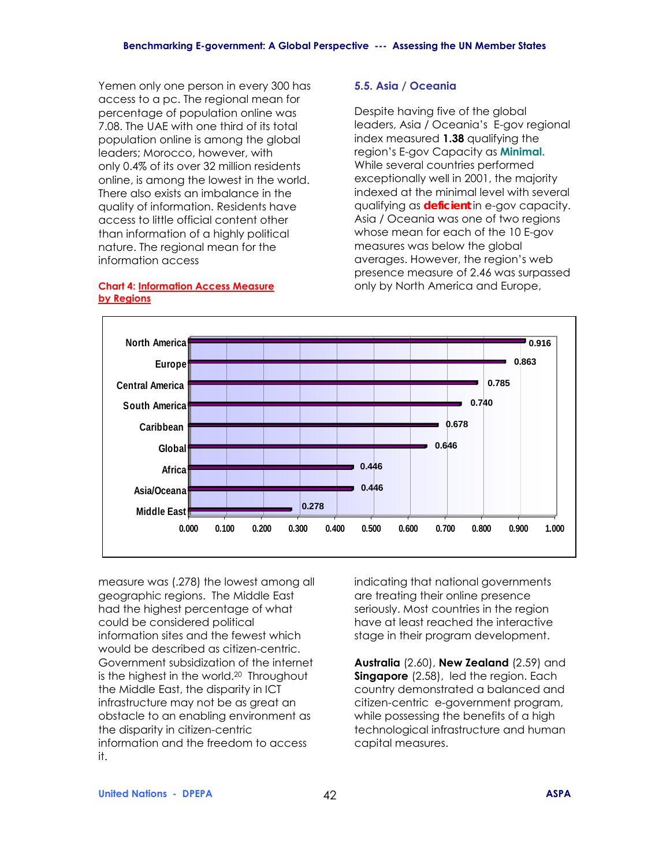Yemen only one person in every 300 has access to a pc. The regional mean for percentage of population online was 7.08. The UAE with one third of its total population online is among the global leaders; Morocco, however, with only 0.4% of its over 32 million residents online, is among the lowest in the world. There also exists an imbalance in the quality of information. Residents have access to little official content other than information of a highly political nature. The regional mean for the information access

#### **Chart 4: Information Access Measure by Regions**

#### **5.5. Asia / Oceania**

Despite having five of the global leaders, Asia / Oceania's E-gov regional index measured **1.38** qualifying the region's E-gov Capacity as **Minimal.** While several countries performed exceptionally well in 2001, the majority indexed at the minimal level with several qualifying as *deficient* in e-gov capacity. Asia / Oceania was one of two regions whose mean for each of the 10 E-gov measures was below the global averages. However, the region's web presence measure of 2.46 was surpassed only by North America and Europe,



measure was (.278) the lowest among all geographic regions. The Middle East had the highest percentage of what could be considered political information sites and the fewest which would be described as citizen-centric. Government subsidization of the internet is the highest in the world.20 Throughout the Middle East, the disparity in ICT infrastructure may not be as great an obstacle to an enabling environment as the disparity in citizen-centric information and the freedom to access it.

indicating that national governments are treating their online presence seriously. Most countries in the region have at least reached the interactive stage in their program development.

**Australia** (2.60), **New Zealand** (2.59) and **Singapore** (2.58), led the region. Each country demonstrated a balanced and citizen-centric e-government program, while possessing the benefits of a high technological infrastructure and human capital measures.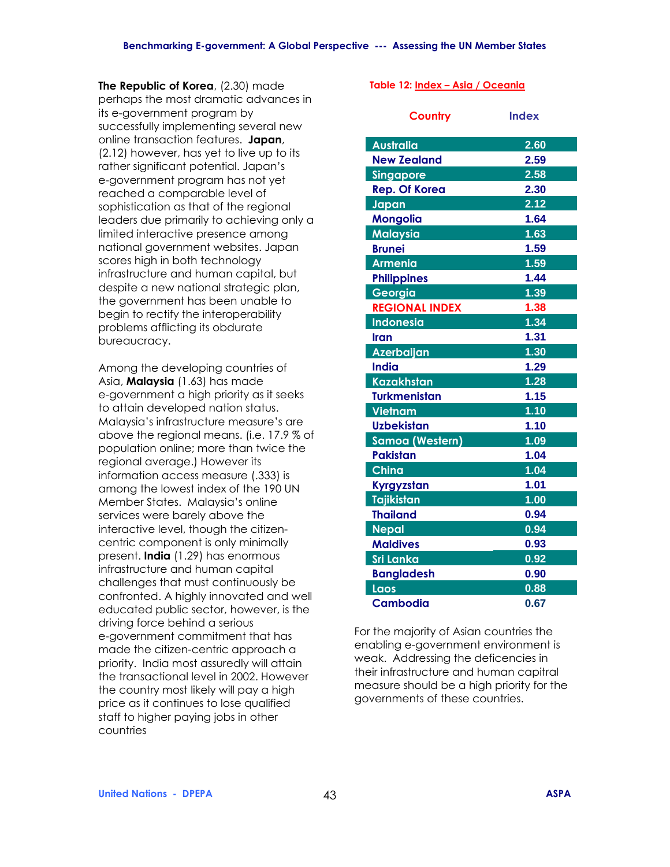**The Republic of Korea**, (2.30) made perhaps the most dramatic advances in its e-government program by successfully implementing several new online transaction features. **Japan**, (2.12) however, has yet to live up to its rather significant potential. Japan's e-government program has not yet reached a comparable level of sophistication as that of the regional leaders due primarily to achieving only a limited interactive presence among national government websites. Japan scores high in both technology infrastructure and human capital, but despite a new national strategic plan, the government has been unable to begin to rectify the interoperability problems afflicting its obdurate bureaucracy.

Among the developing countries of Asia, **Malaysia** (1.63) has made e-government a high priority as it seeks to attain developed nation status. Malaysia's infrastructure measure's are above the regional means. (i.e. 17.9 % of population online; more than twice the regional average.) However its information access measure (.333) is among the lowest index of the 190 UN Member States. Malaysia's online services were barely above the interactive level, though the citizencentric component is only minimally present. **India** (1.29) has enormous infrastructure and human capital challenges that must continuously be confronted. A highly innovated and well educated public sector, however, is the driving force behind a serious e-government commitment that has made the citizen-centric approach a priority. India most assuredly will attain the transactional level in 2002. However the country most likely will pay a high price as it continues to lose qualified staff to higher paying jobs in other countries

#### Table 12: **Index - Asia / Oceania**

| Country                | <b>Index</b> |
|------------------------|--------------|
| <b>Australia</b>       | 2.60         |
| <b>New Zealand</b>     | 2.59         |
| <b>Singapore</b>       | 2.58         |
| <b>Rep. Of Korea</b>   | 2.30         |
| Japan                  | 2.12         |
| <b>Mongolia</b>        | 1.64         |
| <b>Malaysia</b>        | 1.63         |
| <b>Brunei</b>          | 1.59         |
| <b>Armenia</b>         | 1.59         |
| <b>Philippines</b>     | 1.44         |
| Georgia                | 1.39         |
| <b>REGIONAL INDEX</b>  | 1.38         |
| <b>Indonesia</b>       | 1.34         |
| Iran                   | 1.31         |
| <b>Azerbaijan</b>      | 1.30         |
| <b>India</b>           | 1.29         |
| <b>Kazakhstan</b>      | 1.28         |
| <b>Turkmenistan</b>    | 1.15         |
| <b>Vietnam</b>         | 1.10         |
| <b>Uzbekistan</b>      | 1.10         |
| <b>Samoa (Western)</b> | 1.09         |
| <b>Pakistan</b>        | 1.04         |
| China                  | 1.04         |
| Kyrgyzstan             | 1.01         |
| <b>Tajikistan</b>      | 1.00         |
| <b>Thailand</b>        | 0.94         |
| <b>Nepal</b>           | 0.94         |
| <b>Maldives</b>        | 0.93         |
| <b>Sri Lanka</b>       | 0.92         |
| <b>Bangladesh</b>      | 0.90         |
| Laos                   | 0.88         |
| <b>Cambodia</b>        | 0.67         |

For the majority of Asian countries the enabling e-government environment is weak. Addressing the deficencies in their infrastructure and human capitral measure should be a high priority for the governments of these countries.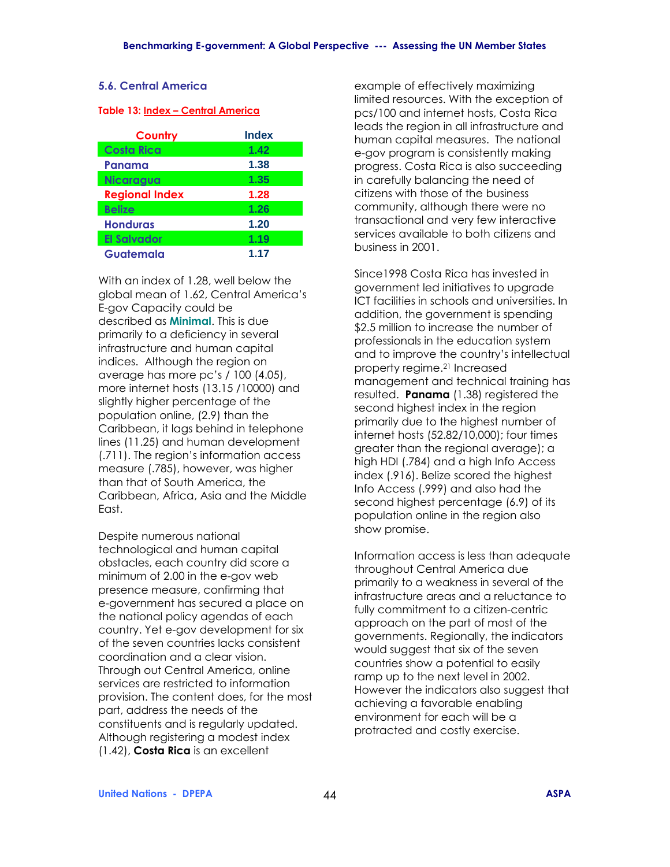#### **5.6. Central America**

#### **Table 13: Index - Central America**

| <b>Country</b>        | <b>Index</b> |
|-----------------------|--------------|
| <b>Costa Rica</b>     | 1.42         |
| Panama                | 1.38         |
| <b>Nicaragua</b>      | 1.35         |
| <b>Regional Index</b> | 1.28         |
| <b>Belize</b>         | 1.26         |
| <b>Honduras</b>       | 1.20         |
| <b>El Salvador</b>    | 1.19         |
| Guatemala             | 1.17         |

With an index of 1.28, well below the global mean of 1.62, Central America's E-gov Capacity could be described as **Minimal**. This is due primarily to a deficiency in several infrastructure and human capital indices. Although the region on average has more pc's / 100 (4.05), more internet hosts (13.15 /10000) and slightly higher percentage of the population online, (2.9) than the Caribbean, it lags behind in telephone lines (11.25) and human development (.711). The region's information access measure (.785), however, was higher than that of South America, the Caribbean, Africa, Asia and the Middle East.

Despite numerous national technological and human capital obstacles, each country did score a minimum of 2.00 in the e-gov web presence measure, confirming that e-government has secured a place on the national policy agendas of each country. Yet e-gov development for six of the seven countries lacks consistent coordination and a clear vision. Through out Central America, online services are restricted to information provision. The content does, for the most part, address the needs of the constituents and is regularly updated. Although registering a modest index (1.42), **Costa Rica** is an excellent

example of effectively maximizing limited resources. With the exception of pcs/100 and internet hosts, Costa Rica leads the region in all infrastructure and human capital measures. The national e-gov program is consistently making progress. Costa Rica is also succeeding in carefully balancing the need of citizens with those of the business community, although there were no transactional and very few interactive services available to both citizens and business in 2001.

Since1998 Costa Rica has invested in government led initiatives to upgrade ICT facilities in schools and universities. In addition, the government is spending \$2.5 million to increase the number of professionals in the education system and to improve the country's intellectual property regime.21 Increased management and technical training has resulted. **Panama** (1.38) registered the second highest index in the region primarily due to the highest number of internet hosts (52.82/10,000); four times greater than the regional average); a high HDI (.784) and a high Info Access index (.916). Belize scored the highest Info Access (.999) and also had the second highest percentage (6.9) of its population online in the region also show promise.

Information access is less than adequate throughout Central America due primarily to a weakness in several of the infrastructure areas and a reluctance to fully commitment to a citizen-centric approach on the part of most of the governments. Regionally, the indicators would suggest that six of the seven countries show a potential to easily ramp up to the next level in 2002. However the indicators also suggest that achieving a favorable enabling environment for each will be a protracted and costly exercise.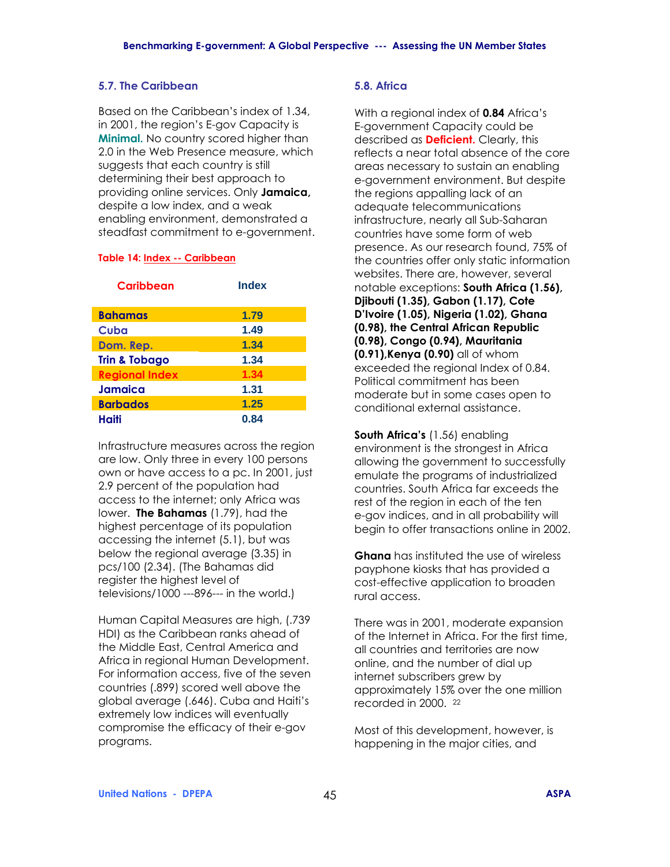#### **5.7. The Caribbean**

Based on the Caribbean's index of 1.34, in 2001, the region's E-gov Capacity is **Minimal.** No country scored higher than 2.0 in the Web Presence measure, which suggests that each country is still determining their best approach to providing online services. Only **Jamaica,** despite a low index, and a weak enabling environment, demonstrated a steadfast commitment to e-government.

#### **Table 14: Index -- Caribbean**

| Caribbean                | <b>Index</b> |
|--------------------------|--------------|
| <b>Bahamas</b>           | 1.79         |
| Cuba                     | 1.49         |
| Dom. Rep.                | 1.34         |
| <b>Trin &amp; Tobago</b> | 1.34         |
| <b>Regional Index</b>    | 1.34         |
| Jamaica                  | 1.31         |
| <b>Barbados</b>          | 1.25         |
| Haiti                    | 0.84         |

Infrastructure measures across the region are low. Only three in every 100 persons own or have access to a pc. In 2001, just 2.9 percent of the population had access to the internet; only Africa was lower. **The Bahamas** (1.79), had the highest percentage of its population accessing the internet (5.1), but was below the regional average (3.35) in pcs/100 (2.34). (The Bahamas did register the highest level of televisions/1000 ---896--- in the world.)

Human Capital Measures are high, (.739 HDI) as the Caribbean ranks ahead of the Middle East, Central America and Africa in regional Human Development. For information access, five of the seven countries (.899) scored well above the global average (.646). Cuba and Haitiís extremely low indices will eventually compromise the efficacy of their e-gov programs.

### **5.8. Africa**

With a regional index of **0.84** Africa's E-government Capacity could be described as **Deficient.** Clearly, this reflects a near total absence of the core areas necessary to sustain an enabling e-government environment. But despite the regions appalling lack of an adequate telecommunications infrastructure, nearly all Sub-Saharan countries have some form of web presence. As our research found, 75% of the countries offer only static information websites. There are, however, several notable exceptions: **South Africa (1.56), Djibouti (1.35), Gabon (1.17), Cote DíIvoire (1.05), Nigeria (1.02), Ghana (0.98), the Central African Republic (0.98), Congo (0.94), Mauritania (0.91),Kenya (0.90)** all of whom exceeded the regional Index of 0.84. Political commitment has been moderate but in some cases open to conditional external assistance.

**South Africa's** (1.56) enabling environment is the strongest in Africa allowing the government to successfully emulate the programs of industrialized countries. South Africa far exceeds the rest of the region in each of the ten e-gov indices, and in all probability will begin to offer transactions online in 2002.

**Ghana** has instituted the use of wireless payphone kiosks that has provided a cost-effective application to broaden rural access.

There was in 2001, moderate expansion of the Internet in Africa. For the first time, all countries and territories are now online, and the number of dial up internet subscribers grew by approximately 15% over the one million recorded in 2000. 22

Most of this development, however, is happening in the major cities, and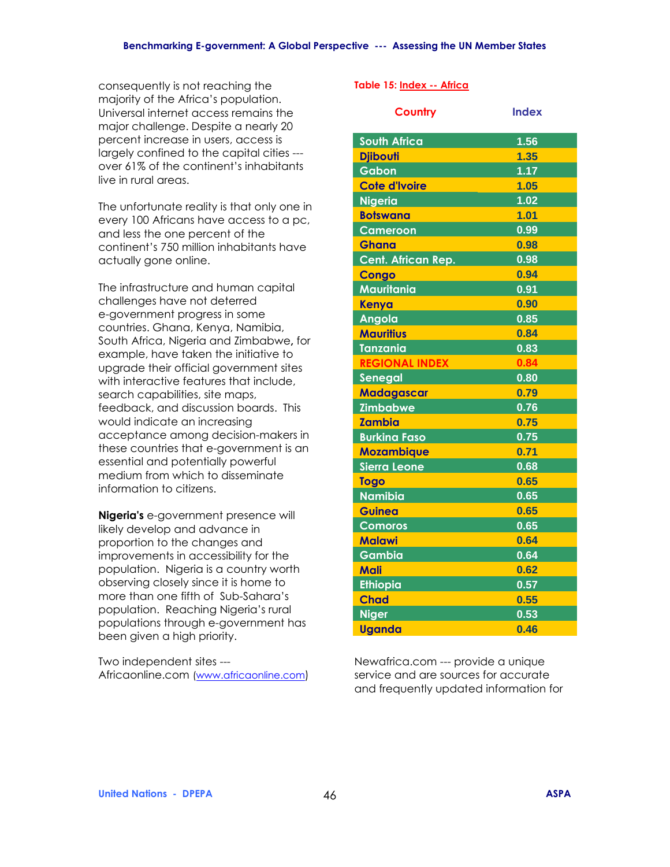consequently is not reaching the majority of the Africa's population. Universal internet access remains the major challenge. Despite a nearly 20 percent increase in users, access is largely confined to the capital cities -- over 61% of the continent's inhabitants live in rural areas.

The unfortunate reality is that only one in every 100 Africans have access to a pc, and less the one percent of the continent's 750 million inhabitants have actually gone online.

The infrastructure and human capital challenges have not deterred e-government progress in some countries. Ghana, Kenya, Namibia, South Africa, Nigeria and Zimbabwe**,** for example, have taken the initiative to upgrade their official government sites with interactive features that include. search capabilities, site maps, feedback, and discussion boards. This would indicate an increasing acceptance among decision-makers in these countries that e-government is an essential and potentially powerful medium from which to disseminate information to citizens.

**Nigeria's** e-government presence will likely develop and advance in proportion to the changes and improvements in accessibility for the population. Nigeria is a country worth observing closely since it is home to more than one fifth of Sub-Sahara's population. Reaching Nigeria's rural populations through e-government has been given a high priority.

Two independent sites --- Africaonline.com (www.africaonline.com)

#### **Table 15: Index -- Africa**

| Country               | <b>Index</b> |
|-----------------------|--------------|
| <b>South Africa</b>   | 1.56         |
| <b>Djibouti</b>       | 1.35         |
| Gabon                 | 1.17         |
| <b>Cote d'Ivoire</b>  | 1.05         |
| <b>Nigeria</b>        | 1.02         |
| <b>Botswana</b>       | 1.01         |
| <b>Cameroon</b>       | 0.99         |
| <b>Ghana</b>          | 0.98         |
| Cent. African Rep.    | 0.98         |
| <b>Congo</b>          | 0.94         |
| Mauritania            | 0.91         |
| Kenya                 | 0.90         |
| Angola                | 0.85         |
| <b>Mauritius</b>      | 0.84         |
| <b>Tanzania</b>       | 0.83         |
| <b>REGIONAL INDEX</b> | 0.84         |
| Senegal               | 0.80         |
| <b>Madagascar</b>     | 0.79         |
| <b>Zimbabwe</b>       | 0.76         |
| <b>Zambia</b>         | 0.75         |
| <b>Burkina Faso</b>   | 0.75         |
| <b>Mozambique</b>     | 0.71         |
| <b>Sierra Leone</b>   | 0.68         |
| <b>Togo</b>           | 0.65         |
| <b>Namibia</b>        | 0.65         |
| <b>Guinea</b>         | 0.65         |
| <b>Comoros</b>        | 0.65         |
| <b>Malawi</b>         | 0.64         |
| <b>Gambia</b>         | 0.64         |
| Mali                  | 0.62         |
| <b>Ethiopia</b>       | 0.57         |
| <b>Chad</b>           | 0.55         |
| <b>Niger</b>          | 0.53         |
| <b>Uganda</b>         | 0.46         |

Newafrica.com --- provide a unique service and are sources for accurate and frequently updated information for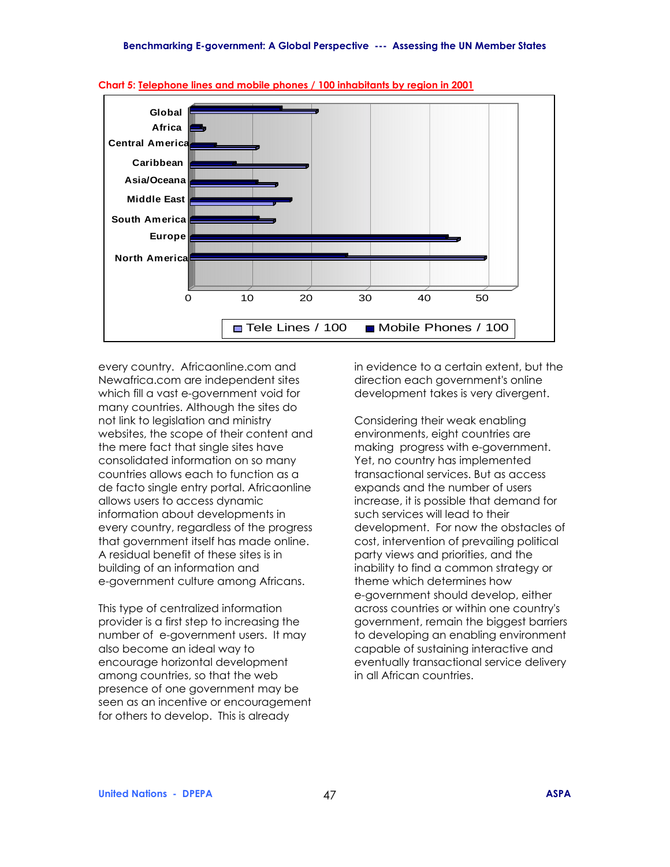

**Chart 5: Telephone lines and mobile phones / 100 inhabitants by region in 2001**

every country. Africaonline.com and Newafrica.com are independent sites which fill a vast e-government void for many countries. Although the sites do not link to legislation and ministry websites, the scope of their content and the mere fact that single sites have consolidated information on so many countries allows each to function as a de facto single entry portal. Africaonline allows users to access dynamic information about developments in every country, regardless of the progress that government itself has made online. A residual benefit of these sites is in building of an information and e-government culture among Africans.

This type of centralized information provider is a first step to increasing the number of e-government users. It may also become an ideal way to encourage horizontal development among countries, so that the web presence of one government may be seen as an incentive or encouragement for others to develop. This is already

in evidence to a certain extent, but the direction each government's online development takes is very divergent.

Considering their weak enabling environments, eight countries are making progress with e-government. Yet, no country has implemented transactional services. But as access expands and the number of users increase, it is possible that demand for such services will lead to their development. For now the obstacles of cost, intervention of prevailing political party views and priorities, and the inability to find a common strategy or theme which determines how e-government should develop, either across countries or within one country's government, remain the biggest barriers to developing an enabling environment capable of sustaining interactive and eventually transactional service delivery in all African countries.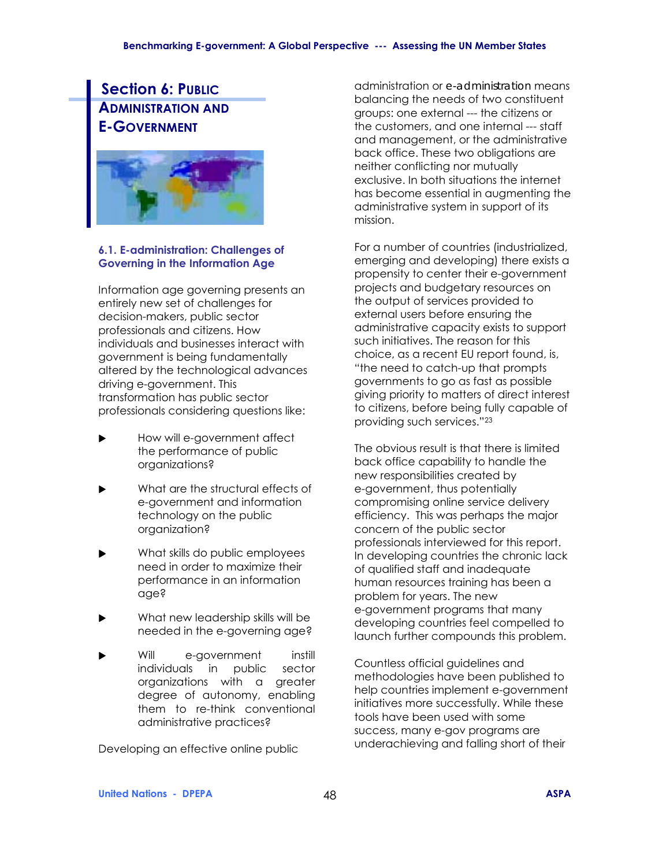## **Section 6: PUBLIC ADMINISTRATION AND E-GOVERNMENT**



#### **6.1. E-administration: Challenges of Governing in the Information Age**

Information age governing presents an entirely new set of challenges for decision-makers, public sector professionals and citizens. How individuals and businesses interact with government is being fundamentally altered by the technological advances driving e-government. This transformation has public sector professionals considering questions like:

- How will e-government affect the performance of public organizations?
- What are the structural effects of e-government and information technology on the public organization?
- What skills do public employees need in order to maximize their performance in an information age?
- What new leadership skills will be needed in the e-governing age?
- Will e-government instill individuals in public sector organizations with a greater degree of autonomy, enabling them to re-think conventional administrative practices?

Developing an effective online public

administration or *e-administration* means balancing the needs of two constituent groups: one external --- the citizens or the customers, and one internal --- staff and management, or the administrative back office. These two obligations are neither conflicting nor mutually exclusive. In both situations the internet has become essential in augmenting the administrative system in support of its mission.

For a number of countries (industrialized, emerging and developing) there exists a propensity to center their e-government projects and budgetary resources on the output of services provided to external users before ensuring the administrative capacity exists to support such initiatives. The reason for this choice, as a recent EU report found, is, "the need to catch-up that prompts governments to go as fast as possible giving priority to matters of direct interest to citizens, before being fully capable of providing such services."<sup>23</sup>

The obvious result is that there is limited back office capability to handle the new responsibilities created by e-government, thus potentially compromising online service delivery efficiency. This was perhaps the major concern of the public sector professionals interviewed for this report. In developing countries the chronic lack of qualified staff and inadequate human resources training has been a problem for years. The new e-government programs that many developing countries feel compelled to launch further compounds this problem.

Countless official guidelines and methodologies have been published to help countries implement e-government initiatives more successfully. While these tools have been used with some success, many e-gov programs are underachieving and falling short of their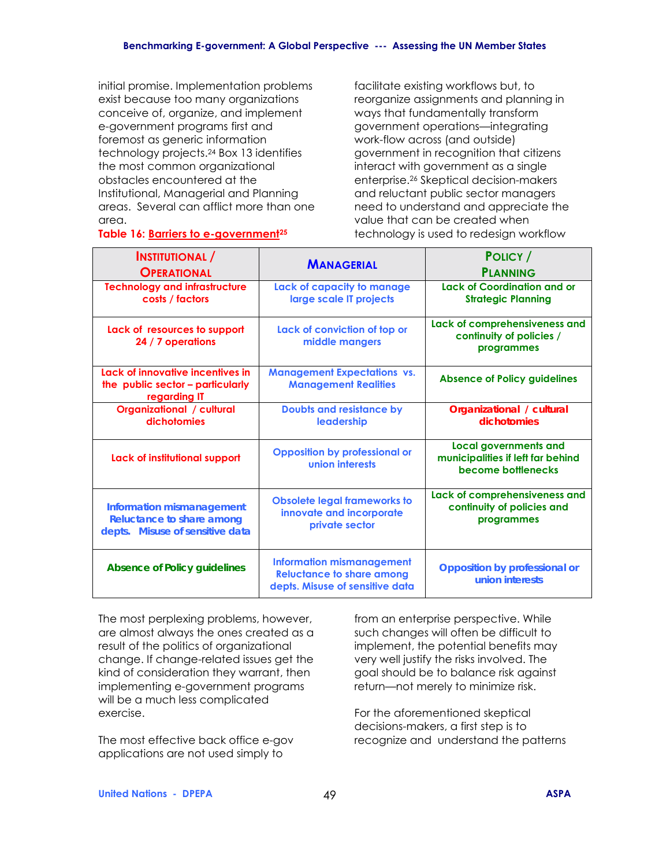initial promise. Implementation problems exist because too many organizations conceive of, organize, and implement e-government programs first and foremost as generic information technology projects.24 Box 13 identifies the most common organizational obstacles encountered at the Institutional, Managerial and Planning areas. Several can afflict more than one area.

facilitate existing workflows but, to reorganize assignments and planning in ways that fundamentally transform government operations-integrating work-flow across (and outside) government in recognition that citizens interact with government as a single enterprise.26 Skeptical decision-makers and reluctant public sector managers need to understand and appreciate the value that can be created when technology is used to redesign workflow

### **Table 16: Barriers to e-government25**

| <b>INSTITUTIONAL</b> /                                                                           | <b>MANAGERIAL</b>                                                                                       | POLICY /                                                                                |  |  |
|--------------------------------------------------------------------------------------------------|---------------------------------------------------------------------------------------------------------|-----------------------------------------------------------------------------------------|--|--|
| <b>OPERATIONAL</b>                                                                               |                                                                                                         | <b>PLANNING</b>                                                                         |  |  |
| <b>Technology and infrastructure</b><br>costs / factors                                          | Lack of capacity to manage<br>large scale IT projects                                                   | <b>Lack of Coordination and or</b><br><b>Strategic Planning</b>                         |  |  |
| Lack of resources to support<br>24 / 7 operations                                                | Lack of conviction of top or<br>middle mangers                                                          | Lack of comprehensiveness and<br>continuity of policies /<br>programmes                 |  |  |
| Lack of innovative incentives in<br>the public sector - particularly<br>regarding IT             | <b>Management Expectations vs.</b><br><b>Management Realities</b>                                       | <b>Absence of Policy guidelines</b>                                                     |  |  |
| <b>Organizational / cultural</b><br>dichotomies                                                  | <b>Doubts and resistance by</b><br>leadership                                                           | Organizational / cultural<br>dichotomies                                                |  |  |
| Lack of institutional support                                                                    | <b>Opposition by professional or</b><br>union interests                                                 | <b>Local governments and</b><br>municipalities if left far behind<br>become bottlenecks |  |  |
| <b>Information mismanagement</b><br>Reluctance to share among<br>depts. Misuse of sensitive data | <b>Obsolete legal frameworks to</b><br>innovate and incorporate<br>private sector                       | Lack of comprehensiveness and<br>continuity of policies and<br>programmes               |  |  |
| <b>Absence of Policy guidelines</b>                                                              | <b>Information mismanagement</b><br><b>Reluctance to share among</b><br>depts. Misuse of sensitive data | <b>Opposition by professional or</b><br>union interests                                 |  |  |

The most perplexing problems, however, are almost always the ones created as a result of the politics of organizational change. If change-related issues get the kind of consideration they warrant, then implementing e-government programs will be a much less complicated exercise.

The most effective back office e-gov applications are not used simply to

from an enterprise perspective. While such changes will often be difficult to implement, the potential benefits may very well justify the risks involved. The goal should be to balance risk against return-not merely to minimize risk.

For the aforementioned skeptical decisions-makers, a first step is to recognize and understand the patterns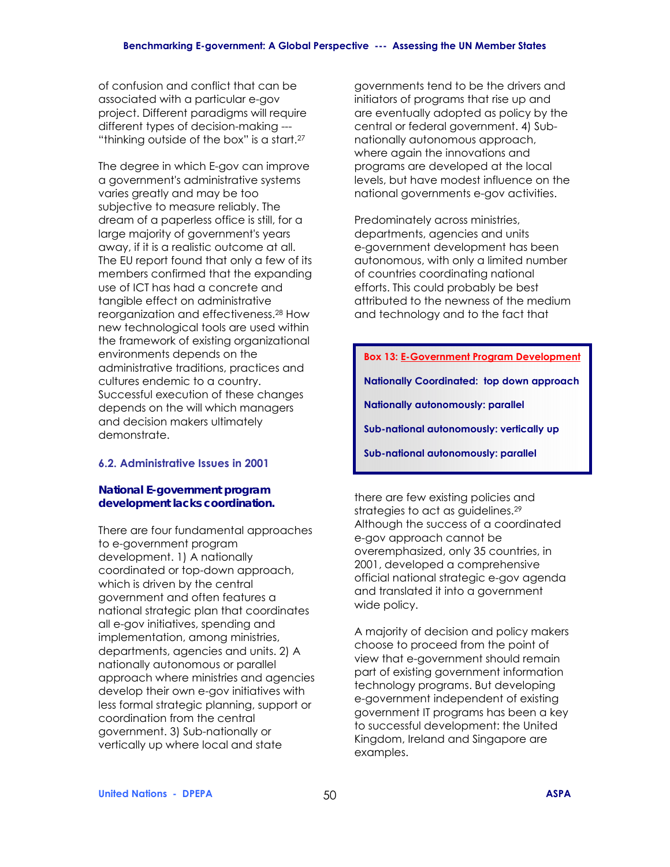of confusion and conflict that can be associated with a particular e-gov project. Different paradigms will require different types of decision-making --- "thinking outside of the box" is a start.<sup>27</sup>

The degree in which E-gov can improve a government's administrative systems varies greatly and may be too subjective to measure reliably. The dream of a paperless office is still, for a large majority of government's years away, if it is a realistic outcome at all. The EU report found that only a few of its members confirmed that the expanding use of ICT has had a concrete and tangible effect on administrative reorganization and effectiveness.28 How new technological tools are used within the framework of existing organizational environments depends on the administrative traditions, practices and cultures endemic to a country. Successful execution of these changes depends on the will which managers and decision makers ultimately demonstrate.

### **6.2. Administrative Issues in 2001**

#### *National E-government program development lacks coordination.*

There are four fundamental approaches to e-government program development. 1) A nationally coordinated or top-down approach, which is driven by the central government and often features a national strategic plan that coordinates all e-gov initiatives, spending and implementation, among ministries, departments, agencies and units. 2) A nationally autonomous or parallel approach where ministries and agencies develop their own e-gov initiatives with less formal strategic planning, support or coordination from the central government. 3) Sub-nationally or vertically up where local and state

governments tend to be the drivers and initiators of programs that rise up and are eventually adopted as policy by the central or federal government. 4) Subnationally autonomous approach, where again the innovations and programs are developed at the local levels, but have modest influence on the national governments e-gov activities.

Predominately across ministries, departments, agencies and units e-government development has been autonomous, with only a limited number of countries coordinating national efforts. This could probably be best attributed to the newness of the medium and technology and to the fact that

**Box 13: E-Government Program Development Nationally Coordinated: top down approach Nationally autonomously: parallel Sub-national autonomously: vertically up Sub-national autonomously: parallel** 

there are few existing policies and strategies to act as guidelines.<sup>29</sup> Although the success of a coordinated e-gov approach cannot be overemphasized, only 35 countries, in 2001, developed a comprehensive official national strategic e-gov agenda and translated it into a government wide policy.

A majority of decision and policy makers choose to proceed from the point of view that e-government should remain part of existing government information technology programs. But developing e-government independent of existing government IT programs has been a key to successful development: the United Kingdom, Ireland and Singapore are examples.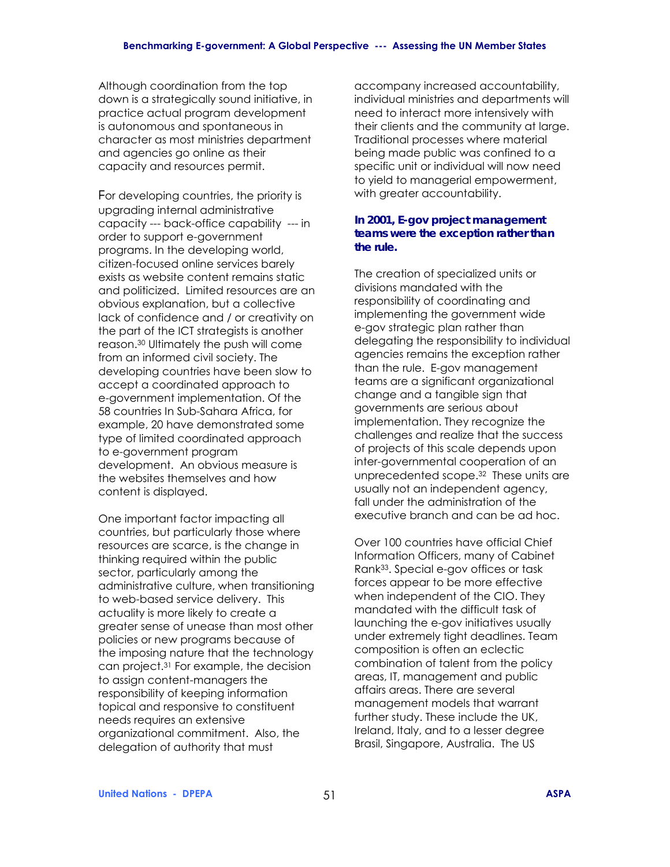Although coordination from the top down is a strategically sound initiative, in practice actual program development is autonomous and spontaneous in character as most ministries department and agencies go online as their capacity and resources permit.

For developing countries, the priority is upgrading internal administrative capacity --- back-office capability --- in order to support e-government programs. In the developing world, citizen-focused online services barely exists as website content remains static and politicized. Limited resources are an obvious explanation, but a collective lack of confidence and / or creativity on the part of the ICT strategists is another reason.30 Ultimately the push will come from an informed civil society. The developing countries have been slow to accept a coordinated approach to e-government implementation. Of the 58 countries In Sub-Sahara Africa, for example, 20 have demonstrated some type of limited coordinated approach to e-government program development. An obvious measure is the websites themselves and how content is displayed.

One important factor impacting all countries, but particularly those where resources are scarce, is the change in thinking required within the public sector, particularly among the administrative culture, when transitioning to web-based service delivery. This actuality is more likely to create a greater sense of unease than most other policies or new programs because of the imposing nature that the technology can project.31 For example, the decision to assign content-managers the responsibility of keeping information topical and responsive to constituent needs requires an extensive organizational commitment. Also, the delegation of authority that must

accompany increased accountability, individual ministries and departments will need to interact more intensively with their clients and the community at large. Traditional processes where material being made public was confined to a specific unit or individual will now need to yield to managerial empowerment, with greater accountability.

#### *In 2001, E-gov project management teams were the exception rather than the rule.*

The creation of specialized units or divisions mandated with the responsibility of coordinating and implementing the government wide e-gov strategic plan rather than delegating the responsibility to individual agencies remains the exception rather than the rule. E-gov management teams are a significant organizational change and a tangible sign that governments are serious about implementation. They recognize the challenges and realize that the success of projects of this scale depends upon inter-governmental cooperation of an unprecedented scope.32 These units are usually not an independent agency, fall under the administration of the executive branch and can be ad hoc.

Over 100 countries have official Chief Information Officers, many of Cabinet Rank33. Special e-gov offices or task forces appear to be more effective when independent of the CIO. They mandated with the difficult task of launching the e-gov initiatives usually under extremely tight deadlines. Team composition is often an eclectic combination of talent from the policy areas, IT, management and public affairs areas. There are several management models that warrant further study. These include the UK, Ireland, Italy, and to a lesser degree Brasil, Singapore, Australia. The US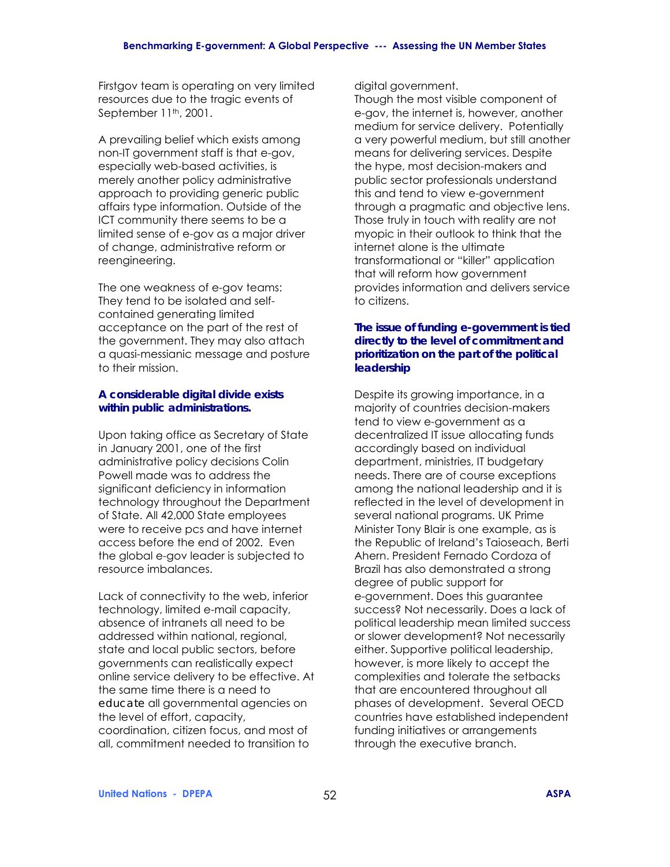Firstgov team is operating on very limited resources due to the tragic events of September 11th, 2001.

A prevailing belief which exists among non-IT government staff is that e-gov, especially web-based activities, is merely another policy administrative approach to providing generic public affairs type information. Outside of the ICT community there seems to be a limited sense of e-gov as a major driver of change, administrative reform or reengineering.

The one weakness of e-gov teams: They tend to be isolated and selfcontained generating limited acceptance on the part of the rest of the government. They may also attach a quasi-messianic message and posture to their mission.

### *A considerable digital divide exists within public administrations.*

Upon taking office as Secretary of State in January 2001, one of the first administrative policy decisions Colin Powell made was to address the significant deficiency in information technology throughout the Department of State. All 42,000 State employees were to receive pcs and have internet access before the end of 2002. Even the global e-gov leader is subjected to resource imbalances.

Lack of connectivity to the web, inferior technology, limited e-mail capacity, absence of intranets all need to be addressed within national, regional, state and local public sectors, before governments can realistically expect online service delivery to be effective. At the same time there is a need to *educate* all governmental agencies on the level of effort, capacity, coordination, citizen focus, and most of all, commitment needed to transition to

digital government.

Though the most visible component of e-gov, the internet is, however, another medium for service delivery. Potentially a very powerful medium, but still another means for delivering services. Despite the hype, most decision-makers and public sector professionals understand this and tend to view e-government through a pragmatic and objective lens. Those truly in touch with reality are not myopic in their outlook to think that the internet alone is the ultimate transformational or "killer" application that will reform how government provides information and delivers service to citizens.

### *The issue of funding e-government is tied directly to the level of commitment and prioritization on the part of the political leadership*

Despite its growing importance, in a majority of countries decision-makers tend to view e-government as a decentralized IT issue allocating funds accordingly based on individual department, ministries, IT budgetary needs. There are of course exceptions among the national leadership and it is reflected in the level of development in several national programs. UK Prime Minister Tony Blair is one example, as is the Republic of Ireland's Taioseach, Berti Ahern. President Fernado Cordoza of Brazil has also demonstrated a strong degree of public support for e-government. Does this guarantee success? Not necessarily. Does a lack of political leadership mean limited success or slower development? Not necessarily either. Supportive political leadership, however, is more likely to accept the complexities and tolerate the setbacks that are encountered throughout all phases of development. Several OECD countries have established independent funding initiatives or arrangements through the executive branch.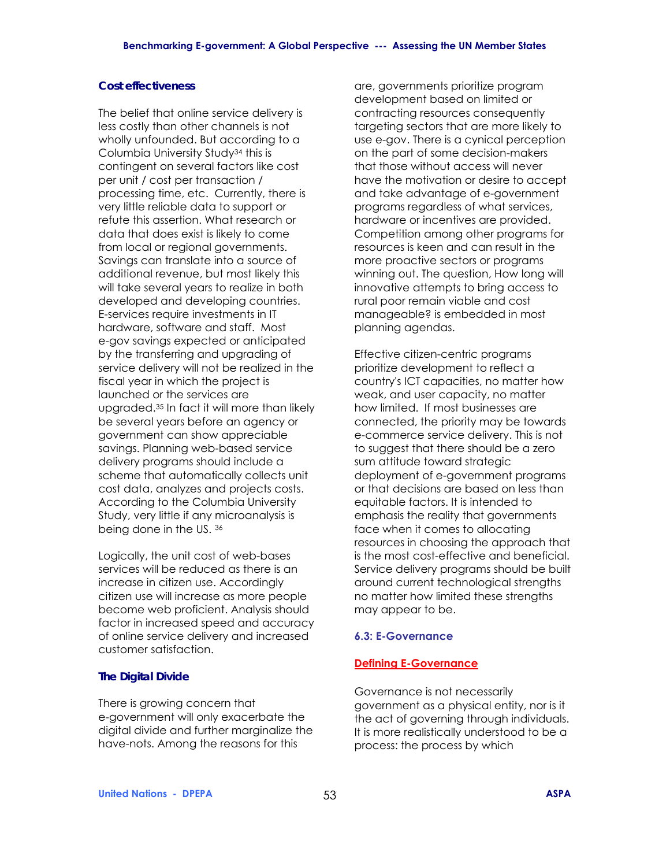### *Cost effectiveness*

The belief that online service delivery is less costly than other channels is not wholly unfounded. But according to a Columbia University Study34 this is contingent on several factors like cost per unit / cost per transaction / processing time, etc. Currently, there is very little reliable data to support or refute this assertion. What research or data that does exist is likely to come from local or regional governments. Savings can translate into a source of additional revenue, but most likely this will take several years to realize in both developed and developing countries. E-services require investments in IT hardware, software and staff. Most e-gov savings expected or anticipated by the transferring and upgrading of service delivery will not be realized in the fiscal year in which the project is launched or the services are upgraded.35 In fact it will more than likely be several years before an agency or government can show appreciable savings. Planning web-based service delivery programs should include a scheme that automatically collects unit cost data, analyzes and projects costs. According to the Columbia University Study, very little if any microanalysis is being done in the US. 36

Logically, the unit cost of web-bases services will be reduced as there is an increase in citizen use. Accordingly citizen use will increase as more people become web proficient. Analysis should factor in increased speed and accuracy of online service delivery and increased customer satisfaction.

#### *The Digital Divide*

There is growing concern that e-government will only exacerbate the digital divide and further marginalize the have-nots. Among the reasons for this

are, governments prioritize program development based on limited or contracting resources consequently targeting sectors that are more likely to use e-gov. There is a cynical perception on the part of some decision-makers that those without access will never have the motivation or desire to accept and take advantage of e-government programs regardless of what services, hardware or incentives are provided. Competition among other programs for resources is keen and can result in the more proactive sectors or programs winning out. The question, How long will innovative attempts to bring access to rural poor remain viable and cost manageable? is embedded in most planning agendas.

Effective citizen-centric programs prioritize development to reflect a country's ICT capacities, no matter how weak, and user capacity, no matter how limited. If most businesses are connected, the priority may be towards e-commerce service delivery. This is not to suggest that there should be a zero sum attitude toward strategic deployment of e-government programs or that decisions are based on less than equitable factors. It is intended to emphasis the reality that governments face when it comes to allocating resources in choosing the approach that is the most cost-effective and beneficial. Service delivery programs should be built around current technological strengths no matter how limited these strengths may appear to be.

#### **6.3: E-Governance**

#### **Defining E-Governance**

Governance is not necessarily government as a physical entity, nor is it the act of governing through individuals. It is more realistically understood to be a process: the process by which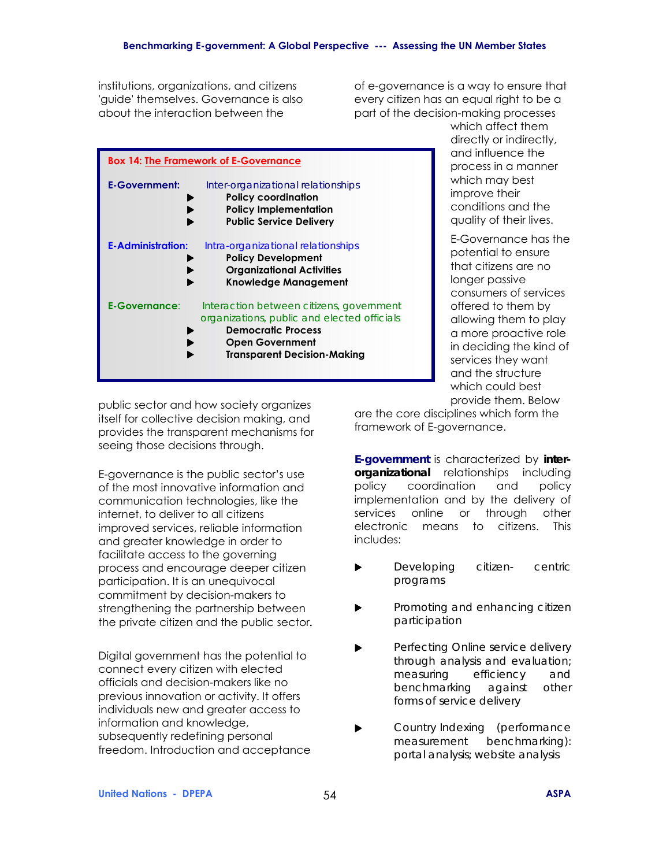institutions, organizations, and citizens 'guide' themselves. Governance is also about the interaction between the

of e-governance is a way to ensure that every citizen has an equal right to be a part of the decision-making processes

|                          | <b>Box 14: The Framework of E-Governance</b>                                                                                                                                         |
|--------------------------|--------------------------------------------------------------------------------------------------------------------------------------------------------------------------------------|
| <b>E-Government:</b>     | Inter-organizational relationships<br><b>Policy coordination</b><br><b>Policy Implementation</b><br><b>Public Service Delivery</b>                                                   |
| <b>E-Administration:</b> | Intra-organizational relationships<br><b>Policy Development</b><br><b>Organizational Activities</b><br><b>Knowledge Management</b>                                                   |
| <b>E-Governance:</b>     | Interaction between citizens, government<br>organizations, public and elected officials<br><b>Democratic Process</b><br><b>Open Government</b><br><b>Transparent Decision-Making</b> |

which affect them directly or indirectly, and influence the process in a manner which may best improve their conditions and the quality of their lives.

E-Governance has the potential to ensure that citizens are no longer passive consumers of services offered to them by allowing them to play a more proactive role in deciding the kind of services they want and the structure which could best provide them. Below

public sector and how society organizes itself for collective decision making, and provides the transparent mechanisms for seeing those decisions through.

E-governance is the public sector's use of the most innovative information and communication technologies, like the internet, to deliver to all citizens improved services, reliable information and greater knowledge in order to facilitate access to the governing process and encourage deeper citizen participation. It is an unequivocal commitment by decision-makers to strengthening the partnership between the private citizen and the public sector*.* 

Digital government has the potential to connect every citizen with elected officials and decision-makers like no previous innovation or activity. It offers individuals new and greater access to information and knowledge, subsequently redefining personal freedom. Introduction and acceptance are the core disciplines which form the framework of E-governance.

*E-government* is characterized by *interorganizational* relationships including policy coordination and policy implementation and by the delivery of services online or through other electronic means to citizens. This includes:

- ! *Developing citizen- centric programs*
- ! *Promoting and enhancing citizen participation*
- ! *Perfecting Online service delivery through analysis and evaluation; measuring efficiency and benchmarking against other forms of service delivery*
- ! *Country Indexing (performance measurement benchmarking): portal analysis; website analysis*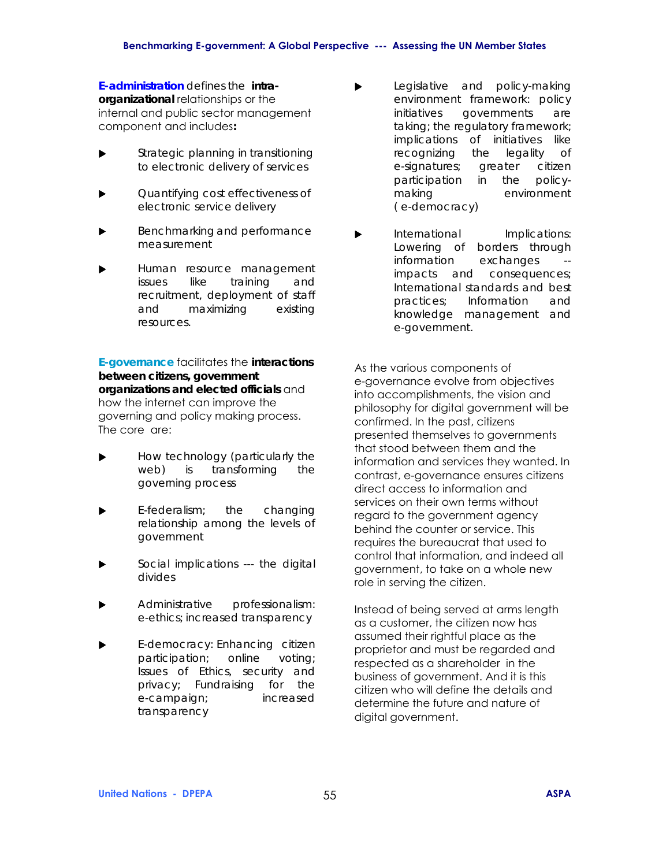*E-administration defines the intraorganizational* relationships or the internal and public sector management component and includes*:* 

- ! *Strategic planning in transitioning to electronic delivery of services*
- ! *Quantifying cost effectiveness of electronic service delivery*
- ! *Benchmarking and performance measurement*
- ! *Human resource management issues like training and recruitment, deployment of staff and maximizing existing resources.*

*E-governance* facilitates the *interactions between citizens, government organizations and elected officials* and how the internet can improve the governing and policy making process. The core are:

- ! *How technology (particularly the web) is transforming the governing process*
- ! *E-federalism; the changing relationship among the levels of government*
- ! *Social implications --- the digital divides*
- ! *Administrative professionalism: e-ethics; increased transparency*
- ! *E-democracy: Enhancing citizen participation; online voting; Issues of Ethics, security and privacy; Fundraising for the e-campaign; increased transparency*
- !*Legislative and policy-making environment framework: policy initiatives governments are taking; the regulatory framework; implications of initiatives like recognizing the legality of e-signatures; greater citizen participation in the policymaking environment ( e-democracy)*
- ! *International Implications: Lowering of borders through information exchanges impacts and consequences; International standards and best practices; Information and knowledge management and e-government.*

As the various components of e-governance evolve from objectives into accomplishments, the vision and philosophy for digital government will be confirmed. In the past, citizens presented themselves to governments that stood between them and the information and services they wanted. In contrast, e-governance ensures citizens direct access to information and services on their own terms without regard to the government agency behind the counter or service. This requires the bureaucrat that used to control that information, and indeed all government, to take on a whole new role in serving the citizen.

Instead of being served at arms length as a customer, the citizen now has assumed their rightful place as the proprietor and must be regarded and respected as a shareholder in the business of government. And it is this citizen who will define the details and determine the future and nature of digital government.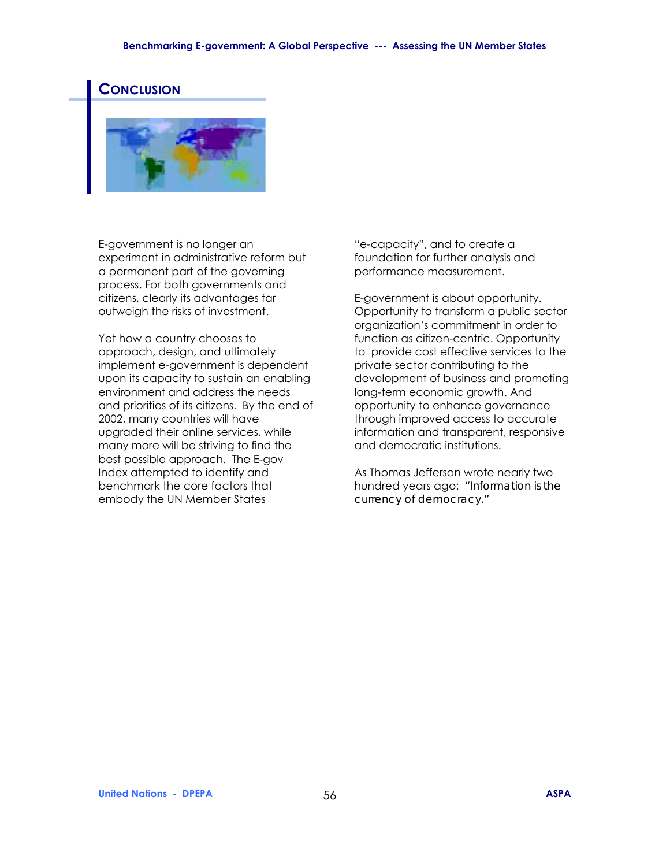#### **Benchmarking E-government: A Global Perspective --- Assessing the UN Member States**

### **CONCLUSION**



E-government is no longer an experiment in administrative reform but a permanent part of the governing process. For both governments and citizens, clearly its advantages far outweigh the risks of investment.

Yet how a country chooses to approach, design, and ultimately implement e-government is dependent upon its capacity to sustain an enabling environment and address the needs and priorities of its citizens. By the end of 2002, many countries will have upgraded their online services, while many more will be striving to find the best possible approach. The E-gov Index attempted to identify and benchmark the core factors that embody the UN Member States

"e-capacity", and to create a foundation for further analysis and performance measurement.

E-government is about opportunity. Opportunity to transform a public sector organization's commitment in order to function as citizen-centric. Opportunity to provide cost effective services to the private sector contributing to the development of business and promoting long-term economic growth. And opportunity to enhance governance through improved access to accurate information and transparent, responsive and democratic institutions.

As Thomas Jefferson wrote nearly two hundred years ago: *"Information is the currency of democracy."*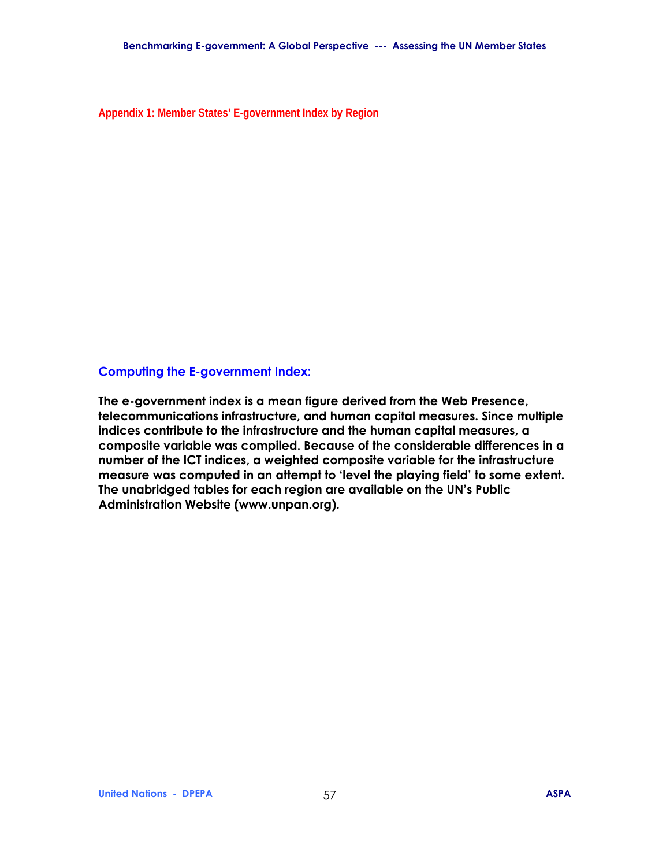**Appendix 1: Member States' E-government Index by Region** 

### **Computing the E-government Index:**

**The e-government index is a mean figure derived from the Web Presence, telecommunications infrastructure, and human capital measures. Since multiple indices contribute to the infrastructure and the human capital measures, a composite variable was compiled. Because of the considerable differences in a number of the ICT indices, a weighted composite variable for the infrastructure**  measure was computed in an attempt to 'level the playing field' to some extent. **The unabridged tables for each region are available on the UNís Public Administration Website (www.unpan.org).**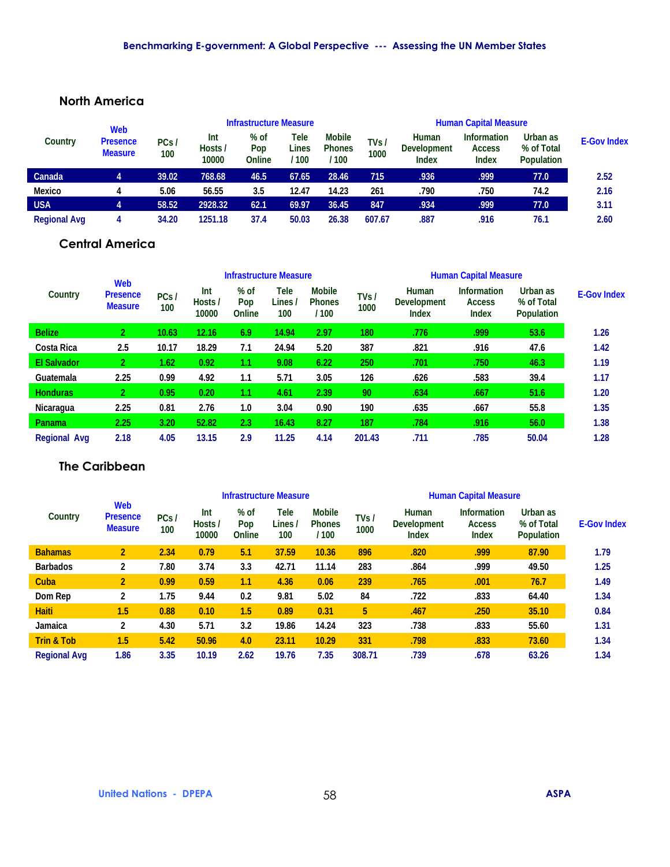### **North America**

|                     | Web                               |             | <b>Infrastructure Measure</b> |                       |                      |                                       |              | <b>Human Capital Measure</b>                |                                                     |                                             |                    |  |
|---------------------|-----------------------------------|-------------|-------------------------------|-----------------------|----------------------|---------------------------------------|--------------|---------------------------------------------|-----------------------------------------------------|---------------------------------------------|--------------------|--|
| Country             | <b>Presence</b><br><b>Measure</b> | PCs/<br>100 | Int<br>Hosts /<br>10000       | % of<br>Pop<br>Online | Tele<br>Lines<br>100 | <b>Mobile</b><br><b>Phones</b><br>100 | TVs/<br>1000 | Human<br><b>Development</b><br><b>Index</b> | <b>Information</b><br><b>Access</b><br><b>Index</b> | Urban as<br>% of Total<br><b>Population</b> | <b>E-Gov Index</b> |  |
| Canada              |                                   | 39.02       | 768.68                        | 46.5                  | 67.65                | 28.46                                 | 715          | .936                                        | .999                                                | 77.0                                        | 2.52               |  |
| <b>Mexico</b>       |                                   | 5.06        | 56.55                         | 3.5                   | 12.47                | 14.23                                 | 261          | .790                                        | .750                                                | 74.2                                        | 2.16               |  |
| <b>USA</b>          |                                   | 58.52       | 2928.32                       | 62.1                  | 69.97                | 36.45                                 | 847          | .934                                        | .999                                                | 77.0                                        | 3.11               |  |
| <b>Regional Avg</b> |                                   | 34.20       | 1251.18                       | 37.4                  | 50.03                | 26.38                                 | 607.67       | .887                                        | .916                                                | 76.1                                        | 2.60               |  |

## **Central America**

|                     |                                                 |             | <b>Infrastructure Measure</b> |                         |                        |                                         |              | <b>Human Capital Measure</b>                |                                              |                                             |                    |
|---------------------|-------------------------------------------------|-------------|-------------------------------|-------------------------|------------------------|-----------------------------------------|--------------|---------------------------------------------|----------------------------------------------|---------------------------------------------|--------------------|
| Country             | <b>Web</b><br><b>Presence</b><br><b>Measure</b> | PCs/<br>100 | Int<br>Hosts /<br>10000       | $%$ of<br>Pop<br>Online | Tele<br>Lines /<br>100 | <b>Mobile</b><br><b>Phones</b><br>/ 100 | TVs/<br>1000 | Human<br><b>Development</b><br><b>Index</b> | <b>Information</b><br><b>Access</b><br>Index | Urban as<br>% of Total<br><b>Population</b> | <b>E-Gov Index</b> |
| <b>Belize</b>       | $\mathbf{2}^-$                                  | 10.63       | 12.16                         | 6.9                     | 14.94                  | 2.97                                    | 180          | .776                                        | .999                                         | 53.6                                        | 1.26               |
| Costa Rica          | 2.5                                             | 10.17       | 18.29                         | 7.1                     | 24.94                  | 5.20                                    | 387          | .821                                        | .916                                         | 47.6                                        | 1.42               |
| <b>El Salvador</b>  | $\mathbf{2}^-$                                  | 1.62        | 0.92                          | 1.1                     | 9.08                   | 6.22                                    | 250          | .701                                        | .750                                         | 46.3                                        | 1.19               |
| Guatemala           | 2.25                                            | 0.99        | 4.92                          | 1.1                     | 5.71                   | 3.05                                    | 126          | .626                                        | .583                                         | 39.4                                        | 1.17               |
| <b>Honduras</b>     | $\overline{2}$                                  | 0.95        | 0.20                          | 1.1                     | 4.61                   | 2.39                                    | 90           | .634                                        | .667                                         | 51.6                                        | 1.20               |
| Nicaragua           | 2.25                                            | 0.81        | 2.76                          | 1.0                     | 3.04                   | 0.90                                    | 190          | .635                                        | .667                                         | 55.8                                        | 1.35               |
| <b>Panama</b>       | 2.25                                            | 3.20        | 52.82                         | 2.3                     | 16.43                  | 8.27                                    | 187          | .784                                        | .916                                         | 56.0                                        | 1.38               |
| <b>Regional Avg</b> | 2.18                                            | 4.05        | 13.15                         | 2.9                     | 11.25                  | 4.14                                    | 201.43       | .711                                        | .785                                         | 50.04                                       | 1.28               |

## **The Caribbean**

|                       |                                          |             |                         |                       | <b>Infrastructure Measure</b> |                                        | <b>Human Capital Measure</b> |                                             |                                                     |                                             |                    |  |
|-----------------------|------------------------------------------|-------------|-------------------------|-----------------------|-------------------------------|----------------------------------------|------------------------------|---------------------------------------------|-----------------------------------------------------|---------------------------------------------|--------------------|--|
| Country               | Web<br><b>Presence</b><br><b>Measure</b> | PCs/<br>100 | Int<br>Hosts /<br>10000 | % of<br>Pop<br>Online | Tele<br>Lines /<br>100        | <b>Mobile</b><br><b>Phones</b><br>/100 | TVs /<br>1000                | Human<br><b>Development</b><br><b>Index</b> | <b>Information</b><br><b>Access</b><br><b>Index</b> | Urban as<br>% of Total<br><b>Population</b> | <b>E-Gov Index</b> |  |
| <b>Bahamas</b>        | $\overline{2}$                           | 2.34        | 0.79                    | 5.1                   | 37.59                         | 10.36                                  | 896                          | .820                                        | .999                                                | 87.90                                       | 1.79               |  |
| <b>Barbados</b>       | 2                                        | 7.80        | 3.74                    | 3.3                   | 42.71                         | 11.14                                  | 283                          | .864                                        | .999                                                | 49.50                                       | 1.25               |  |
| Cuba                  | 2                                        | 0.99        | 0.59                    | 1.1                   | 4.36                          | 0.06                                   | 239                          | .765                                        | .001                                                | 76.7                                        | 1.49               |  |
| Dom Rep               | 2                                        | 1.75        | 9.44                    | 0.2                   | 9.81                          | 5.02                                   | 84                           | .722                                        | .833                                                | 64.40                                       | 1.34               |  |
| <b>Haiti</b>          | 1.5                                      | 0.88        | 0.10                    | 1.5                   | 0.89                          | 0.31                                   | 5                            | .467                                        | .250                                                | 35.10                                       | 0.84               |  |
| Jamaica               | 2                                        | 4.30        | 5.71                    | 3.2                   | 19.86                         | 14.24                                  | 323                          | .738                                        | .833                                                | 55.60                                       | 1.31               |  |
| <b>Trin &amp; Tob</b> | 1.5                                      | 5.42        | 50.96                   | 4.0                   | 23.11                         | 10.29                                  | 331                          | .798                                        | .833                                                | 73.60                                       | 1.34               |  |
| <b>Regional Avg</b>   | 1.86                                     | 3.35        | 10.19                   | 2.62                  | 19.76                         | 7.35                                   | 308.71                       | .739                                        | .678                                                | 63.26                                       | 1.34               |  |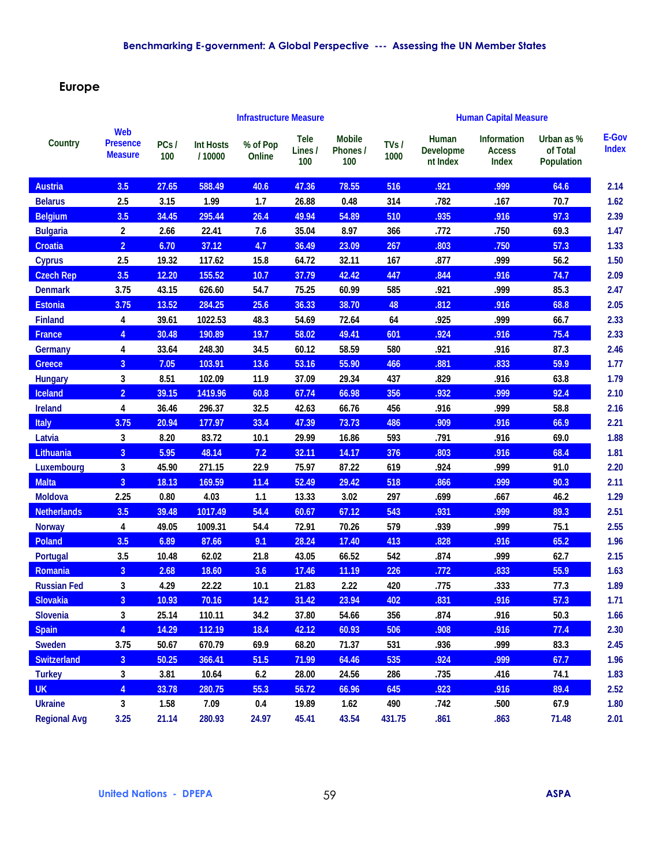## **Europe**

|                     |                                                 |             |                            | <b>Infrastructure Measure</b> |                               |                                  |              | <b>Human Capital Measure</b>   |                                       |                                             |                       |
|---------------------|-------------------------------------------------|-------------|----------------------------|-------------------------------|-------------------------------|----------------------------------|--------------|--------------------------------|---------------------------------------|---------------------------------------------|-----------------------|
| Country             | <b>Web</b><br><b>Presence</b><br><b>Measure</b> | PCs/<br>100 | <b>Int Hosts</b><br>/10000 | % of Pop<br>Online            | <b>Tele</b><br>Lines /<br>100 | <b>Mobile</b><br>Phones /<br>100 | TVs/<br>1000 | Human<br>Developme<br>nt Index | Information<br><b>Access</b><br>Index | Urban as %<br>of Total<br><b>Population</b> | E-Gov<br><b>Index</b> |
| <b>Austria</b>      | 3.5                                             | 27.65       | 588.49                     | 40.6                          | 47.36                         | 78.55                            | 516          | .921                           | .999                                  | 64.6                                        | 2.14                  |
| <b>Belarus</b>      | 2.5                                             | 3.15        | 1.99                       | 1.7                           | 26.88                         | 0.48                             | 314          | .782                           | .167                                  | 70.7                                        | 1.62                  |
| <b>Belgium</b>      | 3.5                                             | 34.45       | 295.44                     | 26.4                          | 49.94                         | 54.89                            | 510          | .935                           | .916                                  | 97.3                                        | 2.39                  |
| <b>Bulgaria</b>     | $\mathbf{2}$                                    | 2.66        | 22.41                      | 7.6                           | 35.04                         | 8.97                             | 366          | .772                           | .750                                  | 69.3                                        | 1.47                  |
| <b>Croatia</b>      | $\overline{2}$                                  | 6.70        | 37.12                      | 4.7                           | 36.49                         | 23.09                            | 267          | .803                           | .750                                  | 57.3                                        | 1.33                  |
| <b>Cyprus</b>       | 2.5                                             | 19.32       | 117.62                     | 15.8                          | 64.72                         | 32.11                            | 167          | .877                           | .999                                  | 56.2                                        | 1.50                  |
| <b>Czech Rep</b>    | 3.5                                             | 12.20       | 155.52                     | 10.7                          | 37.79                         | 42.42                            | 447          | .844                           | .916                                  | 74.7                                        | 2.09                  |
| <b>Denmark</b>      | 3.75                                            | 43.15       | 626.60                     | 54.7                          | 75.25                         | 60.99                            | 585          | .921                           | .999                                  | 85.3                                        | 2.47                  |
| <b>Estonia</b>      | 3.75                                            | 13.52       | 284.25                     | 25.6                          | 36.33                         | 38.70                            | 48           | .812                           | .916                                  | 68.8                                        | 2.05                  |
| <b>Finland</b>      | 4                                               | 39.61       | 1022.53                    | 48.3                          | 54.69                         | 72.64                            | 64           | .925                           | .999                                  | 66.7                                        | 2.33                  |
| <b>France</b>       | $\overline{4}$                                  | 30.48       | 190.89                     | 19.7                          | 58.02                         | 49.41                            | 601          | .924                           | .916                                  | 75.4                                        | 2.33                  |
| Germany             | 4                                               | 33.64       | 248.30                     | 34.5                          | 60.12                         | 58.59                            | 580          | .921                           | .916                                  | 87.3                                        | 2.46                  |
| <b>Greece</b>       | $\overline{3}$                                  | 7.05        | 103.91                     | 13.6                          | 53.16                         | 55.90                            | 466          | .881                           | .833                                  | 59.9                                        | 1.77                  |
| <b>Hungary</b>      | 3                                               | 8.51        | 102.09                     | 11.9                          | 37.09                         | 29.34                            | 437          | .829                           | .916                                  | 63.8                                        | 1.79                  |
| Iceland             | $\overline{2}$                                  | 39.15       | 1419.96                    | 60.8                          | 67.74                         | 66.98                            | 356          | .932                           | .999                                  | 92.4                                        | 2.10                  |
| <b>Ireland</b>      | 4                                               | 36.46       | 296.37                     | 32.5                          | 42.63                         | 66.76                            | 456          | .916                           | .999                                  | 58.8                                        | 2.16                  |
| <b>Italy</b>        | 3.75                                            | 20.94       | 177.97                     | 33.4                          | 47.39                         | 73.73                            | 486          | .909                           | .916                                  | 66.9                                        | 2.21                  |
| Latvia              | 3                                               | 8.20        | 83.72                      | 10.1                          | 29.99                         | 16.86                            | 593          | .791                           | .916                                  | 69.0                                        | 1.88                  |
| <b>Lithuania</b>    | $\overline{3}$                                  | 5.95        | 48.14                      | 7.2                           | 32.11                         | 14.17                            | 376          | .803                           | .916                                  | 68.4                                        | 1.81                  |
| Luxembourg          | 3                                               | 45.90       | 271.15                     | 22.9                          | 75.97                         | 87.22                            | 619          | .924                           | .999                                  | 91.0                                        | 2.20                  |
| <b>Malta</b>        | $\overline{3}$                                  | 18.13       | 169.59                     | $11.4$                        | 52.49                         | 29.42                            | 518          | .866                           | .999                                  | 90.3                                        | 2.11                  |
| <b>Moldova</b>      | 2.25                                            | 0.80        | 4.03                       | $1.1$                         | 13.33                         | 3.02                             | 297          | .699                           | .667                                  | 46.2                                        | 1.29                  |
| <b>Netherlands</b>  | 3.5                                             | 39.48       | 1017.49                    | 54.4                          | 60.67                         | 67.12                            | 543          | .931                           | .999                                  | 89.3                                        | 2.51                  |
| <b>Norway</b>       | 4                                               | 49.05       | 1009.31                    | 54.4                          | 72.91                         | 70.26                            | 579          | .939                           | .999                                  | 75.1                                        | 2.55                  |
| <b>Poland</b>       | 3.5                                             | 6.89        | 87.66                      | 9.1                           | 28.24                         | 17.40                            | 413          | .828                           | .916                                  | 65.2                                        | 1.96                  |
| <b>Portugal</b>     | 3.5                                             | 10.48       | 62.02                      | 21.8                          | 43.05                         | 66.52                            | 542          | .874                           | .999                                  | 62.7                                        | 2.15                  |
| Romania             | 3 <sup>1</sup>                                  | 2.68        | 18.60                      | 3.6                           | 17.46                         | 11.19                            | 226          | .772                           | .833                                  | 55.9                                        | 1.63                  |
| <b>Russian Fed</b>  | 3                                               | 4.29        | 22.22                      | 10.1                          | 21.83                         | 2.22                             | 420          | .775                           | .333                                  | 77.3                                        | 1.89                  |
| Slovakia            | $\overline{3}$                                  | 10.93       | 70.16                      | $14.2$                        | 31.42                         | 23.94                            | 402          | .831                           | .916                                  | 57.3                                        | 1.71                  |
| Slovenia            | $\mathbf{3}$                                    | 25.14       | 110.11                     | 34.2                          | 37.80                         | 54.66                            | 356          | .874                           | .916                                  | 50.3                                        | 1.66                  |
| <b>Spain</b>        | $\overline{4}$                                  | 14.29       | 112.19                     | 18.4                          | 42.12                         | 60.93                            | 506          | .908                           | .916                                  | 77.4                                        | 2.30                  |
| <b>Sweden</b>       | 3.75                                            | 50.67       | 670.79                     | 69.9                          | 68.20                         | 71.37                            | 531          | .936                           | .999                                  | 83.3                                        | 2.45                  |
| Switzerland         | 3 <sup>°</sup>                                  | 50.25       | 366.41                     | 51.5                          | 71.99                         | 64.46                            | 535          | .924                           | .999                                  | 67.7                                        | 1.96                  |
| <b>Turkey</b>       | $\mathbf{3}$                                    | 3.81        | 10.64                      | 6.2                           | 28.00                         | 24.56                            | 286          | .735                           | .416                                  | 74.1                                        | 1.83                  |
| <b>UK</b>           | $\overline{4}$                                  | 33.78       | 280.75                     | 55.3                          | 56.72                         | 66.96                            | 645          | .923                           | .916                                  | 89.4                                        | 2.52                  |
| <b>Ukraine</b>      | 3                                               | 1.58        | 7.09                       | 0.4                           | 19.89                         | 1.62                             | 490          | .742                           | .500                                  | 67.9                                        | 1.80                  |
| <b>Regional Avg</b> | 3.25                                            | 21.14       | 280.93                     | 24.97                         | 45.41                         | 43.54                            | 431.75       | .861                           | .863                                  | 71.48                                       | 2.01                  |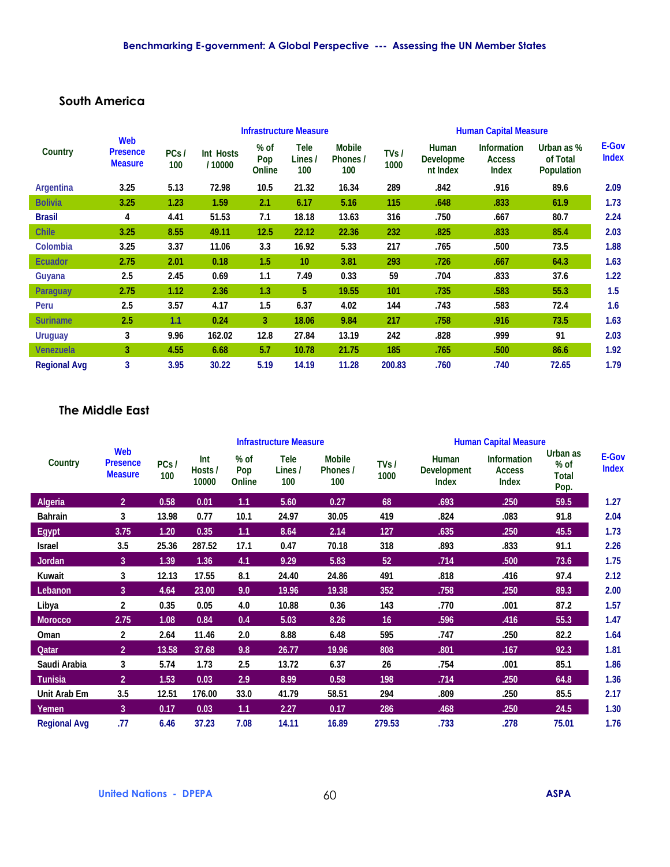### **South America**

|                     |                                          |             |                     |                         | <b>Infrastructure Measure</b> |                                  | <b>Human Capital Measure</b> |                                       |                                                     |                                      |                              |
|---------------------|------------------------------------------|-------------|---------------------|-------------------------|-------------------------------|----------------------------------|------------------------------|---------------------------------------|-----------------------------------------------------|--------------------------------------|------------------------------|
| Country             | Web<br><b>Presence</b><br><b>Measure</b> | PCs/<br>100 | Int Hosts<br>/10000 | $%$ of<br>Pop<br>Online | Tele<br>Lines /<br>100        | <b>Mobile</b><br>Phones /<br>100 | TVs/<br>1000                 | Human<br><b>Developme</b><br>nt Index | <b>Information</b><br><b>Access</b><br><b>Index</b> | Urban as %<br>of Total<br>Population | <b>E-Gov</b><br><b>Index</b> |
| <b>Argentina</b>    | 3.25                                     | 5.13        | 72.98               | 10.5                    | 21.32                         | 16.34                            | 289                          | .842                                  | .916                                                | 89.6                                 | 2.09                         |
| <b>Bolivia</b>      | 3.25                                     | 1.23        | 1.59                | 2.1                     | 6.17                          | 5.16                             | 115                          | .648                                  | .833                                                | 61.9                                 | 1.73                         |
| <b>Brasil</b>       | 4                                        | 4.41        | 51.53               | 7.1                     | 18.18                         | 13.63                            | 316                          | .750                                  | .667                                                | 80.7                                 | 2.24                         |
| <b>Chile</b>        | 3.25                                     | 8.55        | 49.11               | 12.5                    | 22.12                         | 22.36                            | 232                          | .825                                  | .833                                                | 85.4                                 | 2.03                         |
| Colombia            | 3.25                                     | 3.37        | 11.06               | 3.3                     | 16.92                         | 5.33                             | 217                          | .765                                  | .500                                                | 73.5                                 | 1.88                         |
| <b>Ecuador</b>      | 2.75                                     | 2.01        | 0.18                | 1.5                     | 10                            | 3.81                             | 293                          | .726                                  | .667                                                | 64.3                                 | 1.63                         |
| Guyana              | 2.5                                      | 2.45        | 0.69                | 1.1                     | 7.49                          | 0.33                             | 59                           | .704                                  | .833                                                | 37.6                                 | 1.22                         |
| <b>Paraguay</b>     | 2.75                                     | 1.12        | 2.36                | 1.3                     | 5                             | 19.55                            | 101                          | .735                                  | .583                                                | 55.3                                 | 1.5                          |
| Peru                | 2.5                                      | 3.57        | 4.17                | 1.5                     | 6.37                          | 4.02                             | 144                          | .743                                  | .583                                                | 72.4                                 | 1.6                          |
| <b>Suriname</b>     | 2.5                                      | 1.1         | 0.24                | 3                       | 18.06                         | 9.84                             | 217                          | .758                                  | .916                                                | 73.5                                 | 1.63                         |
| <b>Uruguay</b>      | 3                                        | 9.96        | 162.02              | 12.8                    | 27.84                         | 13.19                            | 242                          | .828                                  | .999                                                | 91                                   | 2.03                         |
| <b>Venezuela</b>    | 3                                        | 4.55        | 6.68                | 5.7                     | 10.78                         | 21.75                            | 185                          | .765                                  | .500                                                | 86.6                                 | 1.92                         |
| <b>Regional Avg</b> | 3                                        | 3.95        | 30.22               | 5.19                    | 14.19                         | 11.28                            | 200.83                       | .760                                  | .740                                                | 72.65                                | 1.79                         |

### **The Middle East**

|                     |                                          |             |                         |                       | <b>Infrastructure Measure</b> |                                  |                 | <b>Human Capital Measure</b>                |                                                     |                                   |                              |  |  |
|---------------------|------------------------------------------|-------------|-------------------------|-----------------------|-------------------------------|----------------------------------|-----------------|---------------------------------------------|-----------------------------------------------------|-----------------------------------|------------------------------|--|--|
| Country             | Web<br><b>Presence</b><br><b>Measure</b> | PCs/<br>100 | Int<br>Hosts /<br>10000 | % of<br>Pop<br>Online | Tele<br>Lines /<br>100        | <b>Mobile</b><br>Phones /<br>100 | TVs /<br>1000   | Human<br><b>Development</b><br><b>Index</b> | <b>Information</b><br><b>Access</b><br><b>Index</b> | Urban as<br>% of<br>Total<br>Pop. | <b>E-Gov</b><br><b>Index</b> |  |  |
| Algeria             | 2 <sup>1</sup>                           | 0.58        | 0.01                    | 1.1                   | 5.60                          | 0.27                             | 68              | .693                                        | .250                                                | 59.5                              | 1.27                         |  |  |
| <b>Bahrain</b>      | 3                                        | 13.98       | 0.77                    | 10.1                  | 24.97                         | 30.05                            | 419             | .824                                        | .083                                                | 91.8                              | 2.04                         |  |  |
| Egypt               | 3.75                                     | 1.20        | 0.35                    | 1.1                   | 8.64                          | 2.14                             | 127             | .635                                        | .250                                                | 45.5                              | 1.73                         |  |  |
| Israel              | 3.5                                      | 25.36       | 287.52                  | 17.1                  | 0.47                          | 70.18                            | 318             | .893                                        | .833                                                | 91.1                              | 2.26                         |  |  |
| Jordan              | 3 <sup>1</sup>                           | 1.39        | 1.36                    | 4.1                   | 9.29                          | 5.83                             | 52              | .714                                        | .500                                                | 73.6                              | 1.75                         |  |  |
| Kuwait              | 3                                        | 12.13       | 17.55                   | 8.1                   | 24.40                         | 24.86                            | 491             | .818                                        | .416                                                | 97.4                              | 2.12                         |  |  |
| Lebanon             | 3                                        | 4.64        | 23.00                   | 9.0                   | 19.96                         | 19.38                            | 352             | .758                                        | .250                                                | 89.3                              | 2.00                         |  |  |
| Libya               | 2                                        | 0.35        | 0.05                    | 4.0                   | 10.88                         | 0.36                             | 143             | .770                                        | .001                                                | 87.2                              | 1.57                         |  |  |
| <b>Morocco</b>      | 2.75                                     | 1.08        | 0.84                    | 0.4                   | 5.03                          | 8.26                             | 16 <sub>1</sub> | .596                                        | .416                                                | 55.3                              | 1.47                         |  |  |
| Oman                | 2                                        | 2.64        | 11.46                   | 2.0                   | 8.88                          | 6.48                             | 595             | .747                                        | .250                                                | 82.2                              | 1.64                         |  |  |
| Qatar               | $\overline{2}$                           | 13.58       | 37.68                   | 9.8                   | 26.77                         | 19.96                            | 808             | .801                                        | .167                                                | 92.3                              | 1.81                         |  |  |
| Saudi Arabia        | 3                                        | 5.74        | 1.73                    | 2.5                   | 13.72                         | 6.37                             | 26              | .754                                        | .001                                                | 85.1                              | 1.86                         |  |  |
| Tunisia             | 2 <sup>1</sup>                           | 1.53        | 0.03                    | 2.9                   | 8.99                          | 0.58                             | 198             | .714                                        | .250                                                | 64.8                              | 1.36                         |  |  |
| Unit Arab Em        | 3.5                                      | 12.51       | 176.00                  | 33.0                  | 41.79                         | 58.51                            | 294             | .809                                        | .250                                                | 85.5                              | 2.17                         |  |  |
| Yemen               | 3                                        | 0.17        | 0.03                    | 1.1                   | 2.27                          | 0.17                             | 286             | .468                                        | .250                                                | 24.5                              | 1.30                         |  |  |
| <b>Regional Avg</b> | .77                                      | 6.46        | 37.23                   | 7.08                  | 14.11                         | 16.89                            | 279.53          | .733                                        | .278                                                | 75.01                             | 1.76                         |  |  |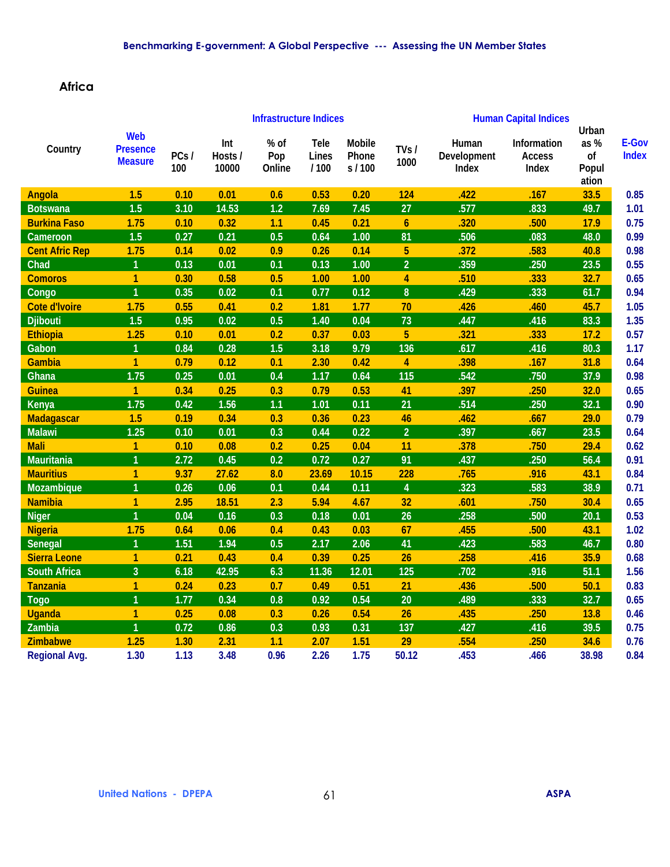## **Africa**

|                       |                                                 |             | <b>Infrastructure Indices</b> |                       |                              |                                   |                         | <b>Human Capital Indices</b>  |                                       |                                      |                       |  |
|-----------------------|-------------------------------------------------|-------------|-------------------------------|-----------------------|------------------------------|-----------------------------------|-------------------------|-------------------------------|---------------------------------------|--------------------------------------|-----------------------|--|
| Country               | <b>Web</b><br><b>Presence</b><br><b>Measure</b> | PCs/<br>100 | Int<br>Hosts /<br>10000       | % of<br>Pop<br>Online | <b>Tele</b><br>Lines<br>1100 | <b>Mobile</b><br>Phone<br>s / 100 | TVs/<br>1000            | Human<br>Development<br>Index | Information<br><b>Access</b><br>Index | Urban<br>as%<br>of<br>Popul<br>ation | E-Gov<br><b>Index</b> |  |
| <b>Angola</b>         | 1.5                                             | 0.10        | 0.01                          | 0.6                   | 0.53                         | 0.20                              | 124                     | .422                          | .167                                  | 33.5                                 | 0.85                  |  |
| <b>Botswana</b>       | 1.5                                             | 3.10        | 14.53                         | 1.2                   | 7.69                         | 7.45                              | 27                      | .577                          | .833                                  | 49.7                                 | 1.01                  |  |
| <b>Burkina Faso</b>   | 1.75                                            | 0.10        | 0.32                          | 1.1                   | 0.45                         | 0.21                              | $\boldsymbol{6}$        | .320                          | .500                                  | 17.9                                 | 0.75                  |  |
| Cameroon              | 1.5                                             | 0.27        | 0.21                          | 0.5                   | 0.64                         | 1.00                              | 81                      | .506                          | .083                                  | 48.0                                 | 0.99                  |  |
| <b>Cent Afric Rep</b> | 1.75                                            | 0.14        | 0.02                          | 0.9                   | 0.26                         | 0.14                              | $\overline{5}$          | .372                          | .583                                  | 40.8                                 | 0.98                  |  |
| Chad                  | $\overline{1}$                                  | 0.13        | 0.01                          | 0.1                   | 0.13                         | 1.00                              | $\overline{2}$          | .359                          | .250                                  | 23.5                                 | 0.55                  |  |
| <b>Comoros</b>        | 1                                               | 0.30        | 0.58                          | 0.5                   | 1.00                         | 1.00                              | 4                       | .510                          | .333                                  | 32.7                                 | 0.65                  |  |
| Congo                 | $\overline{1}$                                  | 0.35        | 0.02                          | 0.1                   | 0.77                         | 0.12                              | $\pmb{8}$               | .429                          | .333                                  | 61.7                                 | 0.94                  |  |
| <b>Cote d'Ivoire</b>  | 1.75                                            | 0.55        | 0.41                          | 0.2                   | 1.81                         | 1.77                              | 70                      | .426                          | .460                                  | 45.7                                 | 1.05                  |  |
| <b>Djibouti</b>       | 1.5                                             | 0.95        | 0.02                          | 0.5                   | 1.40                         | 0.04                              | 73                      | .447                          | .416                                  | 83.3                                 | 1.35                  |  |
| <b>Ethiopia</b>       | 1.25                                            | 0.10        | 0.01                          | 0.2                   | 0.37                         | 0.03                              | 5                       | .321                          | .333                                  | 17.2                                 | 0.57                  |  |
| Gabon                 | $\overline{1}$                                  | 0.84        | 0.28                          | 1.5                   | 3.18                         | 9.79                              | 136                     | .617                          | .416                                  | 80.3                                 | 1.17                  |  |
| Gambia                | $\mathbf{1}$                                    | 0.79        | 0.12                          | 0.1                   | 2.30                         | 0.42                              | $\overline{\mathbf{4}}$ | .398                          | .167                                  | 31.8                                 | 0.64                  |  |
| Ghana                 | 1.75                                            | 0.25        | 0.01                          | 0.4                   | 1.17                         | 0.64                              | 115                     | .542                          | .750                                  | 37.9                                 | 0.98                  |  |
| <b>Guinea</b>         | $\mathbf{1}$                                    | 0.34        | 0.25                          | 0.3                   | 0.79                         | 0.53                              | 41                      | .397                          | .250                                  | 32.0                                 | 0.65                  |  |
| Kenya                 | 1.75                                            | 0.42        | 1.56                          | 1.1                   | 1.01                         | 0.11                              | 21                      | .514                          | .250                                  | 32.1                                 | 0.90                  |  |
| <b>Madagascar</b>     | 1.5                                             | 0.19        | 0.34                          | 0.3                   | 0.36                         | 0.23                              | 46                      | .462                          | .667                                  | 29.0                                 | 0.79                  |  |
| <b>Malawi</b>         | 1.25                                            | 0.10        | 0.01                          | 0.3                   | 0.44                         | 0.22                              | $\overline{2}$          | .397                          | .667                                  | 23.5                                 | 0.64                  |  |
| <b>Mali</b>           | $\overline{1}$                                  | 0.10        | 0.08                          | 0.2                   | 0.25                         | 0.04                              | 11                      | .378                          | .750                                  | 29.4                                 | 0.62                  |  |
| <b>Mauritania</b>     | 1                                               | 2.72        | 0.45                          | 0.2                   | 0.72                         | 0.27                              | 91                      | .437                          | .250                                  | 56.4                                 | 0.91                  |  |
| <b>Mauritius</b>      | $\mathbf{1}$                                    | 9.37        | 27.62                         | 8.0                   | 23.69                        | 10.15                             | 228                     | .765                          | .916                                  | 43.1                                 | 0.84                  |  |
| Mozambique            | $\overline{1}$                                  | 0.26        | 0.06                          | 0.1                   | 0.44                         | 0.11                              | $\overline{\mathbf{4}}$ | .323                          | .583                                  | 38.9                                 | 0.71                  |  |
| <b>Namibia</b>        | $\mathbf{1}$                                    | 2.95        | 18.51                         | 2.3                   | 5.94                         | 4.67                              | 32                      | .601                          | .750                                  | 30.4                                 | 0.65                  |  |
| <b>Niger</b>          | $\overline{1}$                                  | 0.04        | 0.16                          | 0.3                   | 0.18                         | 0.01                              | 26                      | .258                          | .500                                  | 20.1                                 | 0.53                  |  |
| <b>Nigeria</b>        | 1.75                                            | 0.64        | 0.06                          | 0.4                   | 0.43                         | 0.03                              | 67                      | .455                          | .500                                  | 43.1                                 | 1.02                  |  |
| Senegal               | $\overline{1}$                                  | 1.51        | 1.94                          | 0.5                   | 2.17                         | 2.06                              | 41                      | .423                          | .583                                  | 46.7                                 | 0.80                  |  |
| <b>Sierra Leone</b>   | $\mathbf{1}$                                    | 0.21        | 0.43                          | 0.4                   | 0.39                         | 0.25                              | 26                      | .258                          | .416                                  | 35.9                                 | 0.68                  |  |
| <b>South Africa</b>   | $\overline{3}$                                  | 6.18        | 42.95                         | 6.3                   | 11.36                        | 12.01                             | 125                     | .702                          | .916                                  | 51.1                                 | 1.56                  |  |
| <b>Tanzania</b>       | 1                                               | 0.24        | 0.23                          | 0.7                   | 0.49                         | 0.51                              | 21                      | .436                          | .500                                  | 50.1                                 | 0.83                  |  |
| <b>Togo</b>           | $\overline{1}$                                  | 1.77        | 0.34                          | 0.8                   | 0.92                         | 0.54                              | 20                      | .489                          | .333                                  | 32.7                                 | 0.65                  |  |
| <b>Uganda</b>         | $\mathbf{1}$                                    | 0.25        | 0.08                          | 0.3                   | 0.26                         | 0.54                              | 26                      | .435                          | .250                                  | 13.8                                 | 0.46                  |  |
| Zambia                | $\overline{1}$                                  | 0.72        | 0.86                          | 0.3                   | 0.93                         | 0.31                              | 137                     | .427                          | .416                                  | 39.5                                 | 0.75                  |  |
| <b>Zimbabwe</b>       | 1.25                                            | 1.30        | 2.31                          | 1.1                   | 2.07                         | 1.51                              | 29                      | .554                          | .250                                  | 34.6                                 | 0.76                  |  |
| <b>Regional Avg.</b>  | 1.30                                            | 1.13        | 3.48                          | 0.96                  | 2.26                         | 1.75                              | 50.12                   | .453                          | .466                                  | 38.98                                | 0.84                  |  |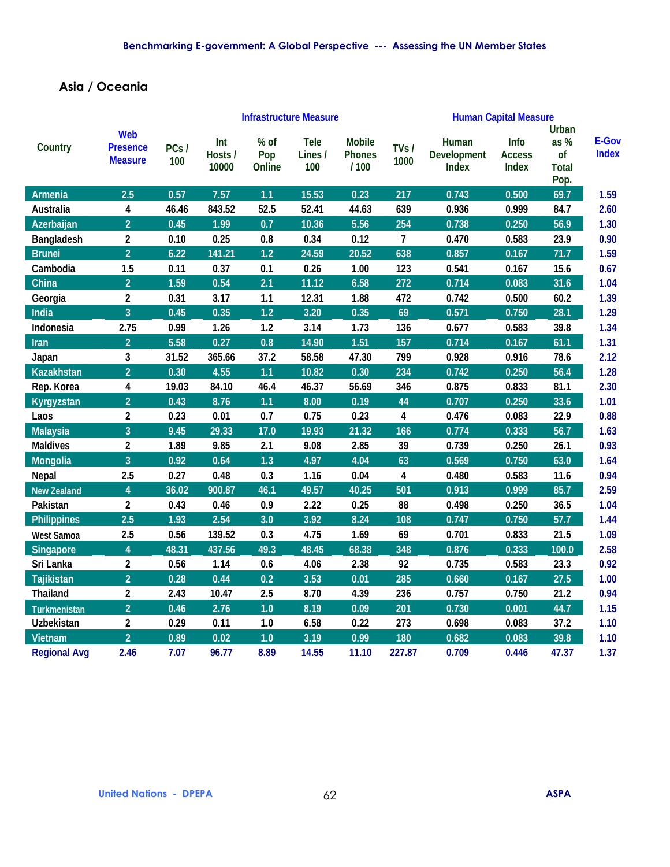## **Asia / Oceania**

|                     |                                                 |             |                         |                       | <b>Infrastructure Measure</b> |                                        | <b>Human Capital Measure</b> |                                      |                                |                                                    |                       |
|---------------------|-------------------------------------------------|-------------|-------------------------|-----------------------|-------------------------------|----------------------------------------|------------------------------|--------------------------------------|--------------------------------|----------------------------------------------------|-----------------------|
| Country             | <b>Web</b><br><b>Presence</b><br><b>Measure</b> | PCs/<br>100 | Int<br>Hosts /<br>10000 | % of<br>Pop<br>Online | <b>Tele</b><br>Lines /<br>100 | <b>Mobile</b><br><b>Phones</b><br>/100 | TVs /<br>1000                | Human<br><b>Development</b><br>Index | Info<br><b>Access</b><br>Index | <b>Urban</b><br>as %<br>of<br><b>Total</b><br>Pop. | E-Gov<br><b>Index</b> |
| Armenia             | 2.5                                             | 0.57        | 7.57                    | 1.1                   | 15.53                         | 0.23                                   | 217                          | 0.743                                | 0.500                          | 69.7                                               | 1.59                  |
| Australia           | 4                                               | 46.46       | 843.52                  | 52.5                  | 52.41                         | 44.63                                  | 639                          | 0.936                                | 0.999                          | 84.7                                               | 2.60                  |
| Azerbaijan          | $\overline{2}$                                  | 0.45        | 1.99                    | 0.7                   | 10.36                         | 5.56                                   | 254                          | 0.738                                | 0.250                          | 56.9                                               | 1.30                  |
| Bangladesh          | $\overline{2}$                                  | 0.10        | 0.25                    | 0.8                   | 0.34                          | 0.12                                   | $\overline{7}$               | 0.470                                | 0.583                          | 23.9                                               | 0.90                  |
| <b>Brunei</b>       | $\overline{2}$                                  | 6.22        | 141.21                  | 1.2                   | 24.59                         | 20.52                                  | 638                          | 0.857                                | 0.167                          | 71.7                                               | 1.59                  |
| Cambodia            | 1.5                                             | 0.11        | 0.37                    | 0.1                   | 0.26                          | 1.00                                   | 123                          | 0.541                                | 0.167                          | 15.6                                               | 0.67                  |
| China               | $\overline{2}$                                  | 1.59        | 0.54                    | 2.1                   | 11.12                         | 6.58                                   | 272                          | 0.714                                | 0.083                          | 31.6                                               | 1.04                  |
| Georgia             | $\mathbf{2}$                                    | 0.31        | 3.17                    | 1.1                   | 12.31                         | 1.88                                   | 472                          | 0.742                                | 0.500                          | 60.2                                               | 1.39                  |
| India               | $\overline{3}$                                  | 0.45        | 0.35                    | 1.2                   | 3.20                          | 0.35                                   | 69                           | 0.571                                | 0.750                          | 28.1                                               | 1.29                  |
| Indonesia           | 2.75                                            | 0.99        | 1.26                    | 1.2                   | 3.14                          | 1.73                                   | 136                          | 0.677                                | 0.583                          | 39.8                                               | 1.34                  |
| <b>Iran</b>         | $\overline{2}$                                  | 5.58        | 0.27                    | 0.8                   | 14.90                         | 1.51                                   | 157                          | 0.714                                | 0.167                          | 61.1                                               | 1.31                  |
| Japan               | 3                                               | 31.52       | 365.66                  | 37.2                  | 58.58                         | 47.30                                  | 799                          | 0.928                                | 0.916                          | 78.6                                               | 2.12                  |
| <b>Kazakhstan</b>   | $\overline{2}$                                  | 0.30        | 4.55                    | 1.1                   | 10.82                         | 0.30                                   | 234                          | 0.742                                | 0.250                          | 56.4                                               | 1.28                  |
| Rep. Korea          | 4                                               | 19.03       | 84.10                   | 46.4                  | 46.37                         | 56.69                                  | 346                          | 0.875                                | 0.833                          | 81.1                                               | 2.30                  |
| Kyrgyzstan          | $\overline{2}$                                  | 0.43        | 8.76                    | 1.1                   | 8.00                          | 0.19                                   | 44                           | 0.707                                | 0.250                          | 33.6                                               | 1.01                  |
| Laos                | $\mathbf{2}$                                    | 0.23        | 0.01                    | 0.7                   | 0.75                          | 0.23                                   | 4                            | 0.476                                | 0.083                          | 22.9                                               | 0.88                  |
| <b>Malaysia</b>     | $\overline{3}$                                  | 9.45        | 29.33                   | 17.0                  | 19.93                         | 21.32                                  | 166                          | 0.774                                | 0.333                          | 56.7                                               | 1.63                  |
| <b>Maldives</b>     | $\overline{2}$                                  | 1.89        | 9.85                    | 2.1                   | 9.08                          | 2.85                                   | 39                           | 0.739                                | 0.250                          | 26.1                                               | 0.93                  |
| Mongolia            | $\overline{3}$                                  | 0.92        | 0.64                    | 1.3                   | 4.97                          | 4.04                                   | 63                           | 0.569                                | 0.750                          | 63.0                                               | 1.64                  |
| <b>Nepal</b>        | 2.5                                             | 0.27        | 0.48                    | 0.3                   | 1.16                          | 0.04                                   | $\overline{\mathbf{4}}$      | 0.480                                | 0.583                          | 11.6                                               | 0.94                  |
| <b>New Zealand</b>  | $\overline{4}$                                  | 36.02       | 900.87                  | 46.1                  | 49.57                         | 40.25                                  | 501                          | 0.913                                | 0.999                          | 85.7                                               | 2.59                  |
| Pakistan            | $\overline{2}$                                  | 0.43        | 0.46                    | 0.9                   | 2.22                          | 0.25                                   | 88                           | 0.498                                | 0.250                          | 36.5                                               | 1.04                  |
| <b>Philippines</b>  | 2.5                                             | 1.93        | 2.54                    | 3.0                   | 3.92                          | 8.24                                   | 108                          | 0.747                                | 0.750                          | 57.7                                               | 1.44                  |
| <b>West Samoa</b>   | 2.5                                             | 0.56        | 139.52                  | 0.3                   | 4.75                          | 1.69                                   | 69                           | 0.701                                | 0.833                          | 21.5                                               | 1.09                  |
| <b>Singapore</b>    | $\overline{4}$                                  | 48.31       | 437.56                  | 49.3                  | 48.45                         | 68.38                                  | 348                          | 0.876                                | 0.333                          | 100.0                                              | 2.58                  |
| Sri Lanka           | $\overline{2}$                                  | 0.56        | 1.14                    | 0.6                   | 4.06                          | 2.38                                   | 92                           | 0.735                                | 0.583                          | 23.3                                               | 0.92                  |
| Tajikistan          | $\overline{2}$                                  | 0.28        | 0.44                    | 0.2                   | 3.53                          | 0.01                                   | 285                          | 0.660                                | 0.167                          | 27.5                                               | 1.00                  |
| <b>Thailand</b>     | $\overline{2}$                                  | 2.43        | 10.47                   | 2.5                   | 8.70                          | 4.39                                   | 236                          | 0.757                                | 0.750                          | 21.2                                               | 0.94                  |
| Turkmenistan        | $\overline{2}$                                  | 0.46        | 2.76                    | 1.0                   | 8.19                          | 0.09                                   | 201                          | 0.730                                | 0.001                          | 44.7                                               | 1.15                  |
| <b>Uzbekistan</b>   | $\overline{2}$                                  | 0.29        | 0.11                    | $1.0$                 | 6.58                          | 0.22                                   | 273                          | 0.698                                | 0.083                          | 37.2                                               | 1.10                  |
| Vietnam             | $\overline{2}$                                  | 0.89        | 0.02                    | 1.0                   | 3.19                          | 0.99                                   | 180                          | 0.682                                | 0.083                          | 39.8                                               | 1.10                  |
| <b>Regional Avg</b> | 2.46                                            | 7.07        | 96.77                   | 8.89                  | 14.55                         | 11.10                                  | 227.87                       | 0.709                                | 0.446                          | 47.37                                              | 1.37                  |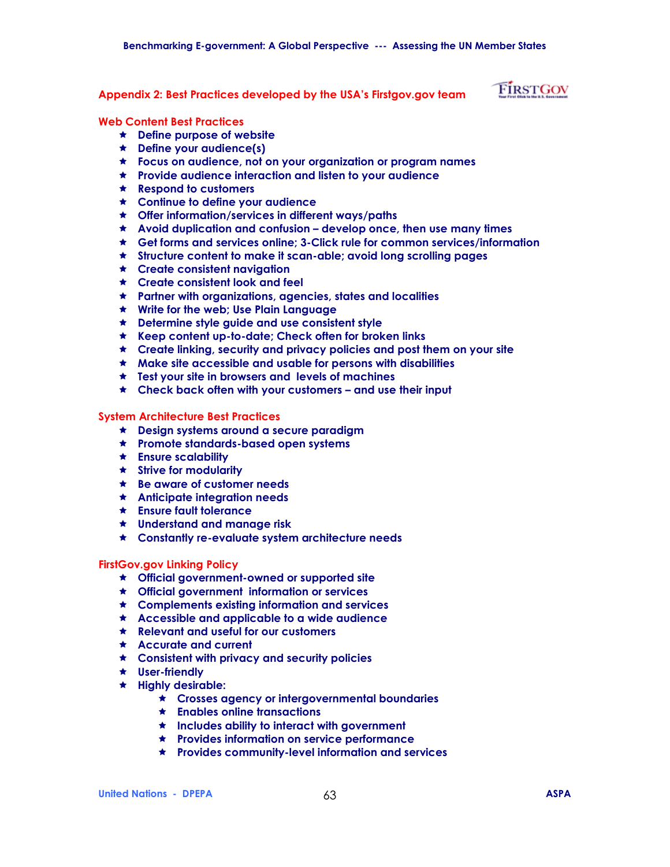#### **Appendix 2: Best Practices developed by the USAís Firstgov.gov team**

# FIRSTGOV

#### **Web Content Best Practices**

- ! **Define purpose of website**
- ! **Define your audience(s)**
- ! **Focus on audience, not on your organization or program names**
- ! **Provide audience interaction and listen to your audience**
- ! **Respond to customers**
- ! **Continue to define your audience**
- ! **Offer information/services in different ways/paths**
- \* Avoid duplication and confusion develop once, then use many times
- ! **Get forms and services online; 3-Click rule for common services/information**
- ! **Structure content to make it scan-able; avoid long scrolling pages**
- ! **Create consistent navigation**
- ! **Create consistent look and feel**
- ! **Partner with organizations, agencies, states and localities**
- ! **Write for the web; Use Plain Language**
- ! **Determine style guide and use consistent style**
- ! **Keep content up-to-date; Check often for broken links**
- ! **Create linking, security and privacy policies and post them on your site**
- ! **Make site accessible and usable for persons with disabilities**
- ! **Test your site in browsers and levels of machines**
- **Ready to Check back often with your customers and use their input**

#### **System Architecture Best Practices**

- ! **Design systems around a secure paradigm**
- ! **Promote standards-based open systems**
- ! **Ensure scalability**
- ! **Strive for modularity**
- ! **Be aware of customer needs**
- ! **Anticipate integration needs**
- ! **Ensure fault tolerance**
- ! **Understand and manage risk**
- ! **Constantly re-evaluate system architecture needs**

#### **FirstGov.gov Linking Policy**

- ! **Official government-owned or supported site**
- ! **Official government information or services**
- ! **Complements existing information and services**
- ! **Accessible and applicable to a wide audience**
- ! **Relevant and useful for our customers**
- ! **Accurate and current**
- ! **Consistent with privacy and security policies**
- ! **User-friendly**
- ! **Highly desirable:** 
	- ! **Crosses agency or intergovernmental boundaries**
	- ! **Enables online transactions**
	- ! **Includes ability to interact with government**
	- ! **Provides information on service performance**
	- ! **Provides community-level information and services**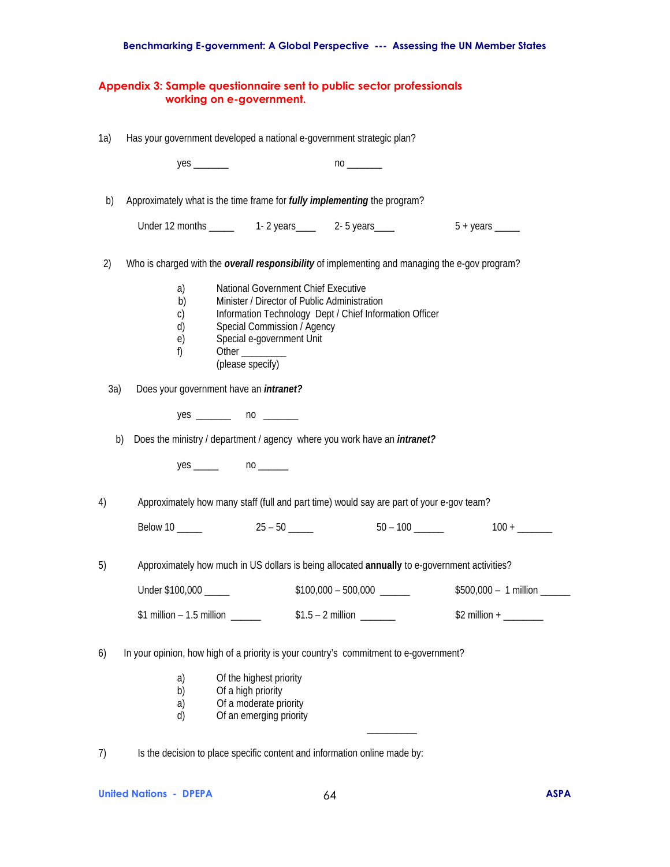### **Benchmarking E-government: A Global Perspective --- Assessing the UN Member States**

|     | Appendix 3: Sample questionnaire sent to public sector professionals<br>working on e-government.                                                                                                                                                                                      |                            |                               |
|-----|---------------------------------------------------------------------------------------------------------------------------------------------------------------------------------------------------------------------------------------------------------------------------------------|----------------------------|-------------------------------|
| 1a) | Has your government developed a national e-government strategic plan?                                                                                                                                                                                                                 |                            |                               |
|     |                                                                                                                                                                                                                                                                                       |                            |                               |
| b)  | Approximately what is the time frame for <i>fully implementing</i> the program?                                                                                                                                                                                                       |                            |                               |
|     |                                                                                                                                                                                                                                                                                       |                            |                               |
| 2)  | Who is charged with the overall responsibility of implementing and managing the e-gov program?                                                                                                                                                                                        |                            |                               |
|     | National Government Chief Executive<br>a)<br>Minister / Director of Public Administration<br>b)<br>Information Technology Dept / Chief Information Officer<br>C)<br>Special Commission / Agency<br>d)<br>Special e-government Unit<br>e)<br>f)<br>Other _________<br>(please specify) |                            |                               |
| 3a) | Does your government have an <i>intranet?</i>                                                                                                                                                                                                                                         |                            |                               |
|     | $yes \_$ no $\_$                                                                                                                                                                                                                                                                      |                            |                               |
|     | Does the ministry / department / agency where you work have an <i>intranet?</i><br>b)                                                                                                                                                                                                 |                            |                               |
|     | $yes \_$ no $\_$                                                                                                                                                                                                                                                                      |                            |                               |
| 4)  | Approximately how many staff (full and part time) would say are part of your e-gov team?                                                                                                                                                                                              |                            |                               |
|     | Below 10                                                                                                                                                                                                                                                                              |                            |                               |
| 5)  | Approximately how much in US dollars is being allocated annually to e-government activities?                                                                                                                                                                                          |                            |                               |
|     | Under \$100,000 _____                                                                                                                                                                                                                                                                 | $$100,000 - 500,000$ _____ | $$500,000 - 1$ million ______ |
|     | \$1 million $-1.5$ million _____<br>$$1.5 - 2$ million ________                                                                                                                                                                                                                       |                            |                               |
| 6)  | In your opinion, how high of a priority is your country's commitment to e-government?                                                                                                                                                                                                 |                            |                               |
|     | Of the highest priority<br>a)<br>Of a high priority<br>b)<br>Of a moderate priority<br>a)<br>Of an emerging priority<br>d)                                                                                                                                                            |                            |                               |

7) Is the decision to place specific content and information online made by: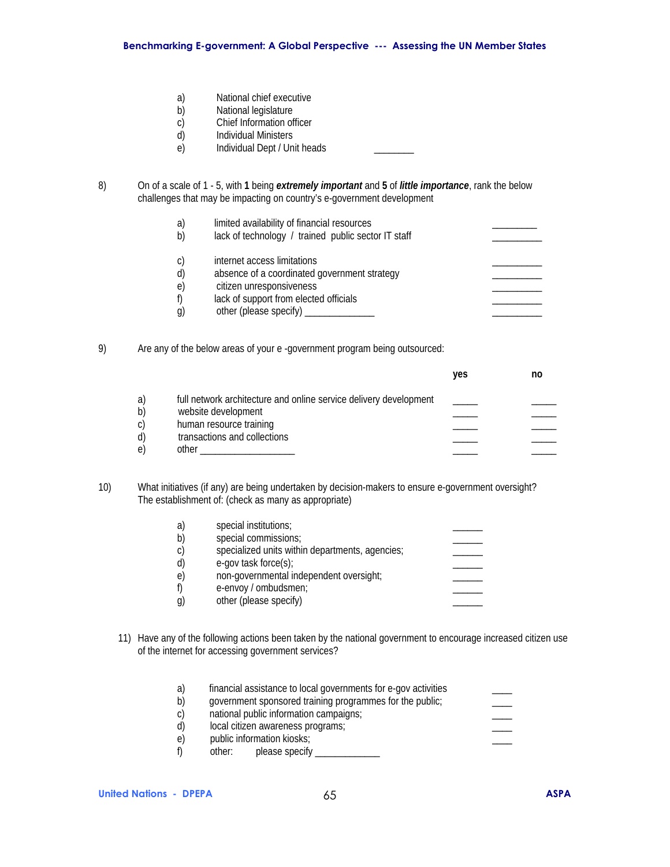- a) National chief executive
- b) National legislature
- c) Chief Information officer<br>d) Individual Ministers
- Individual Ministers
- e) Individual Dept / Unit heads \_\_\_\_\_\_\_
- 8) On of a scale of 1 5, with **1** being *extremely important* and **5** of *little importance*, rank the below challenges that may be impacting on country's e-government development

| a)<br>b) | limited availability of financial resources<br>lack of technology / trained public sector IT staff |  |
|----------|----------------------------------------------------------------------------------------------------|--|
| C)       | internet access limitations                                                                        |  |
| d)<br>e) | absence of a coordinated government strategy<br>citizen unresponsiveness                           |  |
| f)       | lack of support from elected officials                                                             |  |
| g)       | other (please specify)                                                                             |  |
|          |                                                                                                    |  |

9) Are any of the below areas of your e -government program being outsourced:

|    |                                                                   | yes | no |
|----|-------------------------------------------------------------------|-----|----|
| a) | full network architecture and online service delivery development |     |    |
| b) | website development                                               |     |    |
| C) | human resource training                                           |     |    |
| d) | transactions and collections                                      |     |    |
| e. | other                                                             |     |    |

10) What initiatives (if any) are being undertaken by decision-makers to ensure e-government oversight? The establishment of: (check as many as appropriate)

| a) | special institutions;                           |  |
|----|-------------------------------------------------|--|
| b) | special commissions;                            |  |
| C) | specialized units within departments, agencies; |  |
| d) | e-gov task force(s);                            |  |
| e) | non-governmental independent oversight;         |  |
|    | e-envoy / ombudsmen;                            |  |
| g) | other (please specify)                          |  |
|    |                                                 |  |

11) Have any of the following actions been taken by the national government to encourage increased citizen use of the internet for accessing government services?

| a) | financial assistance to local governments for e-gov activities |  |
|----|----------------------------------------------------------------|--|
| b) | government sponsored training programmes for the public;       |  |
| C) | national public information campaigns;                         |  |
| d) | local citizen awareness programs;                              |  |
| e) | public information kiosks;                                     |  |
|    | please specify<br>other:                                       |  |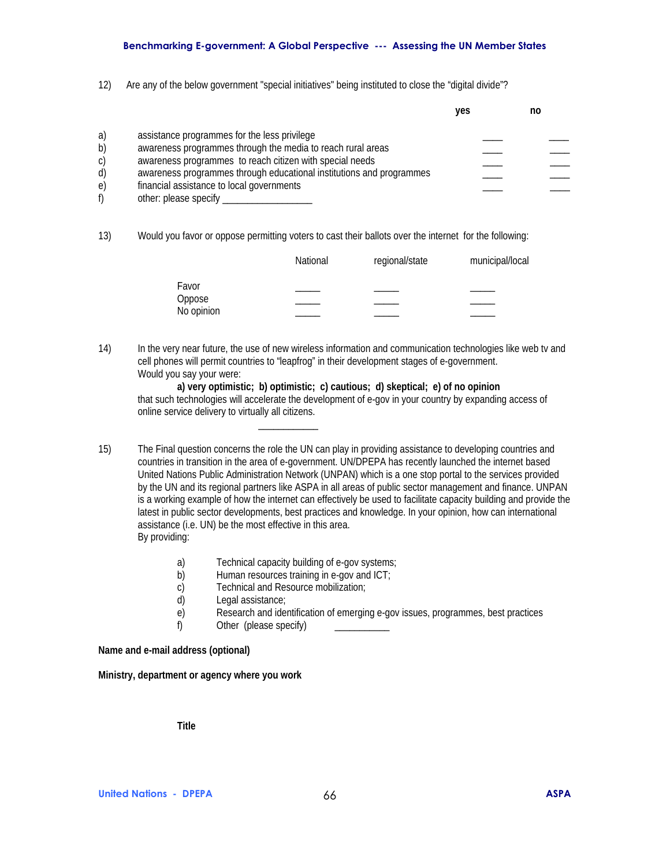### **Benchmarking E-government: A Global Perspective --- Assessing the UN Member States**

12) Are any of the below government "special initiatives" being instituted to close the "digital divide"?

|    |                                                                      | ves | no |  |
|----|----------------------------------------------------------------------|-----|----|--|
|    |                                                                      |     |    |  |
| a) | assistance programmes for the less privilege                         |     |    |  |
| b) | awareness programmes through the media to reach rural areas          |     |    |  |
| C) | awareness programmes to reach citizen with special needs             |     |    |  |
| d) | awareness programmes through educational institutions and programmes |     |    |  |
| e) | financial assistance to local governments                            |     |    |  |
| f) | other: please specify                                                |     |    |  |

13) Would you favor or oppose permitting voters to cast their ballots over the internet for the following:

|                      | National | regional/state | municipal/local |
|----------------------|----------|----------------|-----------------|
| Favor                |          |                |                 |
| Oppose<br>No opinion |          |                |                 |
|                      |          |                |                 |

14) In the very near future, the use of new wireless information and communication technologies like web tv and cell phones will permit countries to "leapfrog" in their development stages of e-government. Would you say your were:

 **a) very optimistic; b) optimistic; c) cautious; d) skeptical; e) of no opinion**  that such technologies will accelerate the development of e-gov in your country by expanding access of online service delivery to virtually all citizens.

15) The Final question concerns the role the UN can play in providing assistance to developing countries and countries in transition in the area of e-government. UN/DPEPA has recently launched the internet based United Nations Public Administration Network (UNPAN) which is a one stop portal to the services provided by the UN and its regional partners like ASPA in all areas of public sector management and finance. UNPAN is a working example of how the internet can effectively be used to facilitate capacity building and provide the latest in public sector developments, best practices and knowledge. In your opinion, how can international assistance (i.e. UN) be the most effective in this area. By providing:

- a) Technical capacity building of e-gov systems;
- b) Human resources training in e-gov and ICT;
- c) Technical and Resource mobilization;
- d) Legal assistance;

 $\overline{\phantom{a}}$  , and the contract of  $\overline{\phantom{a}}$  , and  $\overline{\phantom{a}}$ 

- e) Research and identification of emerging e-gov issues, programmes, best practices
- f) Other (please specify)

**Name and e-mail address (optional)** 

**Ministry, department or agency where you work** 

**Title**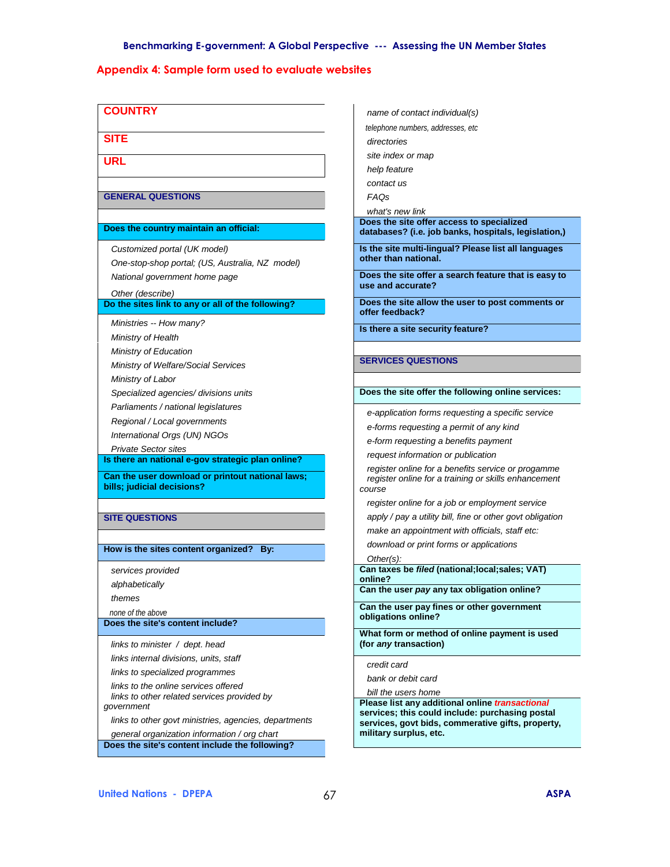# **Appendix 4: Sample form used to evaluate websites**

| <b>COUNTRY</b>                                        | name of contact individual(s)                                                                        |  |  |
|-------------------------------------------------------|------------------------------------------------------------------------------------------------------|--|--|
|                                                       | telephone numbers, addresses, etc                                                                    |  |  |
| <b>SITE</b>                                           | directories                                                                                          |  |  |
| <b>URL</b>                                            | site index or map                                                                                    |  |  |
|                                                       | help feature                                                                                         |  |  |
|                                                       | contact us                                                                                           |  |  |
| <b>GENERAL QUESTIONS</b>                              | <b>FAOs</b>                                                                                          |  |  |
|                                                       | what's new link                                                                                      |  |  |
| Does the country maintain an official:                | Does the site offer access to specialized                                                            |  |  |
|                                                       | databases? (i.e. job banks, hospitals, legislation,)                                                 |  |  |
| Customized portal (UK model)                          | Is the site multi-lingual? Please list all languages                                                 |  |  |
| One-stop-shop portal; (US, Australia, NZ model)       | other than national.                                                                                 |  |  |
| National government home page                         | Does the site offer a search feature that is easy to                                                 |  |  |
| Other (describe)                                      | use and accurate?                                                                                    |  |  |
| Do the sites link to any or all of the following?     | Does the site allow the user to post comments or<br>offer feedback?                                  |  |  |
| Ministries -- How many?                               | Is there a site security feature?                                                                    |  |  |
| Ministry of Health                                    |                                                                                                      |  |  |
| Ministry of Education                                 |                                                                                                      |  |  |
| Ministry of Welfare/Social Services                   | <b>SERVICES QUESTIONS</b>                                                                            |  |  |
| Ministry of Labor                                     |                                                                                                      |  |  |
| Specialized agencies/ divisions units                 | Does the site offer the following online services:                                                   |  |  |
| Parliaments / national legislatures                   |                                                                                                      |  |  |
| Regional / Local governments                          | e-application forms requesting a specific service                                                    |  |  |
| International Orgs (UN) NGOs                          | e-forms requesting a permit of any kind                                                              |  |  |
| <b>Private Sector sites</b>                           | e-form requesting a benefits payment                                                                 |  |  |
| Is there an national e-gov strategic plan online?     | request information or publication                                                                   |  |  |
| Can the user download or printout national laws;      | register online for a benefits service or progamme                                                   |  |  |
| bills; judicial decisions?                            | register online for a training or skills enhancement<br>course                                       |  |  |
|                                                       | register online for a job or employment service                                                      |  |  |
| <b>SITE QUESTIONS</b>                                 | apply / pay a utility bill, fine or other govt obligation                                            |  |  |
|                                                       | make an appointment with officials, staff etc:                                                       |  |  |
|                                                       | download or print forms or applications                                                              |  |  |
| How is the sites content organized? By:               | $Other(s)$ :                                                                                         |  |  |
| services provided                                     | Can taxes be filed (national; local; sales; VAT)                                                     |  |  |
| alphabetically                                        | online?<br>Can the user <i>pay</i> any tax obligation online?                                        |  |  |
| themes                                                |                                                                                                      |  |  |
| none of the above                                     | Can the user pay fines or other government<br>obligations online?                                    |  |  |
| Does the site's content include?                      |                                                                                                      |  |  |
| links to minister / dept. head                        | What form or method of online payment is used<br>(for any transaction)                               |  |  |
| links internal divisions, units, staff                |                                                                                                      |  |  |
| links to specialized programmes                       | credit card                                                                                          |  |  |
| links to the online services offered                  | bank or debit card                                                                                   |  |  |
| links to other related services provided by           | bill the users home                                                                                  |  |  |
| government                                            | Please list any additional online transactional                                                      |  |  |
| links to other govt ministries, agencies, departments | services; this could include: purchasing postal<br>services, govt bids, commerative gifts, property, |  |  |
| general organization information / org chart          | military surplus, etc.                                                                               |  |  |
| Does the site's content include the following?        |                                                                                                      |  |  |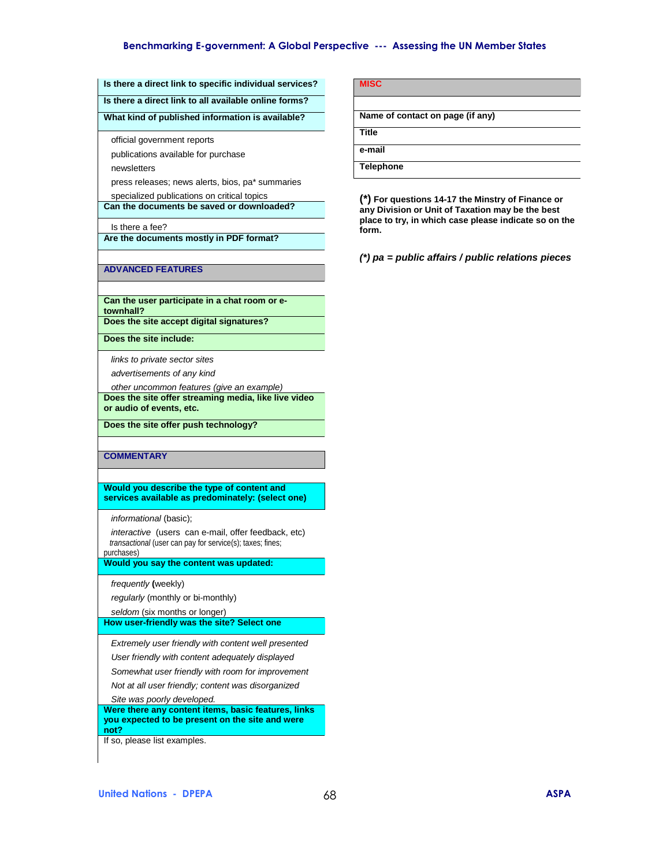#### **Benchmarking E-government: A Global Perspective --- Assessing the UN Member States**

#### **Is there a direct link to specific individual services?**

**Is there a direct link to all available online forms?** 

#### **What kind of published information is available?**

official government reports

publications available for purchase

newsletters

press releases; news alerts, bios, pa\* summaries

 specialized publications on critical topics **Can the documents be saved or downloaded?** 

#### Is there a fee?

**Are the documents mostly in PDF format?** 

#### **ADVANCED FEATURES**

**Can the user participate in a chat room or etownhall?** 

**Does the site accept digital signatures?** 

**Does the site include:** 

 *links to private sector sites* 

 *advertisements of any kind* 

 *other uncommon features (give an example)*  **Does the site offer streaming media, like live video or audio of events, etc.** 

**Does the site offer push technology?** 

**COMMENTARY** 

**Would you describe the type of content and services available as predominately: (select one)** 

 *informational* (basic);

 *interactive* (users can e-mail, offer feedback, etc)  *transactional* (user can pay for service(s); taxes; fines; purchases)

**Would you say the content was updated:** 

 *frequently* **(**weekly)

 *regularly* (monthly or bi-monthly)

 *seldom* (six months or longer)

**How user-friendly was the site? Select one** 

 *Extremely user friendly with content well presented* 

 *User friendly with content adequately displayed* 

 *Somewhat user friendly with room for improvement* 

 *Not at all user friendly; content was disorganized* 

 *Site was poorly developed.* 

**Were there any content items, basic features, links you expected to be present on the site and were not?** 

If so, please list examples.

| <b>MISC</b>                      |
|----------------------------------|
|                                  |
| Name of contact on page (if any) |
| <b>Title</b>                     |
| e-mail                           |
| <b>Telephone</b>                 |

**(\*) For questions 14-17 the Minstry of Finance or any Division or Unit of Taxation may be the best place to try, in which case please indicate so on the form.**

*(\*) pa = public affairs / public relations pieces*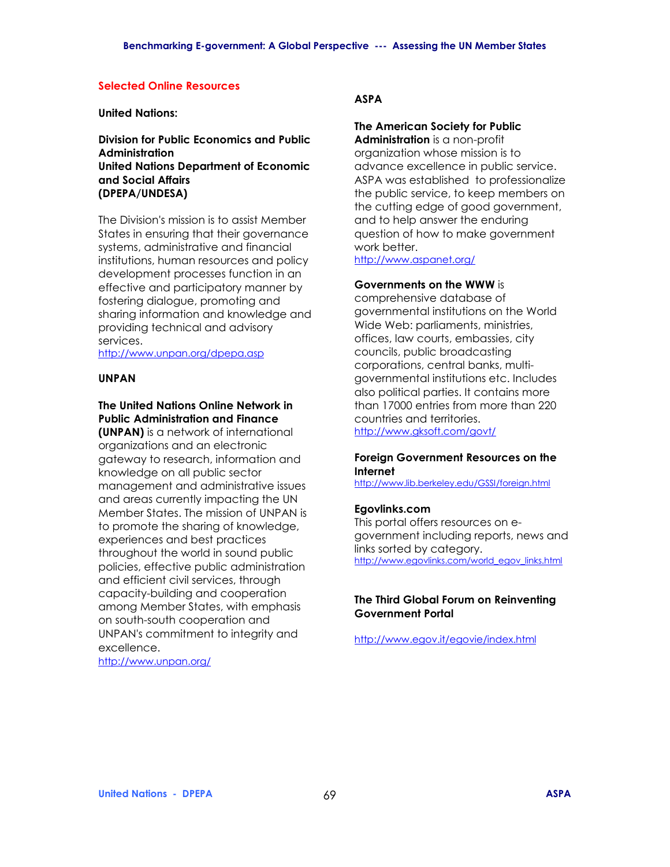### **Selected Online Resources**

### **United Nations:**

**Division for Public Economics and Public Administration United Nations Department of Economic and Social Affairs (DPEPA/UNDESA)** 

The Division's mission is to assist Member States in ensuring that their governance systems, administrative and financial institutions, human resources and policy development processes function in an effective and participatory manner by fostering dialogue, promoting and sharing information and knowledge and providing technical and advisory services.

http://www.unpan.org/dpepa.asp

### **UNPAN**

# **The United Nations Online Network in Public Administration and Finance**

**(UNPAN)** is a network of international organizations and an electronic gateway to research, information and knowledge on all public sector management and administrative issues and areas currently impacting the UN Member States. The mission of UNPAN is to promote the sharing of knowledge, experiences and best practices throughout the world in sound public policies, effective public administration and efficient civil services, through capacity-building and cooperation among Member States, with emphasis on south-south cooperation and UNPAN's commitment to integrity and excellence.

http://www.unpan.org/

# **ASPA**

# **The American Society for Public**

**Administration** is a non-profit organization whose mission is to advance excellence in public service. ASPA was established to professionalize the public service, to keep members on the cutting edge of good government, and to help answer the enduring question of how to make government work better.

http://www.aspanet.org/

# **Governments on the WWW** is

comprehensive database of governmental institutions on the World Wide Web: parliaments, ministries, offices, law courts, embassies, city councils, public broadcasting corporations, central banks, multigovernmental institutions etc. Includes also political parties. It contains more than 17000 entries from more than 220 countries and territories. http://www.gksoft.com/govt/

### **Foreign Government Resources on the Internet**

http://www.lib.berkeley.edu/GSSI/foreign.html

## **Egovlinks.com**

This portal offers resources on egovernment including reports, news and links sorted by category. http://www.egovlinks.com/world\_egov\_links.html

## **The Third Global Forum on Reinventing Government Portal**

http://www.egov.it/egovie/index.html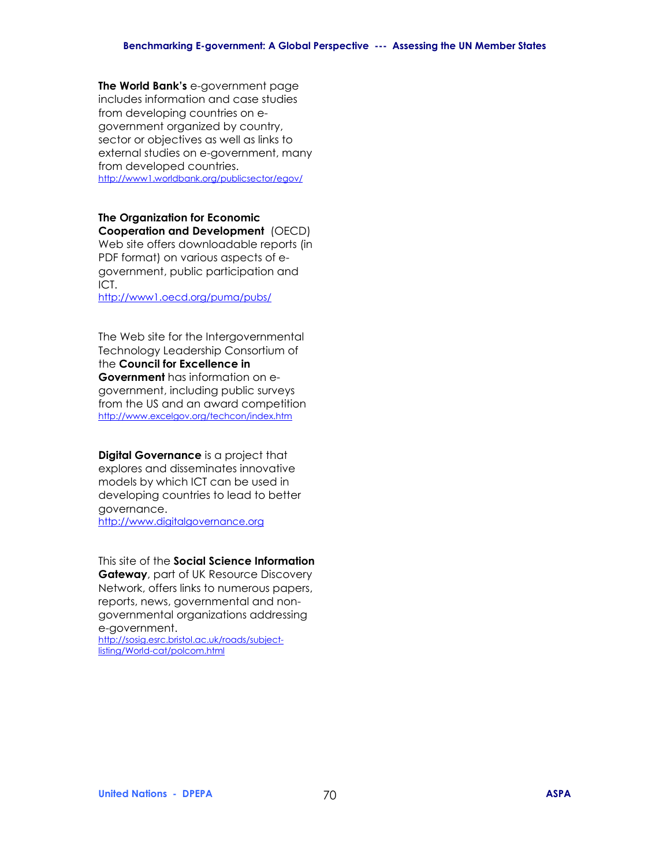**The World Bankís** e-government page includes information and case studies from developing countries on egovernment organized by country, sector or objectives as well as links to external studies on e-government, many from developed countries. http://www1.worldbank.org/publicsector/egov/

# **The Organization for Economic**

**Cooperation and Development** (OECD) Web site offers downloadable reports (in PDF format) on various aspects of egovernment, public participation and ICT.

http://www1.oecd.org/puma/pubs/

The Web site for the Intergovernmental Technology Leadership Consortium of the **Council for Excellence in Government** has information on egovernment, including public surveys from the US and an award competition http://www.excelgov.org/techcon/index.htm

**Digital Governance** is a project that explores and disseminates innovative models by which ICT can be used in developing countries to lead to better governance. http://www.digitalgovernance.org

This site of the **Social Science Information Gateway**, part of UK Resource Discovery Network, offers links to numerous papers, reports, news, governmental and nongovernmental organizations addressing e-government.

http://sosig.esrc.bristol.ac.uk/roads/subjectlisting/World-cat/polcom.html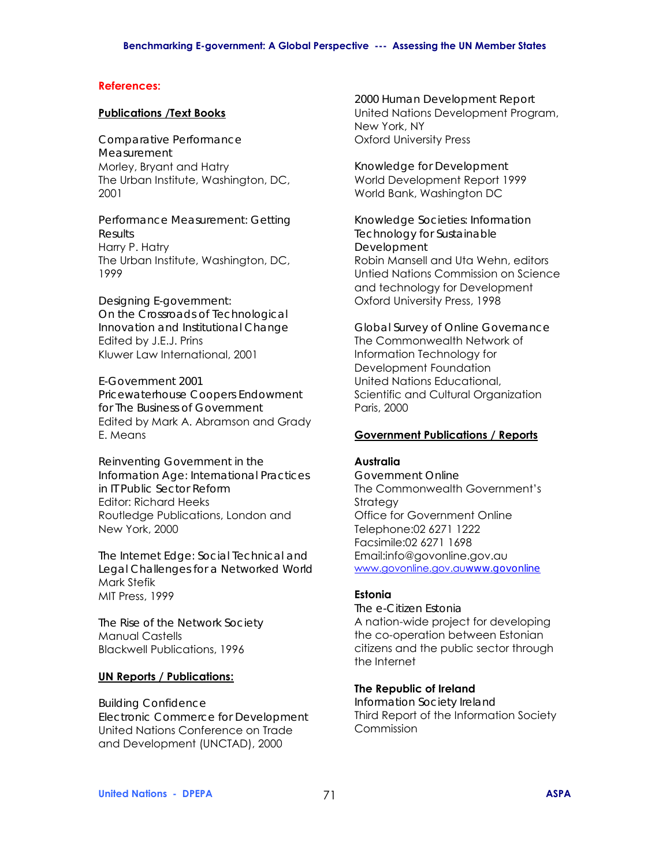#### **References:**

#### **Publications /Text Books**

*Comparative Performance Measurement*  Morley, Bryant and Hatry The Urban Institute, Washington, DC, 2001

*Performance Measurement: Getting Results*  Harry P. Hatry The Urban Institute, Washington, DC, 1999

*Designing E-government: On the Crossroads of Technological Innovation and Institutional Change*  Edited by J.E.J. Prins Kluwer Law International, 2001

*E-Government 2001 Pricewaterhouse Coopers Endowment for The Business of Government*  Edited by Mark A. Abramson and Grady E. Means

*Reinventing Government in the Information Age: International Practices in IT Public Sector Reform*  Editor: Richard Heeks Routledge Publications, London and New York, 2000

*The Internet Edge: Social Technical and Legal Challenges for a Networked World*  Mark Stefik MIT Press, 1999

*The Rise of the Network Society*  Manual Castells Blackwell Publications, 1996

## **UN Reports / Publications:**

*Building Confidence Electronic Commerce for Development*  United Nations Conference on Trade and Development (UNCTAD), 2000

*2000 Human Development Report*  United Nations Development Program, New York, NY Oxford University Press

*Knowledge for Development*  World Development Report 1999 World Bank, Washington DC

*Knowledge Societies: Information Technology for Sustainable Development*  Robin Mansell and Uta Wehn, editors Untied Nations Commission on Science and technology for Development Oxford University Press, 1998

*Global Survey of Online Governance*  The Commonwealth Network of Information Technology for Development Foundation United Nations Educational, Scientific and Cultural Organization Paris, 2000

### **Government Publications / Reports**

# **Australia**

*Government Online*  The Commonwealth Government's **Strategy** Office for Government Online Telephone:02 6271 1222 Facsimile:02 6271 1698 Email:info@govonline.gov.au www.govonline.gov.au*www.govonline*

### **Estonia**

*The e-Citizen Estonia*  A nation-wide project for developing the co-operation between Estonian citizens and the public sector through the Internet

### **The Republic of Ireland**

*Information Society Ireland*  Third Report of the Information Society Commission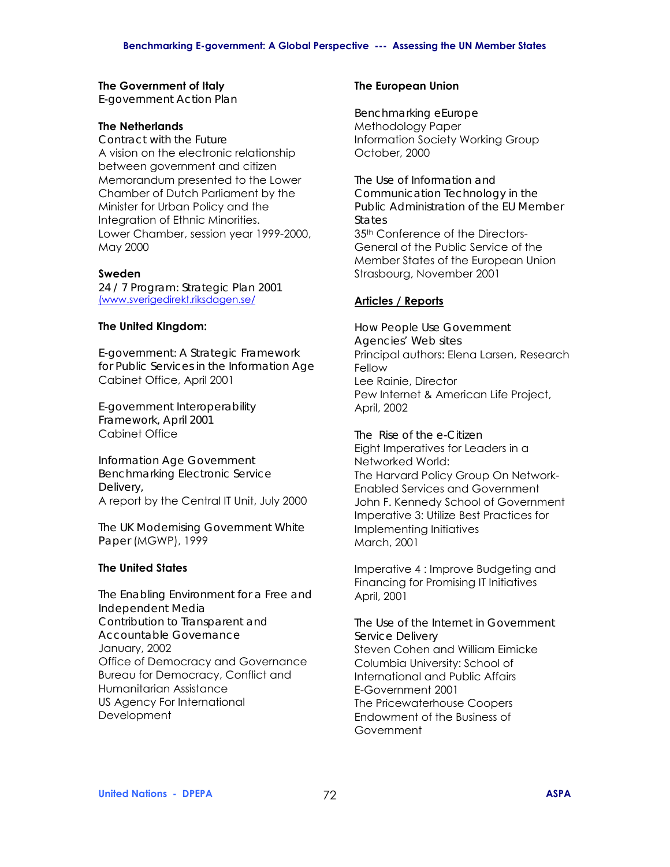### **The Government of Italy**

*E-government Action Plan* 

### **The Netherlands**

*Contract with the Future*  A vision on the electronic relationship between government and citizen Memorandum presented to the Lower Chamber of Dutch Parliament by the Minister for Urban Policy and the Integration of Ethnic Minorities. Lower Chamber, session year 1999-2000, May 2000

### **Sweden**

*24 / 7 Program: Strategic Plan 2001* (www.sverigedirekt.riksdagen.se/

### **The United Kingdom:**

*E-government: A Strategic Framework for Public Services in the Information Age*  Cabinet Office, April 2001

*E-government Interoperability Framework, April 2001*  Cabinet Office

*Information Age Government Benchmarking Electronic Service Delivery,*  A report by the Central IT Unit, July 2000

*The UK Modernising Government White Paper* (MGWP), 1999

### **The United States**

*The Enabling Environment for a Free and Independent Media Contribution to Transparent and Accountable Governance*  January, 2002 Office of Democracy and Governance Bureau for Democracy, Conflict and Humanitarian Assistance US Agency For International **Development** 

### **The European Union**

*Benchmarking eEurope*  Methodology Paper Information Society Working Group October, 2000

*The Use of Information and Communication Technology in the Public Administration of the EU Member States*  35th Conference of the Directors-General of the Public Service of the Member States of the European Union Strasbourg, November 2001

## **Articles / Reports**

*How People Use Government Agencies' Web sites*  Principal authors: Elena Larsen, Research Fellow Lee Rainie, Director Pew Internet & American Life Project, April, 2002

*The Rise of the e-Citizen*  Eight Imperatives for Leaders in a Networked World: The Harvard Policy Group On Network-Enabled Services and Government John F. Kennedy School of Government Imperative 3: Utilize Best Practices for Implementing Initiatives March, 2001

Imperative 4 : Improve Budgeting and Financing for Promising IT Initiatives April, 2001

*The Use of the Internet in Government Service Delivery* Steven Cohen and William Eimicke Columbia University: School of International and Public Affairs E-Government 2001 The Pricewaterhouse Coopers Endowment of the Business of **Government**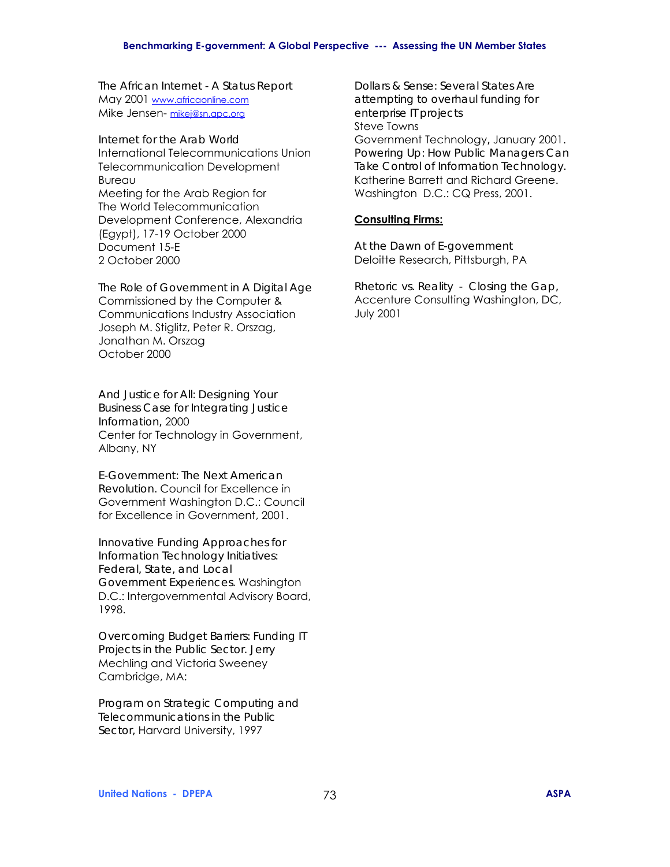#### **Benchmarking E-government: A Global Perspective --- Assessing the UN Member States**

*The African Internet - A Status Report* May 2001 www.africaonline.com Mike Jensen- mikej@sn.apc.org

*Internet for the Arab World*  International Telecommunications Union Telecommunication Development Bureau Meeting for the Arab Region for The World Telecommunication Development Conference, Alexandria (Egypt), 17-19 October 2000 Document 15-E 2 October 2000

*The Role of Government in A Digital Age*  Commissioned by the Computer & Communications Industry Association Joseph M. Stiglitz, Peter R. Orszag, Jonathan M. Orszag October 2000

*And Justice for All: Designing Your Business Case for Integrating Justice Information,* 2000 Center for Technology in Government, Albany, NY

*E-Government: The Next American Revolution.* Council for Excellence in Government Washington D.C.: Council for Excellence in Government, 2001.

*Innovative Funding Approaches for Information Technology Initiatives: Federal, State, and Local Government Experiences.* Washington D.C.: Intergovernmental Advisory Board, 1998.

*Overcoming Budget Barriers: Funding IT Projects in the Public Sector. Jerry*  Mechling and Victoria Sweeney Cambridge, MA:

*Program on Strategic Computing and Telecommunications in the Public Sector,* Harvard University, 1997

*Dollars & Sense: Several States Are attempting to overhaul funding for enterprise IT projects*  Steve Towns Government Technology*,* January 2001. *Powering Up: How Public Managers Can Take Control of Information Technology.*  Katherine Barrett and Richard Greene. Washington D.C.: CQ Press, 2001.

### **Consulting Firms:**

*At the Dawn of E-government*  Deloitte Research, Pittsburgh, PA

*Rhetoric vs. Reality - Closing the Gap,* Accenture Consulting Washington, DC, July 2001